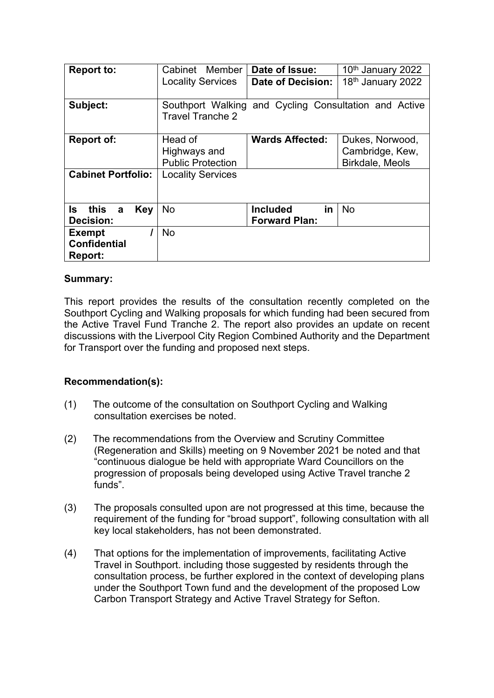| <b>Report to:</b>                                      | Cabinet Member           | Date of Issue:                                        | 10th January 2022             |  |
|--------------------------------------------------------|--------------------------|-------------------------------------------------------|-------------------------------|--|
|                                                        | <b>Locality Services</b> | Date of Decision:                                     | 18 <sup>th</sup> January 2022 |  |
| Subject:                                               | <b>Travel Tranche 2</b>  | Southport Walking and Cycling Consultation and Active |                               |  |
| <b>Report of:</b>                                      | Head of                  | <b>Wards Affected:</b>                                | Dukes, Norwood,               |  |
|                                                        | Highways and             |                                                       | Cambridge, Kew,               |  |
|                                                        | <b>Public Protection</b> |                                                       | Birkdale, Meols               |  |
| <b>Cabinet Portfolio:</b>                              | <b>Locality Services</b> |                                                       |                               |  |
| ls.<br>this<br><b>Key</b><br>a<br>Decision:            | No                       | <b>Included</b><br>in<br><b>Forward Plan:</b>         | <b>No</b>                     |  |
| <b>Exempt</b><br><b>Confidential</b><br><b>Report:</b> | <b>No</b>                |                                                       |                               |  |

# **Summary:**

This report provides the results of the consultation recently completed on the Southport Cycling and Walking proposals for which funding had been secured from the Active Travel Fund Tranche 2. The report also provides an update on recent discussions with the Liverpool City Region Combined Authority and the Department for Transport over the funding and proposed next steps.

# **Recommendation(s):**

- (1) The outcome of the consultation on Southport Cycling and Walking consultation exercises be noted.
- (2) The recommendations from the Overview and Scrutiny Committee (Regeneration and Skills) meeting on 9 November 2021 be noted and that "continuous dialogue be held with appropriate Ward Councillors on the progression of proposals being developed using Active Travel tranche 2 funds".
- (3) The proposals consulted upon are not progressed at this time, because the requirement of the funding for "broad support", following consultation with all key local stakeholders, has not been demonstrated.
- (4) That options for the implementation of improvements, facilitating Active Travel in Southport. including those suggested by residents through the consultation process, be further explored in the context of developing plans under the Southport Town fund and the development of the proposed Low Carbon Transport Strategy and Active Travel Strategy for Sefton.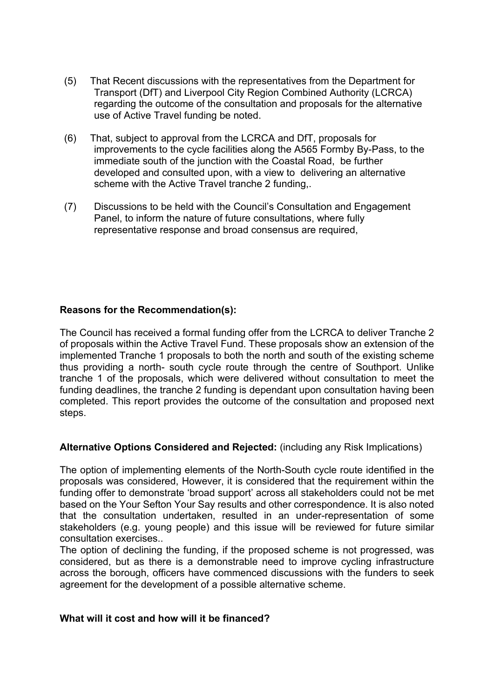- (5) That Recent discussions with the representatives from the Department for Transport (DfT) and Liverpool City Region Combined Authority (LCRCA) regarding the outcome of the consultation and proposals for the alternative use of Active Travel funding be noted.
- (6) That, subject to approval from the LCRCA and DfT, proposals for improvements to the cycle facilities along the A565 Formby By-Pass, to the immediate south of the junction with the Coastal Road, be further developed and consulted upon, with a view to delivering an alternative scheme with the Active Travel tranche 2 funding,.
- (7) Discussions to be held with the Council's Consultation and Engagement Panel, to inform the nature of future consultations, where fully representative response and broad consensus are required,

# **Reasons for the Recommendation(s):**

The Council has received a formal funding offer from the LCRCA to deliver Tranche 2 of proposals within the Active Travel Fund. These proposals show an extension of the implemented Tranche 1 proposals to both the north and south of the existing scheme thus providing a north- south cycle route through the centre of Southport. Unlike tranche 1 of the proposals, which were delivered without consultation to meet the funding deadlines, the tranche 2 funding is dependant upon consultation having been completed. This report provides the outcome of the consultation and proposed next steps.

### **Alternative Options Considered and Rejected:** (including any Risk Implications)

The option of implementing elements of the North-South cycle route identified in the proposals was considered, However, it is considered that the requirement within the funding offer to demonstrate 'broad support' across all stakeholders could not be met based on the Your Sefton Your Say results and other correspondence. It is also noted that the consultation undertaken, resulted in an under-representation of some stakeholders (e.g. young people) and this issue will be reviewed for future similar consultation exercises..

The option of declining the funding, if the proposed scheme is not progressed, was considered, but as there is a demonstrable need to improve cycling infrastructure across the borough, officers have commenced discussions with the funders to seek agreement for the development of a possible alternative scheme.

### **What will it cost and how will it be financed?**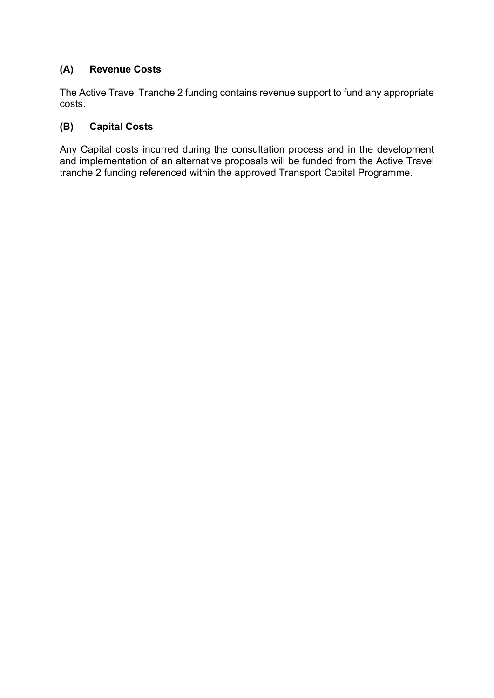# **(A) Revenue Costs**

The Active Travel Tranche 2 funding contains revenue support to fund any appropriate costs.

# **(B) Capital Costs**

Any Capital costs incurred during the consultation process and in the development and implementation of an alternative proposals will be funded from the Active Travel tranche 2 funding referenced within the approved Transport Capital Programme.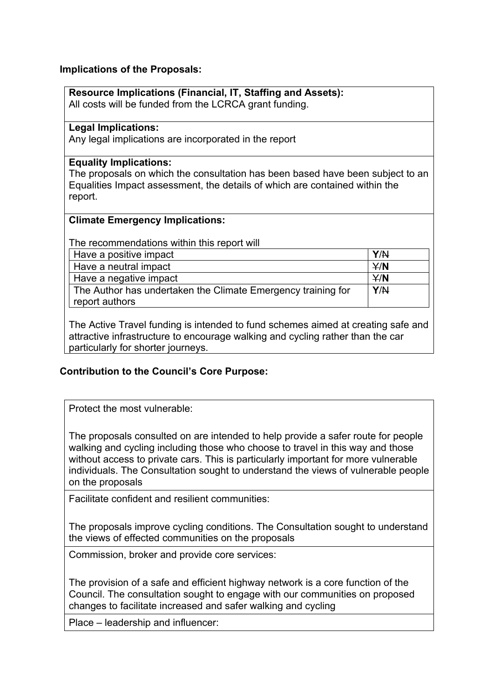# **Implications of the Proposals:**

| Resource Implications (Financial, IT, Staffing and Assets):                    |
|--------------------------------------------------------------------------------|
| All costs will be funded from the LCRCA grant funding.                         |
|                                                                                |
| <b>Legal Implications:</b>                                                     |
| Any legal implications are incorporated in the report                          |
|                                                                                |
| <b>Equality Implications:</b>                                                  |
| The proposals on which the consultation has been based have been subject to an |
| Equalities Impact assessment, the details of which are contained within the    |
| report.                                                                        |
|                                                                                |
| <b>Climate Emergency Implications:</b>                                         |
| The recommendations within this report will                                    |
|                                                                                |
| Y/N<br>Have a positive impact                                                  |
| Have a neutral impact<br>Y/N                                                   |
| Have a negative impact<br>Y/N                                                  |
| The Author has undertaken the Climate Emergency training for<br>Y/N            |
| report authors                                                                 |
|                                                                                |

The Active Travel funding is intended to fund schemes aimed at creating safe and attractive infrastructure to encourage walking and cycling rather than the car particularly for shorter journeys.

# **Contribution to the Council's Core Purpose:**

Protect the most vulnerable:

The proposals consulted on are intended to help provide a safer route for people walking and cycling including those who choose to travel in this way and those without access to private cars. This is particularly important for more vulnerable individuals. The Consultation sought to understand the views of vulnerable people on the proposals

Facilitate confident and resilient communities:

The proposals improve cycling conditions. The Consultation sought to understand the views of effected communities on the proposals

Commission, broker and provide core services:

The provision of a safe and efficient highway network is a core function of the Council. The consultation sought to engage with our communities on proposed changes to facilitate increased and safer walking and cycling

Place – leadership and influencer: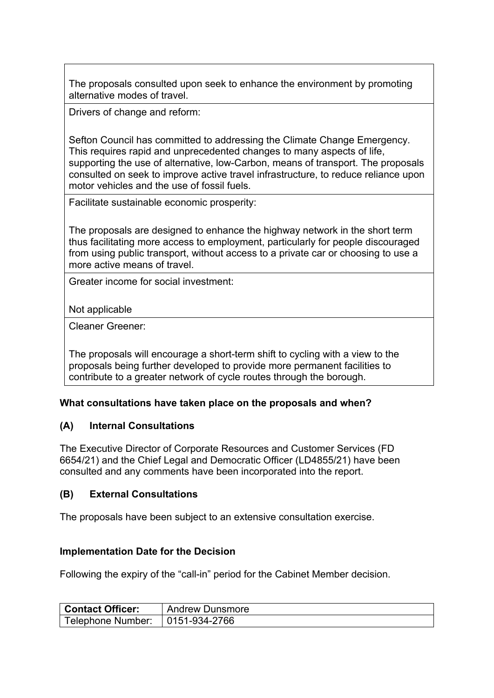The proposals consulted upon seek to enhance the environment by promoting alternative modes of travel.

Drivers of change and reform:

Sefton Council has committed to addressing the Climate Change Emergency. This requires rapid and unprecedented changes to many aspects of life, supporting the use of alternative, low-Carbon, means of transport. The proposals consulted on seek to improve active travel infrastructure, to reduce reliance upon motor vehicles and the use of fossil fuels.

Facilitate sustainable economic prosperity:

The proposals are designed to enhance the highway network in the short term thus facilitating more access to employment, particularly for people discouraged from using public transport, without access to a private car or choosing to use a more active means of travel.

Greater income for social investment:

Not applicable

Cleaner Greener:

The proposals will encourage a short-term shift to cycling with a view to the proposals being further developed to provide more permanent facilities to contribute to a greater network of cycle routes through the borough.

### **What consultations have taken place on the proposals and when?**

### **(A) Internal Consultations**

The Executive Director of Corporate Resources and Customer Services (FD 6654/21) and the Chief Legal and Democratic Officer (LD4855/21) have been consulted and any comments have been incorporated into the report.

### **(B) External Consultations**

The proposals have been subject to an extensive consultation exercise.

### **Implementation Date for the Decision**

Following the expiry of the "call-in" period for the Cabinet Member decision.

| <b>Contact Officer:</b>                         | <b>Andrew Dunsmore</b> |
|-------------------------------------------------|------------------------|
| $\vert$ Telephone Number: $\vert$ 0151-934-2766 |                        |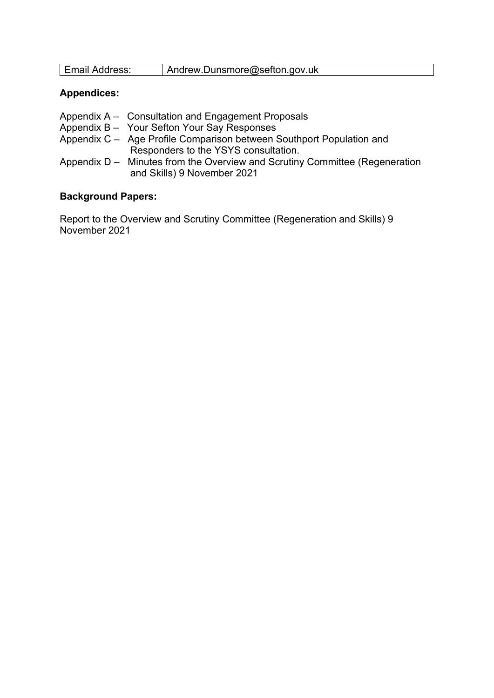| Emoil Addrocc: | Andrew.Dunsmore@sefton.gov.uk |
|----------------|-------------------------------|
|----------------|-------------------------------|

# **Appendices:**

|  | Appendix A - Consultation and Engagement Proposals |  |
|--|----------------------------------------------------|--|
|  |                                                    |  |

- Appendix B Your Sefton Your Say Responses
- Appendix C Age Profile Comparison between Southport Population and Responders to the YSYS consultation.
- Appendix D Minutes from the Overview and Scrutiny Committee (Regeneration and Skills) 9 November 2021

### **Background Papers:**

Report to the Overview and Scrutiny Committee (Regeneration and Skills) 9 November 2021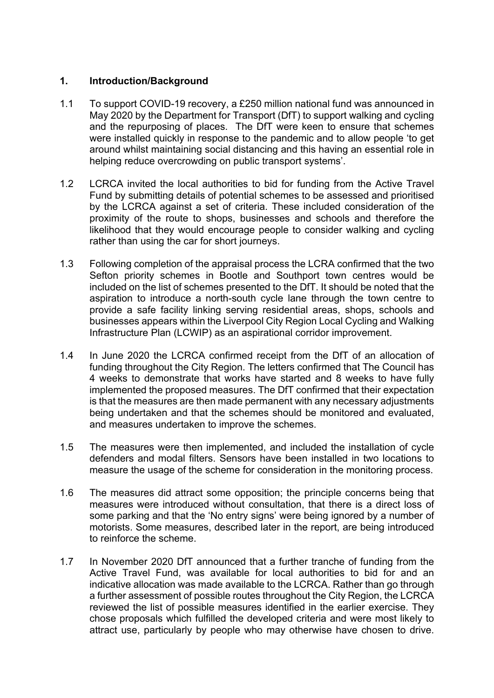# **1. Introduction/Background**

- 1.1 To support COVID-19 recovery, a £250 million national fund was announced in May 2020 by the Department for Transport (DfT) to support walking and cycling and the repurposing of places. The DfT were keen to ensure that schemes were installed quickly in response to the pandemic and to allow people 'to get around whilst maintaining social distancing and this having an essential role in helping reduce overcrowding on public transport systems'.
- 1.2 LCRCA invited the local authorities to bid for funding from the Active Travel Fund by submitting details of potential schemes to be assessed and prioritised by the LCRCA against a set of criteria. These included consideration of the proximity of the route to shops, businesses and schools and therefore the likelihood that they would encourage people to consider walking and cycling rather than using the car for short journeys.
- 1.3 Following completion of the appraisal process the LCRA confirmed that the two Sefton priority schemes in Bootle and Southport town centres would be included on the list of schemes presented to the DfT. It should be noted that the aspiration to introduce a north-south cycle lane through the town centre to provide a safe facility linking serving residential areas, shops, schools and businesses appears within the Liverpool City Region Local Cycling and Walking Infrastructure Plan (LCWIP) as an aspirational corridor improvement.
- 1.4 In June 2020 the LCRCA confirmed receipt from the DfT of an allocation of funding throughout the City Region. The letters confirmed that The Council has 4 weeks to demonstrate that works have started and 8 weeks to have fully implemented the proposed measures. The DfT confirmed that their expectation is that the measures are then made permanent with any necessary adjustments being undertaken and that the schemes should be monitored and evaluated, and measures undertaken to improve the schemes.
- 1.5 The measures were then implemented, and included the installation of cycle defenders and modal filters. Sensors have been installed in two locations to measure the usage of the scheme for consideration in the monitoring process.
- 1.6 The measures did attract some opposition; the principle concerns being that measures were introduced without consultation, that there is a direct loss of some parking and that the 'No entry signs' were being ignored by a number of motorists. Some measures, described later in the report, are being introduced to reinforce the scheme.
- 1.7 In November 2020 DfT announced that a further tranche of funding from the Active Travel Fund, was available for local authorities to bid for and an indicative allocation was made available to the LCRCA. Rather than go through a further assessment of possible routes throughout the City Region, the LCRCA reviewed the list of possible measures identified in the earlier exercise. They chose proposals which fulfilled the developed criteria and were most likely to attract use, particularly by people who may otherwise have chosen to drive.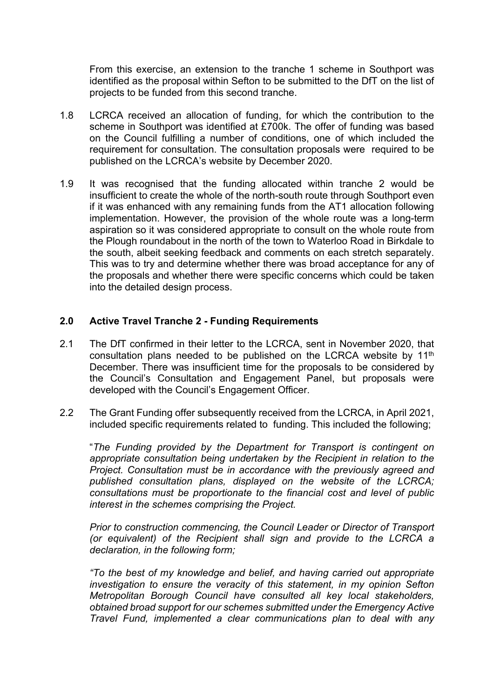From this exercise, an extension to the tranche 1 scheme in Southport was identified as the proposal within Sefton to be submitted to the DfT on the list of projects to be funded from this second tranche.

- 1.8 LCRCA received an allocation of funding, for which the contribution to the scheme in Southport was identified at £700k. The offer of funding was based on the Council fulfilling a number of conditions, one of which included the requirement for consultation. The consultation proposals were required to be published on the LCRCA's website by December 2020.
- 1.9 It was recognised that the funding allocated within tranche 2 would be insufficient to create the whole of the north-south route through Southport even if it was enhanced with any remaining funds from the AT1 allocation following implementation. However, the provision of the whole route was a long-term aspiration so it was considered appropriate to consult on the whole route from the Plough roundabout in the north of the town to Waterloo Road in Birkdale to the south, albeit seeking feedback and comments on each stretch separately. This was to try and determine whether there was broad acceptance for any of the proposals and whether there were specific concerns which could be taken into the detailed design process.

### **2.0 Active Travel Tranche 2 - Funding Requirements**

- 2.1 The DfT confirmed in their letter to the LCRCA, sent in November 2020, that consultation plans needed to be published on the LCRCA website by 11th December. There was insufficient time for the proposals to be considered by the Council's Consultation and Engagement Panel, but proposals were developed with the Council's Engagement Officer.
- 2.2 The Grant Funding offer subsequently received from the LCRCA, in April 2021, included specific requirements related to funding. This included the following;

"*The Funding provided by the Department for Transport is contingent on appropriate consultation being undertaken by the Recipient in relation to the Project. Consultation must be in accordance with the previously agreed and published consultation plans, displayed on the website of the LCRCA; consultations must be proportionate to the financial cost and level of public interest in the schemes comprising the Project.*

*Prior to construction commencing, the Council Leader or Director of Transport (or equivalent) of the Recipient shall sign and provide to the LCRCA a declaration, in the following form;*

*"To the best of my knowledge and belief, and having carried out appropriate investigation to ensure the veracity of this statement, in my opinion Sefton Metropolitan Borough Council have consulted all key local stakeholders, obtained broad support for our schemes submitted under the Emergency Active Travel Fund, implemented a clear communications plan to deal with any*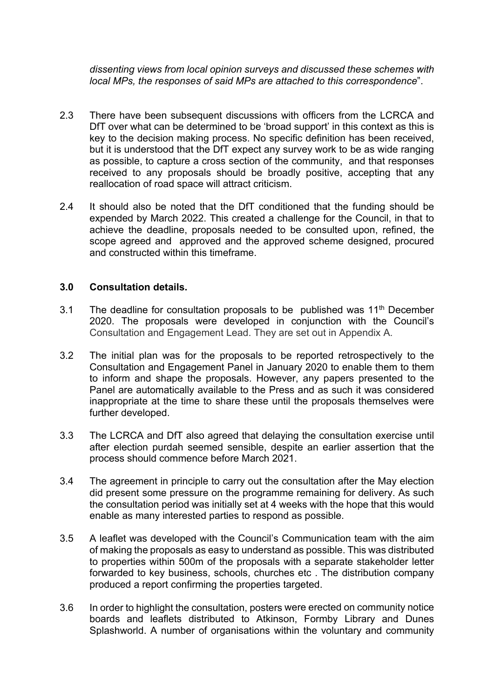*dissenting views from local opinion surveys and discussed these schemes with local MPs, the responses of said MPs are attached to this correspondence*".

- 2.3 There have been subsequent discussions with officers from the LCRCA and DfT over what can be determined to be 'broad support' in this context as this is key to the decision making process. No specific definition has been received, but it is understood that the DfT expect any survey work to be as wide ranging as possible, to capture a cross section of the community, and that responses received to any proposals should be broadly positive, accepting that any reallocation of road space will attract criticism.
- 2.4 It should also be noted that the DfT conditioned that the funding should be expended by March 2022. This created a challenge for the Council, in that to achieve the deadline, proposals needed to be consulted upon, refined, the scope agreed and approved and the approved scheme designed, procured and constructed within this timeframe.

### **3.0 Consultation details.**

- 3.1 The deadline for consultation proposals to be published was  $11<sup>th</sup>$  December 2020. The proposals were developed in conjunction with the Council's Consultation and Engagement Lead. They are set out in Appendix A.
- 3.2 The initial plan was for the proposals to be reported retrospectively to the Consultation and Engagement Panel in January 2020 to enable them to them to inform and shape the proposals. However, any papers presented to the Panel are automatically available to the Press and as such it was considered inappropriate at the time to share these until the proposals themselves were further developed.
- 3.3 The LCRCA and DfT also agreed that delaying the consultation exercise until after election purdah seemed sensible, despite an earlier assertion that the process should commence before March 2021.
- 3.4 The agreement in principle to carry out the consultation after the May election did present some pressure on the programme remaining for delivery. As such the consultation period was initially set at 4 weeks with the hope that this would enable as many interested parties to respond as possible.
- 3.5 A leaflet was developed with the Council's Communication team with the aim of making the proposals as easy to understand as possible. This was distributed to properties within 500m of the proposals with a separate stakeholder letter forwarded to key business, schools, churches etc . The distribution company produced a report confirming the properties targeted.
- 3.6 In order to highlight the consultation, posters were erected on community notice boards and leaflets distributed to Atkinson, Formby Library and Dunes Splashworld. A number of organisations within the voluntary and community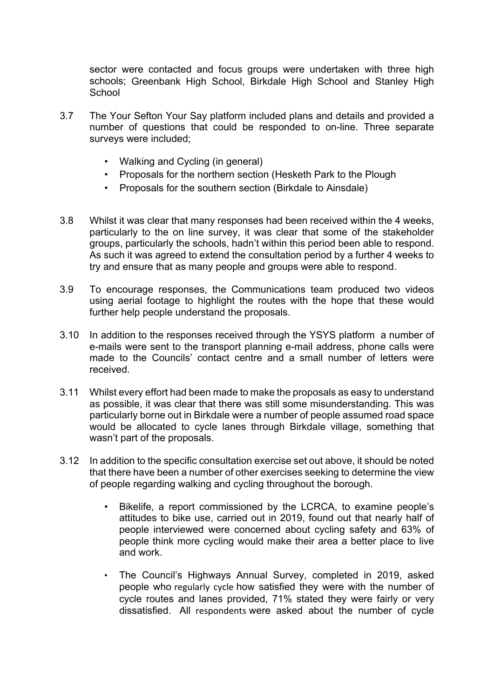sector were contacted and focus groups were undertaken with three high schools; Greenbank High School, Birkdale High School and Stanley High **School** 

- 3.7 The Your Sefton Your Say platform included plans and details and provided a number of questions that could be responded to on-line. Three separate surveys were included;
	- Walking and Cycling (in general)
	- Proposals for the northern section (Hesketh Park to the Plough
	- Proposals for the southern section (Birkdale to Ainsdale)
- 3.8 Whilst it was clear that many responses had been received within the 4 weeks, particularly to the on line survey, it was clear that some of the stakeholder groups, particularly the schools, hadn't within this period been able to respond. As such it was agreed to extend the consultation period by a further 4 weeks to try and ensure that as many people and groups were able to respond.
- 3.9 To encourage responses, the Communications team produced two videos using aerial footage to highlight the routes with the hope that these would further help people understand the proposals.
- 3.10 In addition to the responses received through the YSYS platform a number of e-mails were sent to the transport planning e-mail address, phone calls were made to the Councils' contact centre and a small number of letters were received.
- 3.11 Whilst every effort had been made to make the proposals as easy to understand as possible, it was clear that there was still some misunderstanding. This was particularly borne out in Birkdale were a number of people assumed road space would be allocated to cycle lanes through Birkdale village, something that wasn't part of the proposals.
- 3.12 In addition to the specific consultation exercise set out above, it should be noted that there have been a number of other exercises seeking to determine the view of people regarding walking and cycling throughout the borough.
	- Bikelife, a report commissioned by the LCRCA, to examine people's attitudes to bike use, carried out in 2019, found out that nearly half of people interviewed were concerned about cycling safety and 63% of people think more cycling would make their area a better place to live and work.
	- The Council's Highways Annual Survey, completed in 2019, asked people who regularly cycle how satisfied they were with the number of cycle routes and lanes provided, 71% stated they were fairly or very dissatisfied. All respondents were asked about the number of cycle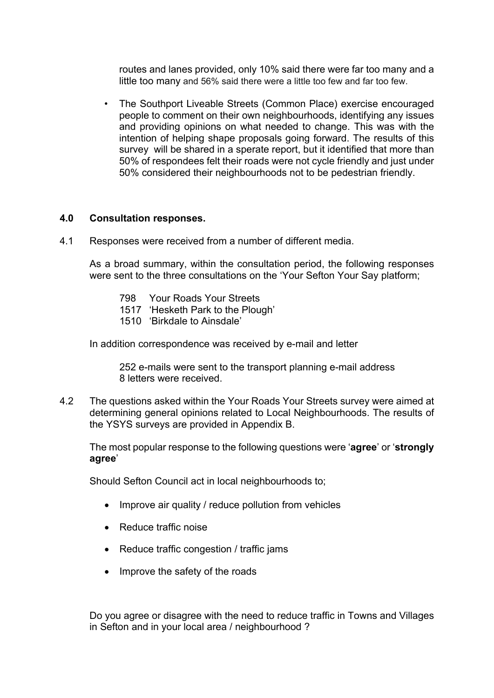routes and lanes provided, only 10% said there were far too many and a little too many and 56% said there were a little too few and far too few.

• The Southport Liveable Streets (Common Place) exercise encouraged people to comment on their own neighbourhoods, identifying any issues and providing opinions on what needed to change. This was with the intention of helping shape proposals going forward. The results of this survey will be shared in a sperate report, but it identified that more than 50% of respondees felt their roads were not cycle friendly and just under 50% considered their neighbourhoods not to be pedestrian friendly.

#### **4.0 Consultation responses.**

4.1 Responses were received from a number of different media.

As a broad summary, within the consultation period, the following responses were sent to the three consultations on the 'Your Sefton Your Say platform;

- 798 Your Roads Your Streets
- 1517 'Hesketh Park to the Plough'
- 1510 'Birkdale to Ainsdale'

In addition correspondence was received by e-mail and letter

252 e-mails were sent to the transport planning e-mail address 8 letters were received.

4.2 The questions asked within the Your Roads Your Streets survey were aimed at determining general opinions related to Local Neighbourhoods. The results of the YSYS surveys are provided in Appendix B.

The most popular response to the following questions were '**agree**' or '**strongly agree**'

Should Sefton Council act in local neighbourhoods to;

- Improve air quality / reduce pollution from vehicles
- Reduce traffic noise
- Reduce traffic congestion / traffic jams
- Improve the safety of the roads

Do you agree or disagree with the need to reduce traffic in Towns and Villages in Sefton and in your local area / neighbourhood ?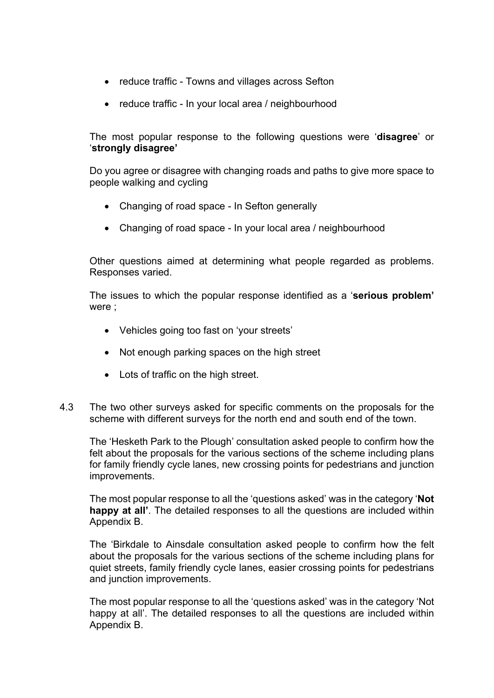- reduce traffic Towns and villages across Sefton
- reduce traffic In your local area / neighbourhood

The most popular response to the following questions were '**disagree**' or '**strongly disagree'**

Do you agree or disagree with changing roads and paths to give more space to people walking and cycling

- Changing of road space In Sefton generally
- Changing of road space In your local area / neighbourhood

Other questions aimed at determining what people regarded as problems. Responses varied.

The issues to which the popular response identified as a '**serious problem'** were ;

- Vehicles going too fast on 'your streets'
- Not enough parking spaces on the high street
- Lots of traffic on the high street.
- 4.3 The two other surveys asked for specific comments on the proposals for the scheme with different surveys for the north end and south end of the town.

The 'Hesketh Park to the Plough' consultation asked people to confirm how the felt about the proposals for the various sections of the scheme including plans for family friendly cycle lanes, new crossing points for pedestrians and junction improvements.

The most popular response to all the 'questions asked' was in the category '**Not happy at all'**. The detailed responses to all the questions are included within Appendix B.

The 'Birkdale to Ainsdale consultation asked people to confirm how the felt about the proposals for the various sections of the scheme including plans for quiet streets, family friendly cycle lanes, easier crossing points for pedestrians and junction improvements.

The most popular response to all the 'questions asked' was in the category 'Not happy at all'. The detailed responses to all the questions are included within Appendix B.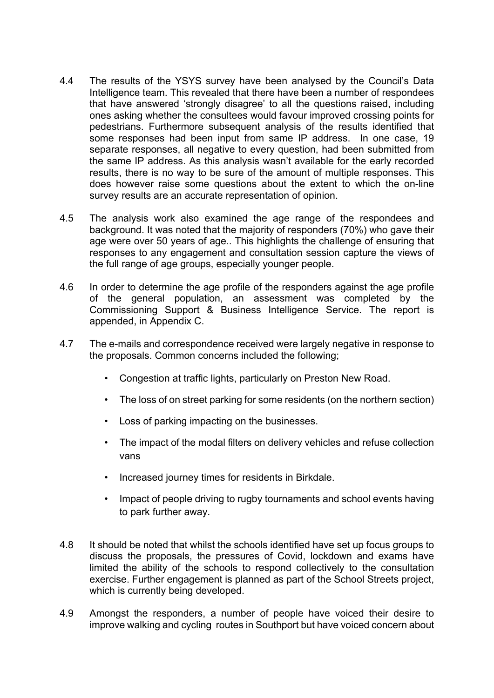- 4.4 The results of the YSYS survey have been analysed by the Council's Data Intelligence team. This revealed that there have been a number of respondees that have answered 'strongly disagree' to all the questions raised, including ones asking whether the consultees would favour improved crossing points for pedestrians. Furthermore subsequent analysis of the results identified that some responses had been input from same IP address. In one case, 19 separate responses, all negative to every question, had been submitted from the same IP address. As this analysis wasn't available for the early recorded results, there is no way to be sure of the amount of multiple responses. This does however raise some questions about the extent to which the on-line survey results are an accurate representation of opinion.
- 4.5 The analysis work also examined the age range of the respondees and background. It was noted that the majority of responders (70%) who gave their age were over 50 years of age.. This highlights the challenge of ensuring that responses to any engagement and consultation session capture the views of the full range of age groups, especially younger people.
- 4.6 In order to determine the age profile of the responders against the age profile of the general population, an assessment was completed by the Commissioning Support & Business Intelligence Service. The report is appended, in Appendix C.
- 4.7 The e-mails and correspondence received were largely negative in response to the proposals. Common concerns included the following;
	- Congestion at traffic lights, particularly on Preston New Road.
	- The loss of on street parking for some residents (on the northern section)
	- Loss of parking impacting on the businesses.
	- The impact of the modal filters on delivery vehicles and refuse collection vans
	- Increased journey times for residents in Birkdale.
	- Impact of people driving to rugby tournaments and school events having to park further away.
- 4.8 It should be noted that whilst the schools identified have set up focus groups to discuss the proposals, the pressures of Covid, lockdown and exams have limited the ability of the schools to respond collectively to the consultation exercise. Further engagement is planned as part of the School Streets project, which is currently being developed.
- 4.9 Amongst the responders, a number of people have voiced their desire to improve walking and cycling routes in Southport but have voiced concern about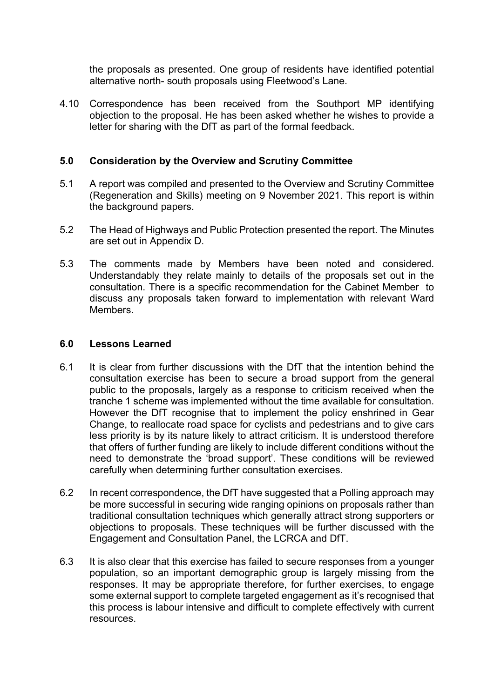the proposals as presented. One group of residents have identified potential alternative north- south proposals using Fleetwood's Lane.

4.10 Correspondence has been received from the Southport MP identifying objection to the proposal. He has been asked whether he wishes to provide a letter for sharing with the DfT as part of the formal feedback.

# **5.0 Consideration by the Overview and Scrutiny Committee**

- 5.1 A report was compiled and presented to the Overview and Scrutiny Committee (Regeneration and Skills) meeting on 9 November 2021. This report is within the background papers.
- 5.2 The Head of Highways and Public Protection presented the report. The Minutes are set out in Appendix D.
- 5.3 The comments made by Members have been noted and considered. Understandably they relate mainly to details of the proposals set out in the consultation. There is a specific recommendation for the Cabinet Member to discuss any proposals taken forward to implementation with relevant Ward Members.

#### **6.0 Lessons Learned**

- 6.1 It is clear from further discussions with the DfT that the intention behind the consultation exercise has been to secure a broad support from the general public to the proposals, largely as a response to criticism received when the tranche 1 scheme was implemented without the time available for consultation. However the DfT recognise that to implement the policy enshrined in Gear Change, to reallocate road space for cyclists and pedestrians and to give cars less priority is by its nature likely to attract criticism. It is understood therefore that offers of further funding are likely to include different conditions without the need to demonstrate the 'broad support'. These conditions will be reviewed carefully when determining further consultation exercises.
- 6.2 In recent correspondence, the DfT have suggested that a Polling approach may be more successful in securing wide ranging opinions on proposals rather than traditional consultation techniques which generally attract strong supporters or objections to proposals. These techniques will be further discussed with the Engagement and Consultation Panel, the LCRCA and DfT.
- 6.3 It is also clear that this exercise has failed to secure responses from a younger population, so an important demographic group is largely missing from the responses. It may be appropriate therefore, for further exercises, to engage some external support to complete targeted engagement as it's recognised that this process is labour intensive and difficult to complete effectively with current resources.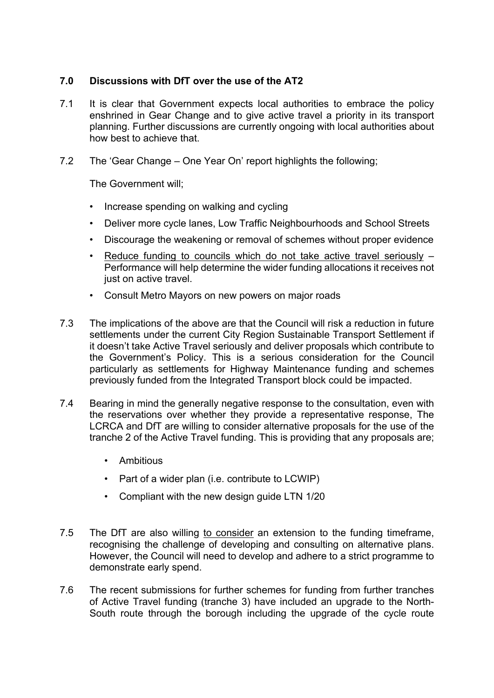# **7.0 Discussions with DfT over the use of the AT2**

- 7.1 It is clear that Government expects local authorities to embrace the policy enshrined in Gear Change and to give active travel a priority in its transport planning. Further discussions are currently ongoing with local authorities about how best to achieve that.
- 7.2 The 'Gear Change One Year On' report highlights the following;

The Government will;

- Increase spending on walking and cycling
- Deliver more cycle lanes, Low Traffic Neighbourhoods and School Streets
- Discourage the weakening or removal of schemes without proper evidence
- Reduce funding to councils which do not take active travel seriously Performance will help determine the wider funding allocations it receives not just on active travel.
- Consult Metro Mayors on new powers on major roads
- 7.3 The implications of the above are that the Council will risk a reduction in future settlements under the current City Region Sustainable Transport Settlement if it doesn't take Active Travel seriously and deliver proposals which contribute to the Government's Policy. This is a serious consideration for the Council particularly as settlements for Highway Maintenance funding and schemes previously funded from the Integrated Transport block could be impacted.
- 7.4 Bearing in mind the generally negative response to the consultation, even with the reservations over whether they provide a representative response, The LCRCA and DfT are willing to consider alternative proposals for the use of the tranche 2 of the Active Travel funding. This is providing that any proposals are;
	- Ambitious
	- Part of a wider plan (i.e. contribute to LCWIP)
	- Compliant with the new design guide LTN 1/20
- 7.5 The DfT are also willing to consider an extension to the funding timeframe, recognising the challenge of developing and consulting on alternative plans. However, the Council will need to develop and adhere to a strict programme to demonstrate early spend.
- 7.6 The recent submissions for further schemes for funding from further tranches of Active Travel funding (tranche 3) have included an upgrade to the North-South route through the borough including the upgrade of the cycle route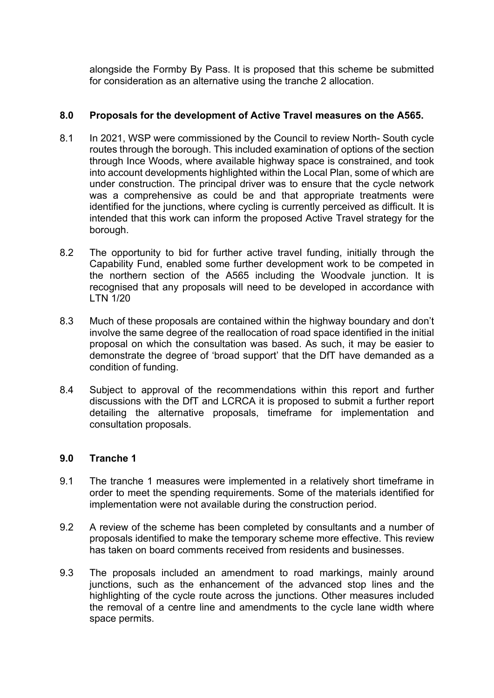alongside the Formby By Pass. It is proposed that this scheme be submitted for consideration as an alternative using the tranche 2 allocation.

# **8.0 Proposals for the development of Active Travel measures on the A565.**

- 8.1 In 2021, WSP were commissioned by the Council to review North- South cycle routes through the borough. This included examination of options of the section through Ince Woods, where available highway space is constrained, and took into account developments highlighted within the Local Plan, some of which are under construction. The principal driver was to ensure that the cycle network was a comprehensive as could be and that appropriate treatments were identified for the junctions, where cycling is currently perceived as difficult. It is intended that this work can inform the proposed Active Travel strategy for the borough.
- 8.2 The opportunity to bid for further active travel funding, initially through the Capability Fund, enabled some further development work to be competed in the northern section of the A565 including the Woodvale junction. It is recognised that any proposals will need to be developed in accordance with LTN 1/20
- 8.3 Much of these proposals are contained within the highway boundary and don't involve the same degree of the reallocation of road space identified in the initial proposal on which the consultation was based. As such, it may be easier to demonstrate the degree of 'broad support' that the DfT have demanded as a condition of funding.
- 8.4 Subject to approval of the recommendations within this report and further discussions with the DfT and LCRCA it is proposed to submit a further report detailing the alternative proposals, timeframe for implementation and consultation proposals.

# **9.0 Tranche 1**

- 9.1 The tranche 1 measures were implemented in a relatively short timeframe in order to meet the spending requirements. Some of the materials identified for implementation were not available during the construction period.
- 9.2 A review of the scheme has been completed by consultants and a number of proposals identified to make the temporary scheme more effective. This review has taken on board comments received from residents and businesses.
- 9.3 The proposals included an amendment to road markings, mainly around junctions, such as the enhancement of the advanced stop lines and the highlighting of the cycle route across the junctions. Other measures included the removal of a centre line and amendments to the cycle lane width where space permits.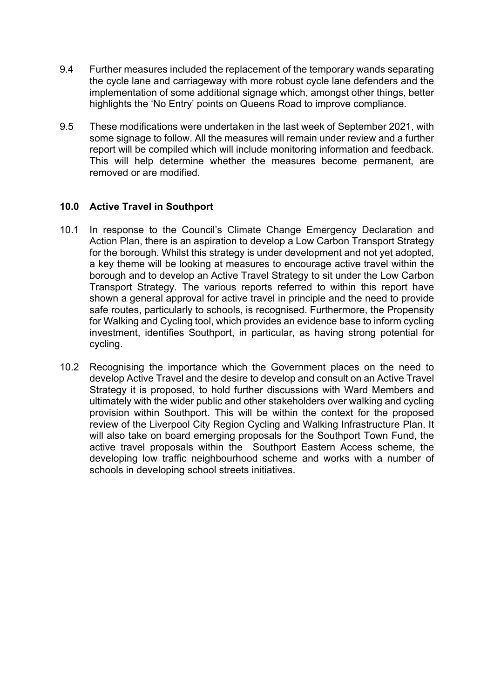- 9.4 Further measures included the replacement of the temporary wands separating the cycle lane and carriageway with more robust cycle lane defenders and the implementation of some additional signage which, amongst other things, better highlights the 'No Entry' points on Queens Road to improve compliance.
- 9.5 These modifications were undertaken in the last week of September 2021, with some signage to follow. All the measures will remain under review and a further report will be compiled which will include monitoring information and feedback. This will help determine whether the measures become permanent, are removed or are modified.

# **10.0 Active Travel in Southport**

- 10.1 In response to the Council's Climate Change Emergency Declaration and Action Plan, there is an aspiration to develop a Low Carbon Transport Strategy for the borough. Whilst this strategy is under development and not yet adopted, a key theme will be looking at measures to encourage active travel within the borough and to develop an Active Travel Strategy to sit under the Low Carbon Transport Strategy. The various reports referred to within this report have shown a general approval for active travel in principle and the need to provide safe routes, particularly to schools, is recognised. Furthermore, the Propensity for Walking and Cycling tool, which provides an evidence base to inform cycling investment, identifies Southport, in particular, as having strong potential for cycling.
- 10.2 Recognising the importance which the Government places on the need to develop Active Travel and the desire to develop and consult on an Active Travel Strategy it is proposed, to hold further discussions with Ward Members and ultimately with the wider public and other stakeholders over walking and cycling provision within Southport. This will be within the context for the proposed review of the Liverpool City Region Cycling and Walking Infrastructure Plan. It will also take on board emerging proposals for the Southport Town Fund, the active travel proposals within the Southport Eastern Access scheme, the developing low traffic neighbourhood scheme and works with a number of schools in developing school streets initiatives.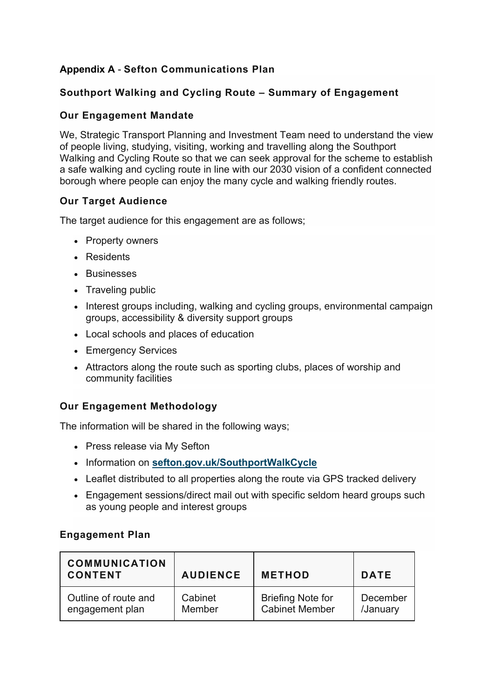# **Appendix A** - **Sefton Communications Plan**

# **Southport Walking and Cycling Route – Summary of Engagement**

# **Our Engagement Mandate**

We, Strategic Transport Planning and Investment Team need to understand the view of people living, studying, visiting, working and travelling along the Southport Walking and Cycling Route so that we can seek approval for the scheme to establish a safe walking and cycling route in line with our 2030 vision of a confident connected borough where people can enjoy the many cycle and walking friendly routes.

# **Our Target Audience**

The target audience for this engagement are as follows;

- Property owners
- Residents
- Businesses
- Traveling public
- Interest groups including, walking and cycling groups, environmental campaign groups, accessibility & diversity support groups
- Local schools and places of education
- Emergency Services
- Attractors along the route such as sporting clubs, places of worship and community facilities

# **Our Engagement Methodology**

The information will be shared in the following ways;

- Press release via My Sefton
- Information on **[sefton.gov.uk/SouthportWalkCycle](http://www.sefton.gov.uk/SouthportWalkCycle)**
- Leaflet distributed to all properties along the route via GPS tracked delivery
- Engagement sessions/direct mail out with specific seldom heard groups such as young people and interest groups

# **Engagement Plan**

| <b>COMMUNICATION</b><br><b>CONTENT</b> | <b>AUDIENCE</b> | <b>METHOD</b>            | <b>DATE</b> |
|----------------------------------------|-----------------|--------------------------|-------------|
| Outline of route and                   | Cabinet         | <b>Briefing Note for</b> | December    |
| engagement plan                        | Member          | <b>Cabinet Member</b>    | /January    |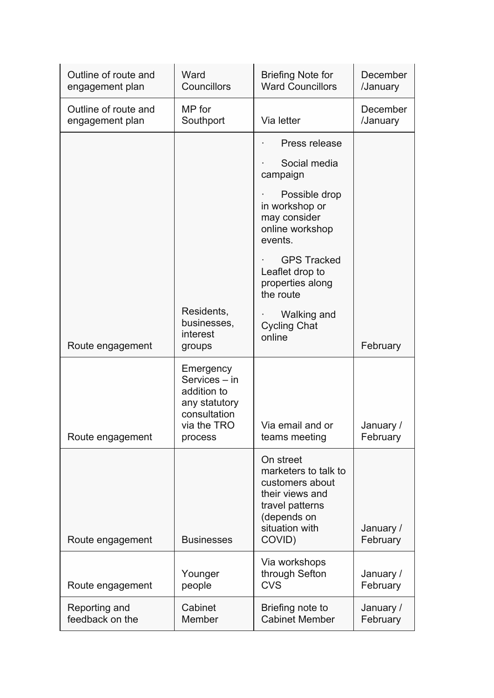| Outline of route and<br>engagement plan | Ward<br>Councillors                                                                                  | <b>Briefing Note for</b><br><b>Ward Councillors</b>                                                                                   | December<br>/January  |
|-----------------------------------------|------------------------------------------------------------------------------------------------------|---------------------------------------------------------------------------------------------------------------------------------------|-----------------------|
| Outline of route and<br>engagement plan | MP for<br>Southport                                                                                  | Via letter                                                                                                                            | December<br>/January  |
|                                         |                                                                                                      | Press release                                                                                                                         |                       |
|                                         |                                                                                                      | Social media<br>campaign                                                                                                              |                       |
|                                         |                                                                                                      | Possible drop<br>in workshop or<br>may consider<br>online workshop<br>events.                                                         |                       |
|                                         |                                                                                                      | <b>GPS Tracked</b><br>Leaflet drop to<br>properties along<br>the route                                                                |                       |
| Route engagement                        | Residents,<br>businesses,<br>interest<br>groups                                                      | Walking and<br><b>Cycling Chat</b><br>online                                                                                          | February              |
| Route engagement                        | Emergency<br>Services - in<br>addition to<br>any statutory<br>consultation<br>via the TRO<br>process | Via email and or<br>teams meeting                                                                                                     | January /<br>February |
| Route engagement                        | <b>Businesses</b>                                                                                    | On street<br>marketers to talk to<br>customers about<br>their views and<br>travel patterns<br>(depends on<br>situation with<br>COVID) | January /<br>February |
| Route engagement                        | Younger<br>people                                                                                    | Via workshops<br>through Sefton<br><b>CVS</b>                                                                                         | January /<br>February |
| Reporting and<br>feedback on the        | Cabinet<br>Member                                                                                    | Briefing note to<br><b>Cabinet Member</b>                                                                                             | January /<br>February |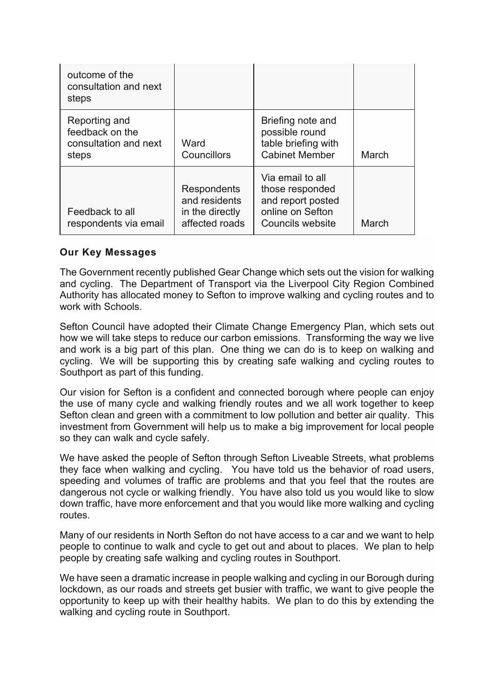| outcome of the<br>consultation and next<br>steps                   |                                                                   |                                                                                                  |       |
|--------------------------------------------------------------------|-------------------------------------------------------------------|--------------------------------------------------------------------------------------------------|-------|
| Reporting and<br>feedback on the<br>consultation and next<br>steps | Ward<br>Councillors                                               | Briefing note and<br>possible round<br>table briefing with<br><b>Cabinet Member</b>              | March |
| Feedback to all<br>respondents via email                           | Respondents<br>and residents<br>in the directly<br>affected roads | Via email to all<br>those responded<br>and report posted<br>online on Sefton<br>Councils website | March |

# **Our Key Messages**

The Government recently published Gear Change which sets out the vision for walking and cycling. The Department of Transport via the Liverpool City Region Combined Authority has allocated money to Sefton to improve walking and cycling routes and to work with Schools.

Sefton Council have adopted their Climate Change Emergency Plan, which sets out how we will take steps to reduce our carbon emissions. Transforming the way we live and work is a big part of this plan. One thing we can do is to keep on walking and cycling. We will be supporting this by creating safe walking and cycling routes to Southport as part of this funding.

Our vision for Sefton is a confident and connected borough where people can enjoy the use of many cycle and walking friendly routes and we all work together to keep Sefton clean and green with a commitment to low pollution and better air quality. This investment from Government will help us to make a big improvement for local people so they can walk and cycle safely.

We have asked the people of Sefton through Sefton Liveable Streets, what problems they face when walking and cycling. You have told us the behavior of road users, speeding and volumes of traffic are problems and that you feel that the routes are dangerous not cycle or walking friendly. You have also told us you would like to slow down traffic, have more enforcement and that you would like more walking and cycling routes.

Many of our residents in North Sefton do not have access to a car and we want to help people to continue to walk and cycle to get out and about to places. We plan to help people by creating safe walking and cycling routes in Southport.

We have seen a dramatic increase in people walking and cycling in our Borough during lockdown, as our roads and streets get busier with traffic, we want to give people the opportunity to keep up with their healthy habits. We plan to do this by extending the walking and cycling route in Southport.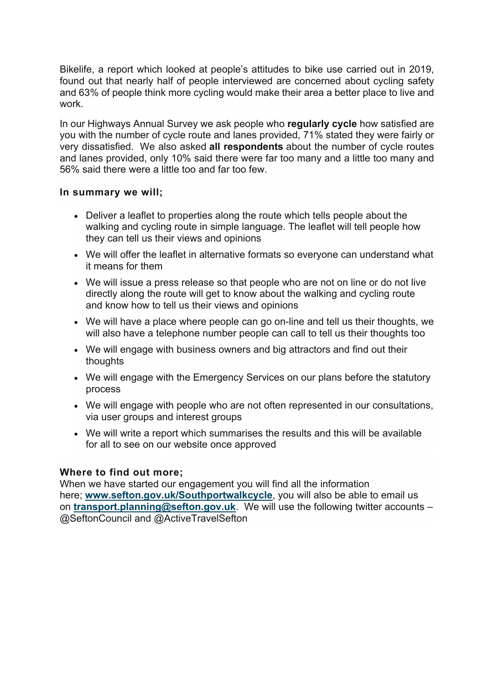Bikelife, a report which looked at people's attitudes to bike use carried out in 2019, found out that nearly half of people interviewed are concerned about cycling safety and 63% of people think more cycling would make their area a better place to live and work.

In our Highways Annual Survey we ask people who **regularly cycle** how satisfied are you with the number of cycle route and lanes provided, 71% stated they were fairly or very dissatisfied. We also asked **all respondents** about the number of cycle routes and lanes provided, only 10% said there were far too many and a little too many and 56% said there were a little too and far too few.

### **In summary we will;**

- Deliver a leaflet to properties along the route which tells people about the walking and cycling route in simple language. The leaflet will tell people how they can tell us their views and opinions
- We will offer the leaflet in alternative formats so everyone can understand what it means for them
- We will issue a press release so that people who are not on line or do not live directly along the route will get to know about the walking and cycling route and know how to tell us their views and opinions
- We will have a place where people can go on-line and tell us their thoughts, we will also have a telephone number people can call to tell us their thoughts too
- We will engage with business owners and big attractors and find out their thoughts
- We will engage with the Emergency Services on our plans before the statutory process
- We will engage with people who are not often represented in our consultations, via user groups and interest groups
- We will write a report which summarises the results and this will be available for all to see on our website once approved

# **Where to find out more;**

When we have started our engagement you will find all the information here; **[www.sefton.gov.uk/Southportwalkcycle](http://www.sefton.gov.uk/Southportwalkcycle)**, you will also be able to email us on **[transport.planning@sefton.gov.uk](mailto:transport.planning@sefton.gov.uk)**. We will use the following twitter accounts – @SeftonCouncil and @ActiveTravelSefton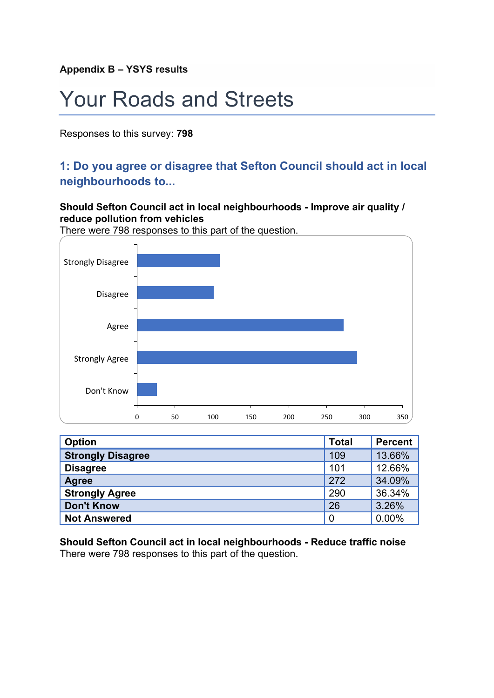**Appendix B – YSYS results**

# Your Roads and Streets

Responses to this survey: **798**

# **1: Do you agree or disagree that Sefton Council should act in local neighbourhoods to...**

# **Should Sefton Council act in local neighbourhoods - Improve air quality / reduce pollution from vehicles**

There were 798 responses to this part of the question.



| <b>Option</b>            | <b>Total</b> | <b>Percent</b> |
|--------------------------|--------------|----------------|
| <b>Strongly Disagree</b> | 109          | 13.66%         |
| <b>Disagree</b>          | 101          | 12.66%         |
| Agree                    | 272          | 34.09%         |
| <b>Strongly Agree</b>    | 290          | 36.34%         |
| <b>Don't Know</b>        | 26           | 3.26%          |
| <b>Not Answered</b>      | 0            | 0.00%          |

**Should Sefton Council act in local neighbourhoods - Reduce traffic noise** There were 798 responses to this part of the question.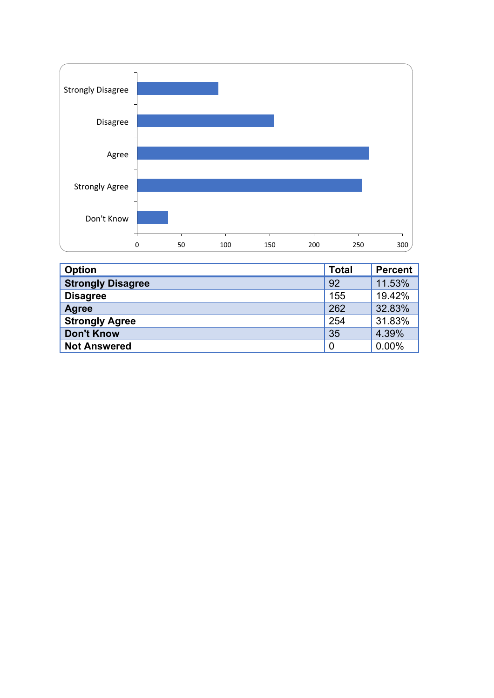

| <b>Option</b>            | <b>Total</b>   | <b>Percent</b> |
|--------------------------|----------------|----------------|
| <b>Strongly Disagree</b> | 92             | 11.53%         |
| <b>Disagree</b>          | 155            | 19.42%         |
| Agree                    | 262            | 32.83%         |
| <b>Strongly Agree</b>    | 254            | 31.83%         |
| <b>Don't Know</b>        | 35             | 4.39%          |
| <b>Not Answered</b>      | $\overline{0}$ | 0.00%          |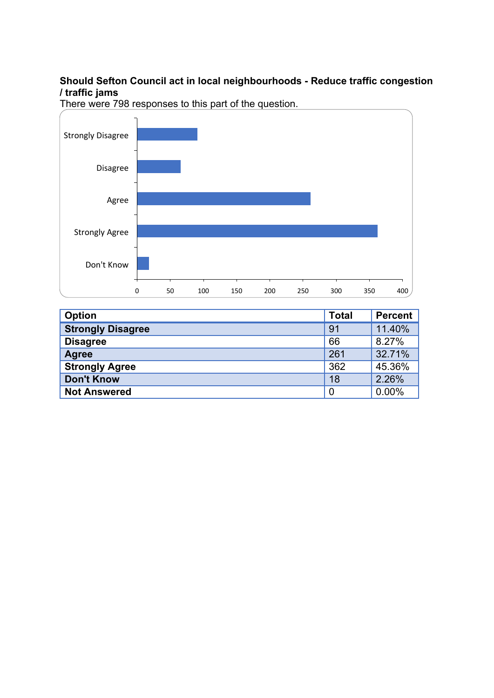# **Should Sefton Council act in local neighbourhoods - Reduce traffic congestion / traffic jams**



| Option                   | <b>Total</b>   | <b>Percent</b> |
|--------------------------|----------------|----------------|
| <b>Strongly Disagree</b> | 91             | 11.40%         |
| <b>Disagree</b>          | 66             | 8.27%          |
| <b>Agree</b>             | 261            | 32.71%         |
| <b>Strongly Agree</b>    | 362            | 45.36%         |
| <b>Don't Know</b>        | 18             | 2.26%          |
| <b>Not Answered</b>      | $\overline{0}$ | 0.00%          |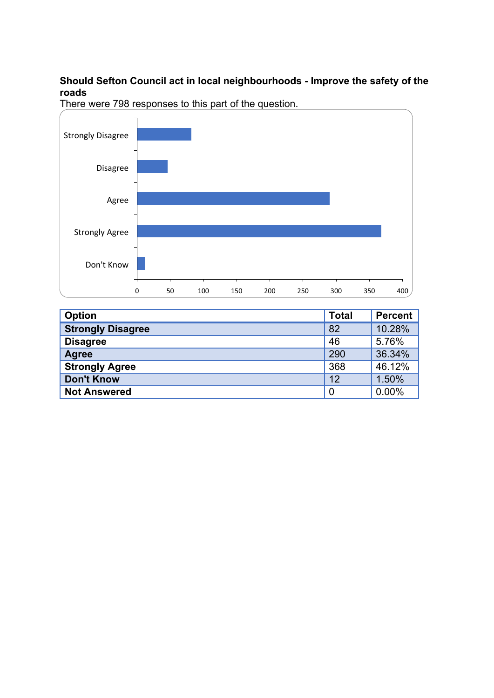# **Should Sefton Council act in local neighbourhoods - Improve the safety of the roads**



| <b>Option</b>            | <b>Total</b> | <b>Percent</b> |
|--------------------------|--------------|----------------|
| <b>Strongly Disagree</b> | 82           | 10.28%         |
| <b>Disagree</b>          | 46           | 5.76%          |
| <b>Agree</b>             | 290          | 36.34%         |
| <b>Strongly Agree</b>    | 368          | 46.12%         |
| <b>Don't Know</b>        | 12           | 1.50%          |
| <b>Not Answered</b>      | 0            | 0.00%          |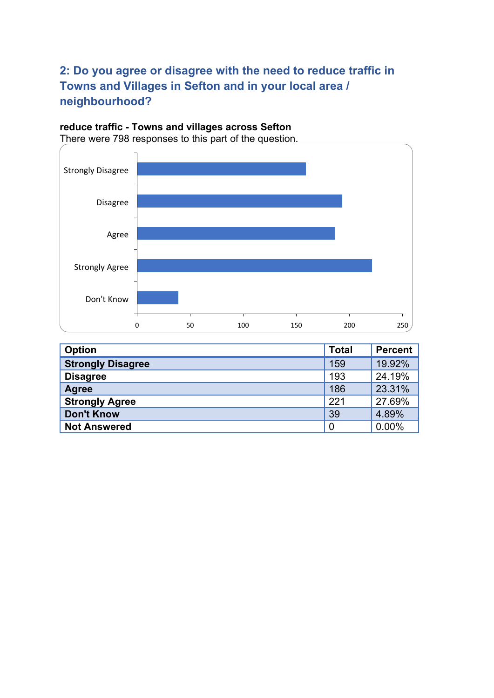# **2: Do you agree or disagree with the need to reduce traffic in Towns and Villages in Sefton and in your local area / neighbourhood?**

# **reduce traffic - Towns and villages across Sefton**



| <b>Option</b>            | <b>Total</b>   | Percent |
|--------------------------|----------------|---------|
| <b>Strongly Disagree</b> | 159            | 19.92%  |
| <b>Disagree</b>          | 193            | 24.19%  |
| <b>Agree</b>             | 186            | 23.31%  |
| <b>Strongly Agree</b>    | 221            | 27.69%  |
| <b>Don't Know</b>        | 39             | 4.89%   |
| <b>Not Answered</b>      | $\overline{0}$ | 0.00%   |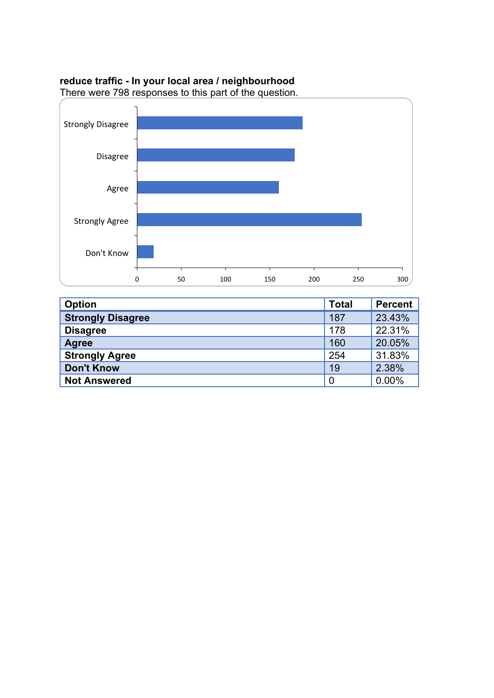### **reduce traffic - In your local area / neighbourhood**



| <b>Option</b>            | <b>Total</b>   | <b>Percent</b> |
|--------------------------|----------------|----------------|
| <b>Strongly Disagree</b> | 187            | 23.43%         |
| <b>Disagree</b>          | 178            | 22.31%         |
| <b>Agree</b>             | 160            | 20.05%         |
| <b>Strongly Agree</b>    | 254            | 31.83%         |
| <b>Don't Know</b>        | 19             | 2.38%          |
| <b>Not Answered</b>      | $\overline{0}$ | 0.00%          |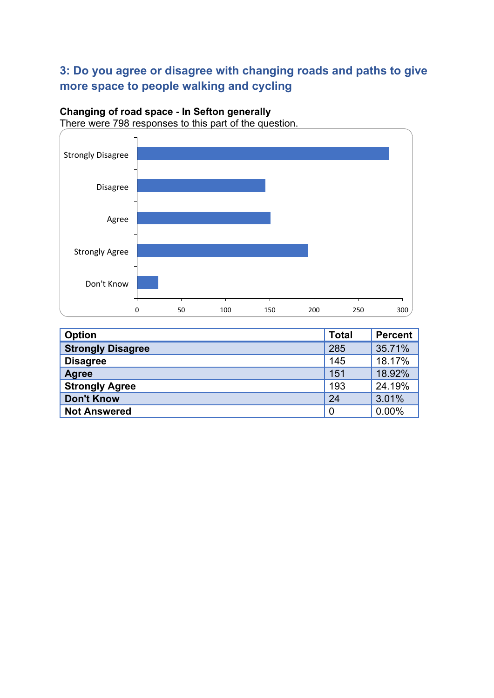# **3: Do you agree or disagree with changing roads and paths to give more space to people walking and cycling**

# **Changing of road space - In Sefton generally**



| <b>Option</b>            | <b>Total</b> | <b>Percent</b> |
|--------------------------|--------------|----------------|
| <b>Strongly Disagree</b> | 285          | 35.71%         |
| <b>Disagree</b>          | 145          | 18.17%         |
| <b>Agree</b>             | 151          | 18.92%         |
| <b>Strongly Agree</b>    | 193          | 24.19%         |
| <b>Don't Know</b>        | 24           | 3.01%          |
| <b>Not Answered</b>      | 0            | 0.00%          |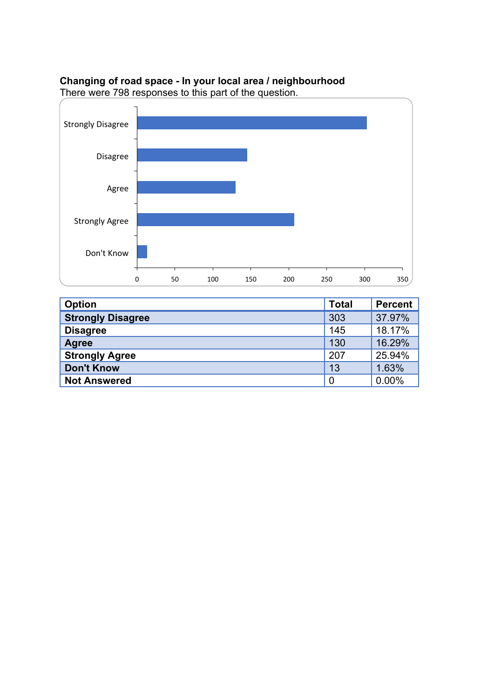# **Changing of road space - In your local area / neighbourhood**

0 50 100 150 200 250 300 350 Don't Know Strongly Agree Agree Disagree Strongly Disagree

| <b>Option</b>            | <b>Total</b> | <b>Percent</b> |
|--------------------------|--------------|----------------|
| <b>Strongly Disagree</b> | 303          | 37.97%         |
| <b>Disagree</b>          | 145          | 18.17%         |
| <b>Agree</b>             | 130          | 16.29%         |
| <b>Strongly Agree</b>    | 207          | 25.94%         |
| <b>Don't Know</b>        | 13           | 1.63%          |
| <b>Not Answered</b>      | 0            | 0.00%          |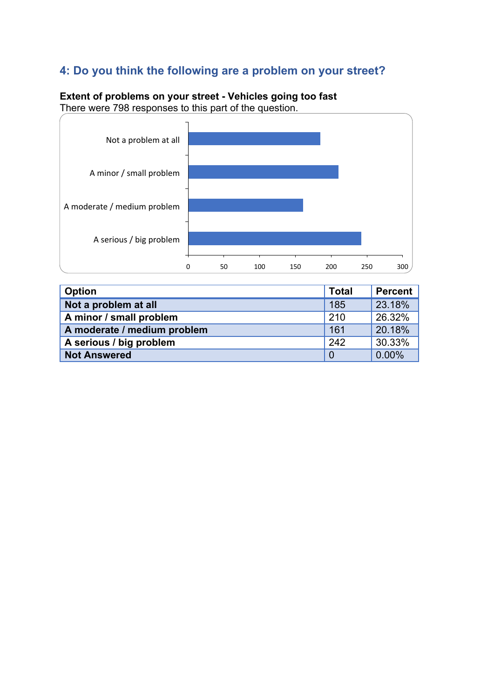# **4: Do you think the following are a problem on your street?**

# 0 50 100 150 200 250 300 A serious / big problem A moderate / medium problem A minor / small problem Not a problem at all

**Extent of problems on your street - Vehicles going too fast** There were 798 responses to this part of the question.

| <b>Option</b>               | <b>Total</b>   | <b>Percent</b> |
|-----------------------------|----------------|----------------|
| Not a problem at all        | 185            | 23.18%         |
| A minor / small problem     | 210            | 26.32%         |
| A moderate / medium problem | 161            | 20.18%         |
| A serious / big problem     | 242            | 30.33%         |
| <b>Not Answered</b>         | $\overline{0}$ | 0.00%          |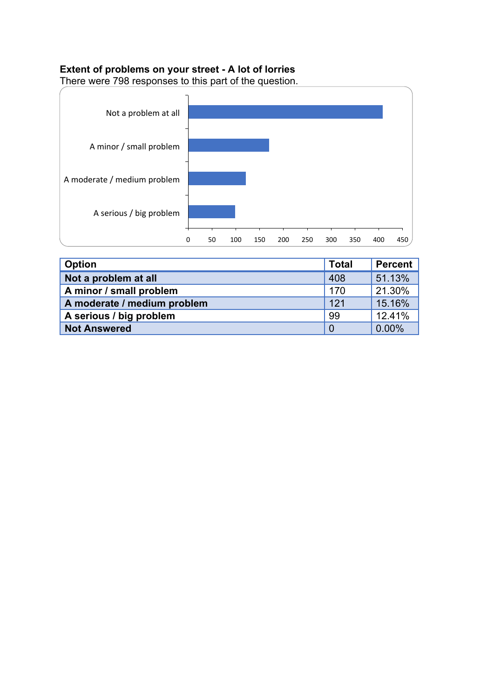# **Extent of problems on your street - A lot of lorries**



| Option                      | <b>Total</b>   | Percent |
|-----------------------------|----------------|---------|
| Not a problem at all        | 408            | 51.13%  |
| A minor / small problem     | 170            | 21.30%  |
| A moderate / medium problem | 121            | 15.16%  |
| A serious / big problem     | -99            | 12.41%  |
| <b>Not Answered</b>         | $\overline{0}$ | 0.00%   |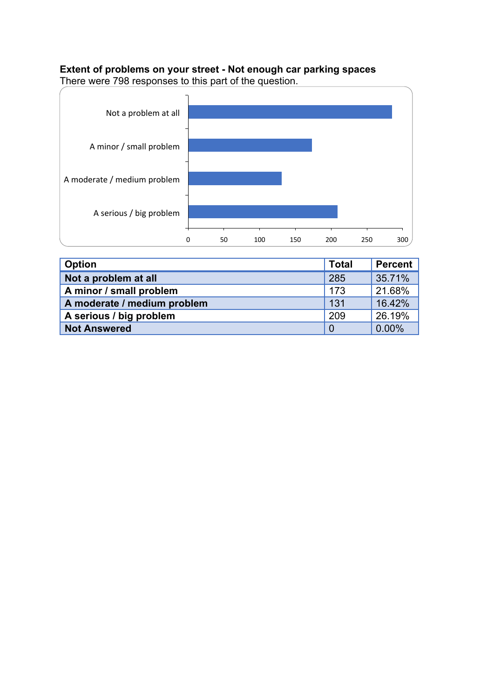# **Extent of problems on your street - Not enough car parking spaces**



| <b>Option</b>               | <b>Total</b>   | <b>Percent</b> |
|-----------------------------|----------------|----------------|
| Not a problem at all        | 285            | 35.71%         |
| A minor / small problem     | 173            | 21.68%         |
| A moderate / medium problem | 131            | 16.42%         |
| A serious / big problem     | 209            | 26.19%         |
| <b>Not Answered</b>         | $\overline{0}$ | 0.00%          |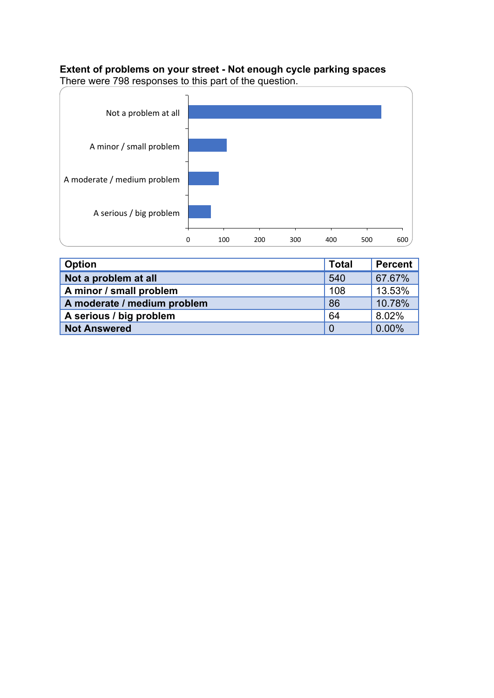# **Extent of problems on your street - Not enough cycle parking spaces**





| Option                      | <b>Total</b> | Percent |
|-----------------------------|--------------|---------|
| Not a problem at all        | 540          | 67.67%  |
| A minor / small problem     | 108          | 13.53%  |
| A moderate / medium problem | 86           | 10.78%  |
| A serious / big problem     | 64           | 8.02%   |
| <b>Not Answered</b>         |              | 0.00%   |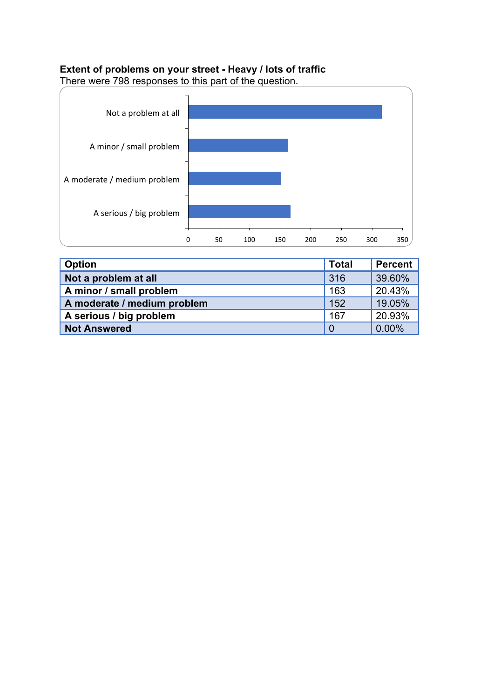# **Extent of problems on your street - Heavy / lots of traffic**



| Option                      | <b>Total</b> | Percent |
|-----------------------------|--------------|---------|
| Not a problem at all        | 316          | 39.60%  |
| A minor / small problem     | 163          | 20.43%  |
| A moderate / medium problem | 152          | 19.05%  |
| A serious / big problem     | 167          | 20.93%  |
| <b>Not Answered</b>         |              | 0.00%   |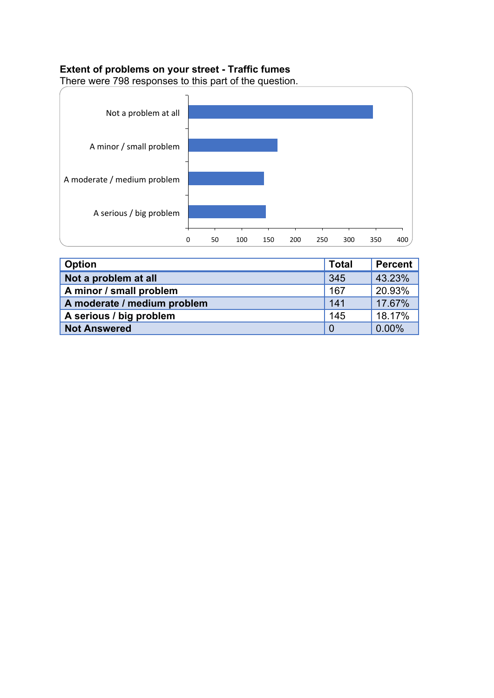# **Extent of problems on your street - Traffic fumes**



| Option                      | <b>Total</b> | Percent |
|-----------------------------|--------------|---------|
| Not a problem at all        | 345          | 43.23%  |
| A minor / small problem     | 167          | 20.93%  |
| A moderate / medium problem | 141          | 17.67%  |
| A serious / big problem     | 145          | 18.17%  |
| <b>Not Answered</b>         |              | 0.00%   |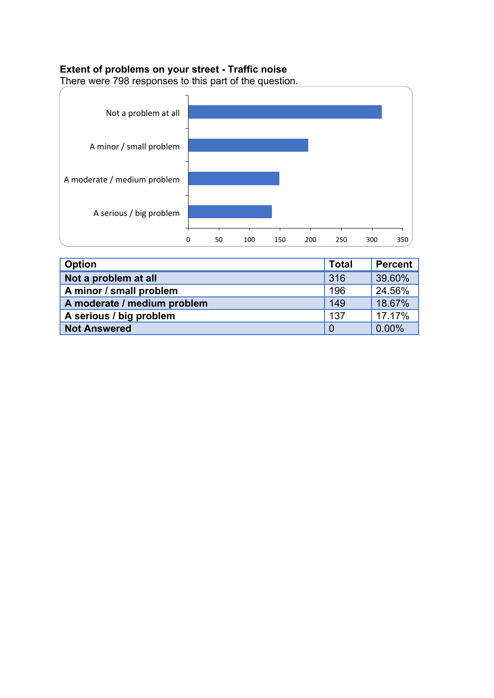# **Extent of problems on your street - Traffic noise**



| <b>Option</b>               | <b>Total</b> | Percent |
|-----------------------------|--------------|---------|
| Not a problem at all        | 316          | 39.60%  |
| A minor / small problem     | 196          | 24.56%  |
| A moderate / medium problem | 149          | 18.67%  |
| A serious / big problem     | 137          | 17.17%  |
| <b>Not Answered</b>         |              | 0.00%   |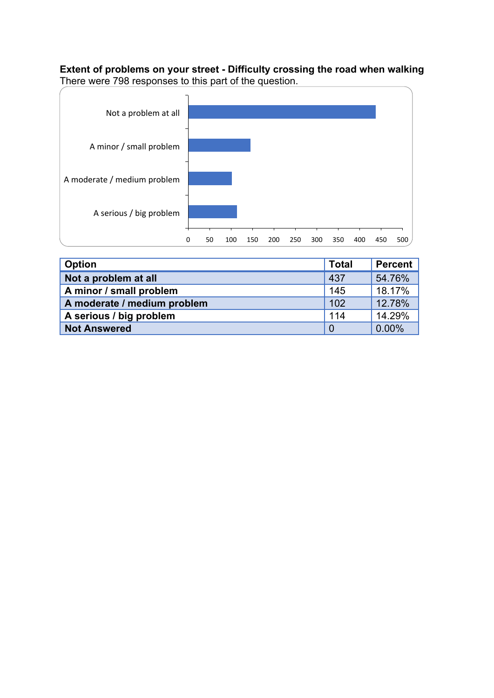**Extent of problems on your street - Difficulty crossing the road when walking** There were 798 responses to this part of the question.



| Option                      | <b>Total</b> | Percent |
|-----------------------------|--------------|---------|
| Not a problem at all        | 437          | 54.76%  |
| A minor / small problem     | 145          | 18.17%  |
| A moderate / medium problem | 102          | 12.78%  |
| A serious / big problem     | 114          | 14.29%  |
| <b>Not Answered</b>         | 0            | 0.00%   |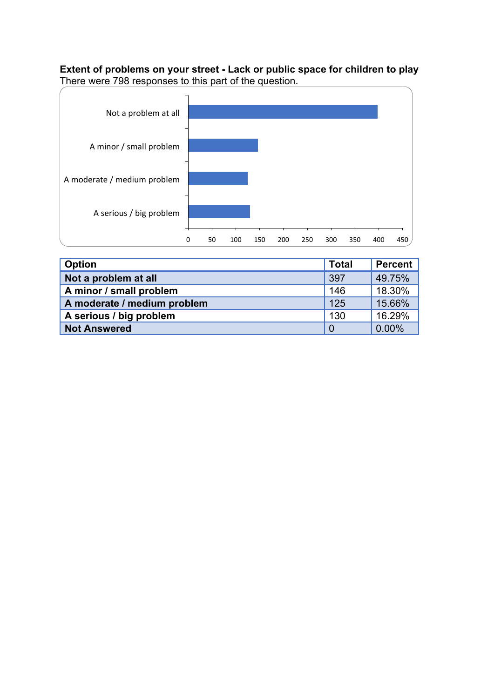**Extent of problems on your street - Lack or public space for children to play** There were 798 responses to this part of the question.



| <b>Option</b>               | <b>Total</b>   | Percent |
|-----------------------------|----------------|---------|
| Not a problem at all        | 397            | 49.75%  |
| A minor / small problem     | 146            | 18.30%  |
| A moderate / medium problem | 125            | 15.66%  |
| A serious / big problem     | 130            | 16.29%  |
| <b>Not Answered</b>         | $\overline{0}$ | 0.00%   |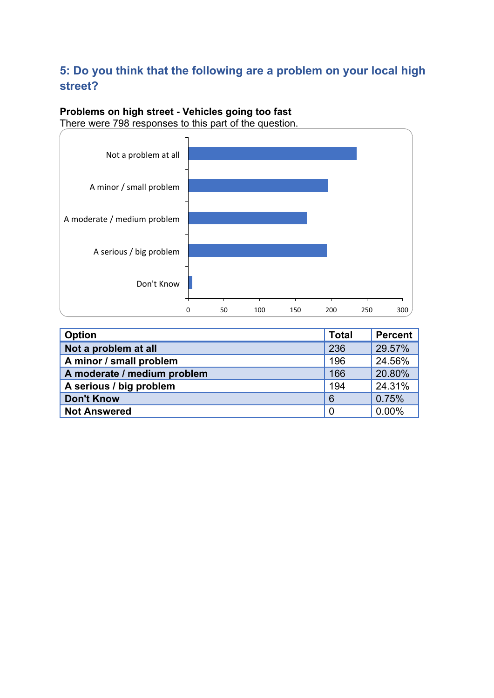# **5: Do you think that the following are a problem on your local high street?**

# **Problems on high street - Vehicles going too fast**



| <b>Option</b>               | <b>Total</b> | Percent |
|-----------------------------|--------------|---------|
| Not a problem at all        | 236          | 29.57%  |
| A minor / small problem     | 196          | 24.56%  |
| A moderate / medium problem | 166          | 20.80%  |
| A serious / big problem     | 194          | 24.31%  |
| <b>Don't Know</b>           | 6            | 0.75%   |
| <b>Not Answered</b>         | 0            | 0.00%   |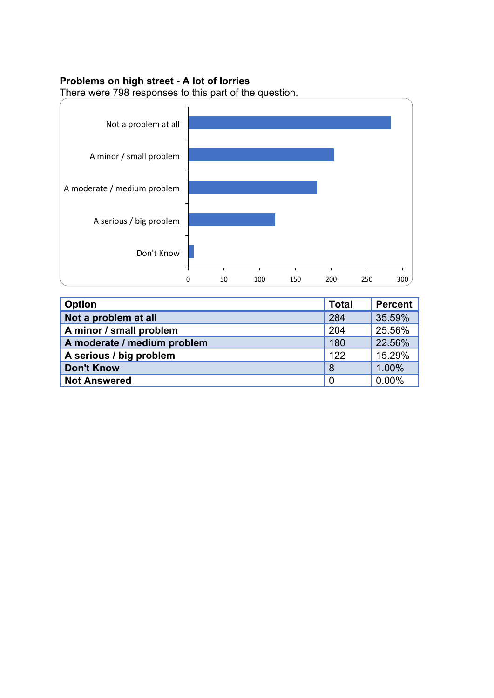#### **Problems on high street - A lot of lorries**



| <b>Option</b>               | <b>Total</b>   | <b>Percent</b> |
|-----------------------------|----------------|----------------|
| Not a problem at all        | 284            | 35.59%         |
| A minor / small problem     | 204            | 25.56%         |
| A moderate / medium problem | 180            | 22.56%         |
| A serious / big problem     | 122            | 15.29%         |
| <b>Don't Know</b>           | 8              | 1.00%          |
| <b>Not Answered</b>         | $\overline{0}$ | 0.00%          |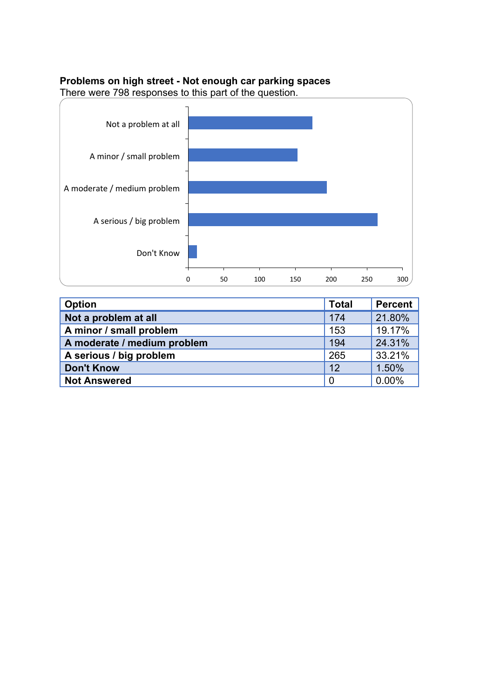#### **Problems on high street - Not enough car parking spaces**



| <b>Option</b>               | <b>Total</b>   | <b>Percent</b> |
|-----------------------------|----------------|----------------|
| Not a problem at all        | 174            | 21.80%         |
| A minor / small problem     | 153            | 19.17%         |
| A moderate / medium problem | 194            | 24.31%         |
| A serious / big problem     | 265            | 33.21%         |
| <b>Don't Know</b>           | 12             | 1.50%          |
| <b>Not Answered</b>         | $\overline{0}$ | 0.00%          |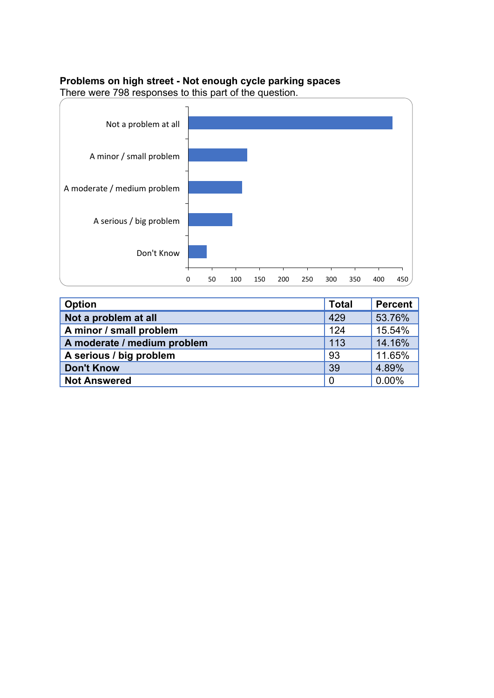#### **Problems on high street - Not enough cycle parking spaces**



| Option                      | <b>Total</b>   | <b>Percent</b> |
|-----------------------------|----------------|----------------|
| Not a problem at all        | 429            | 53.76%         |
| A minor / small problem     | 124            | 15.54%         |
| A moderate / medium problem | 113            | 14.16%         |
| A serious / big problem     | 93             | 11.65%         |
| <b>Don't Know</b>           | 39             | 4.89%          |
| <b>Not Answered</b>         | $\overline{0}$ | 0.00%          |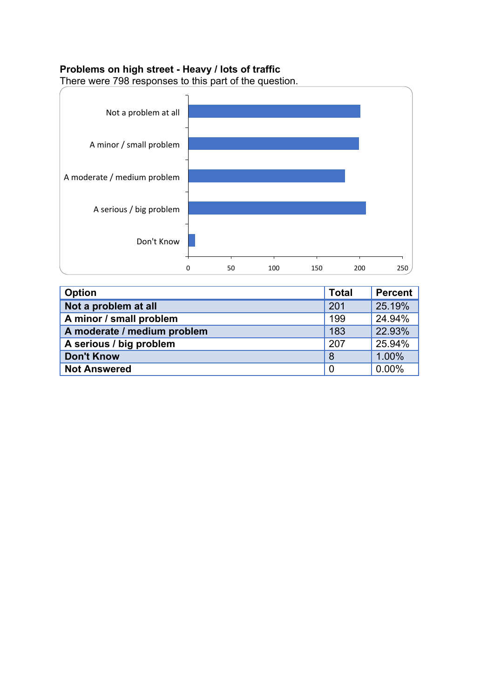# **Problems on high street - Heavy / lots of traffic**



| <b>Option</b>               | <b>Total</b>   | <b>Percent</b> |
|-----------------------------|----------------|----------------|
| Not a problem at all        | 201            | 25.19%         |
| A minor / small problem     | 199            | 24.94%         |
| A moderate / medium problem | 183            | 22.93%         |
| A serious / big problem     | 207            | 25.94%         |
| <b>Don't Know</b>           | 8              | 1.00%          |
| <b>Not Answered</b>         | $\overline{0}$ | 0.00%          |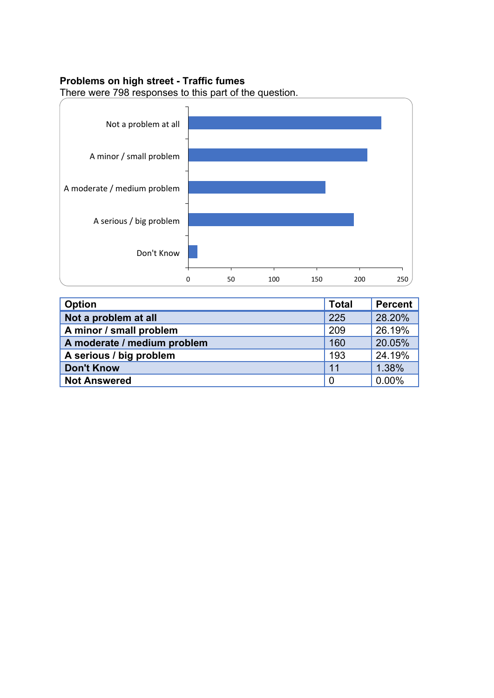#### **Problems on high street - Traffic fumes**



| <b>Option</b>               | <b>Total</b> | <b>Percent</b> |
|-----------------------------|--------------|----------------|
| Not a problem at all        | 225          | 28.20%         |
| A minor / small problem     | 209          | 26.19%         |
| A moderate / medium problem | 160          | 20.05%         |
| A serious / big problem     | 193          | 24.19%         |
| <b>Don't Know</b>           | 11           | 1.38%          |
| <b>Not Answered</b>         | 0            | 0.00%          |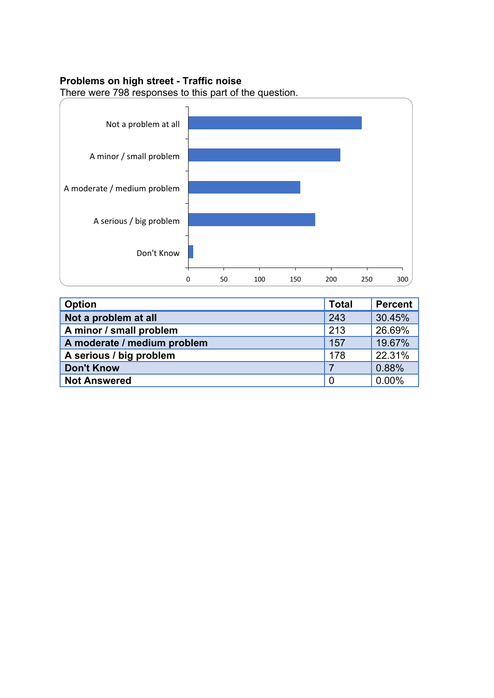#### **Problems on high street - Traffic noise**



| <b>Option</b>               | <b>Total</b>   | <b>Percent</b> |
|-----------------------------|----------------|----------------|
| Not a problem at all        | 243            | 30.45%         |
| A minor / small problem     | 213            | 26.69%         |
| A moderate / medium problem | 157            | 19.67%         |
| A serious / big problem     | 178            | 22.31%         |
| <b>Don't Know</b>           |                | 0.88%          |
| <b>Not Answered</b>         | $\overline{0}$ | 0.00%          |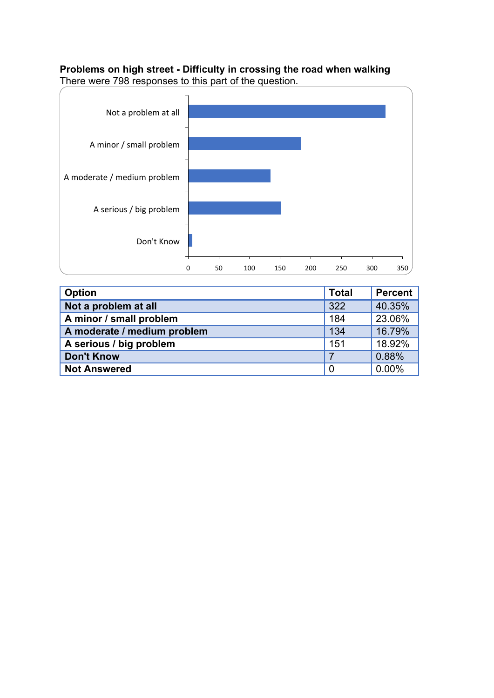**Problems on high street - Difficulty in crossing the road when walking** There were 798 responses to this part of the question.



| Option                      | <b>Total</b>   | <b>Percent</b> |
|-----------------------------|----------------|----------------|
| Not a problem at all        | 322            | 40.35%         |
| A minor / small problem     | 184            | 23.06%         |
| A moderate / medium problem | 134            | 16.79%         |
| A serious / big problem     | 151            | 18.92%         |
| <b>Don't Know</b>           | $\overline{7}$ | 0.88%          |
| <b>Not Answered</b>         | $\overline{0}$ | 0.00%          |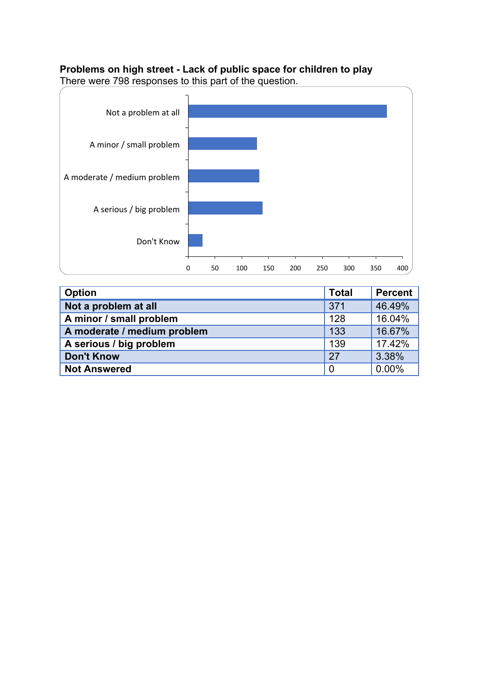# **Problems on high street - Lack of public space for children to play**



| <b>Option</b>               | <b>Total</b>   | <b>Percent</b> |
|-----------------------------|----------------|----------------|
| Not a problem at all        | 371            | 46.49%         |
| A minor / small problem     | 128            | 16.04%         |
| A moderate / medium problem | 133            | 16.67%         |
| A serious / big problem     | 139            | 17.42%         |
| <b>Don't Know</b>           | 27             | 3.38%          |
| <b>Not Answered</b>         | $\overline{0}$ | 0.00%          |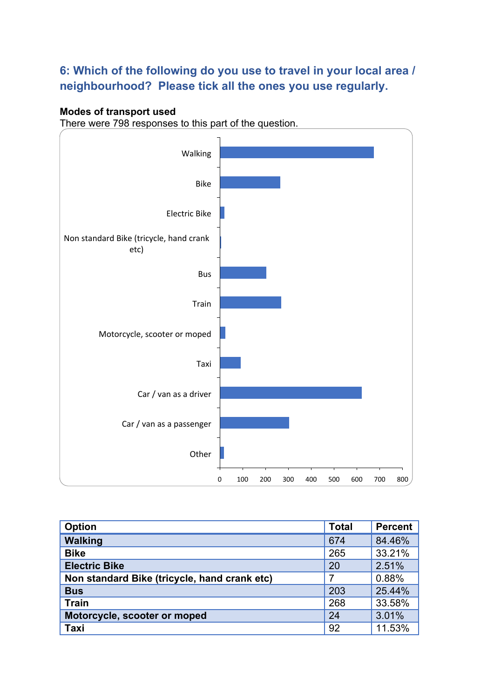# **6: Which of the following do you use to travel in your local area / neighbourhood? Please tick all the ones you use regularly.**

### **Modes of transport used**



| <b>Option</b>                                | <b>Total</b> | <b>Percent</b> |
|----------------------------------------------|--------------|----------------|
| <b>Walking</b>                               | 674          | 84.46%         |
| <b>Bike</b>                                  | 265          | 33.21%         |
| <b>Electric Bike</b>                         | 20           | 2.51%          |
| Non standard Bike (tricycle, hand crank etc) |              | 0.88%          |
| <b>Bus</b>                                   | 203          | 25.44%         |
| <b>Train</b>                                 | 268          | 33.58%         |
| Motorcycle, scooter or moped                 | 24           | 3.01%          |
| <b>Taxi</b>                                  | 92           | 11.53%         |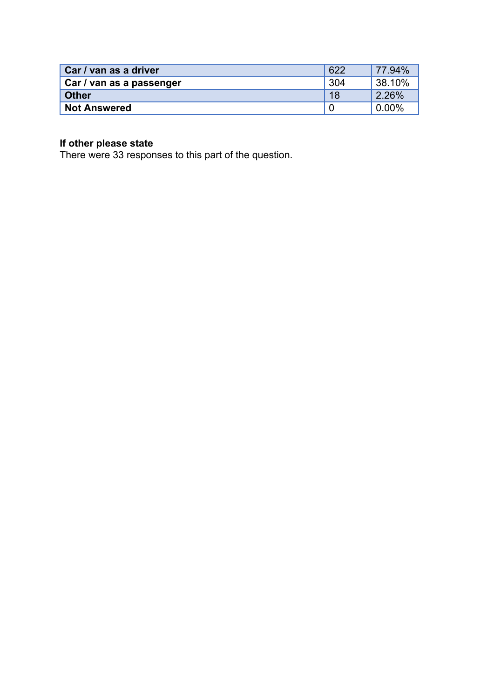| Car / van as a driver    | 622 | 77.94%              |
|--------------------------|-----|---------------------|
| Car / van as a passenger | 304 | 38.10%              |
| <b>Other</b>             | 18  | 2.26%               |
| <b>Not Answered</b>      |     | $\frac{1}{2}0.00\%$ |

#### **If other please state**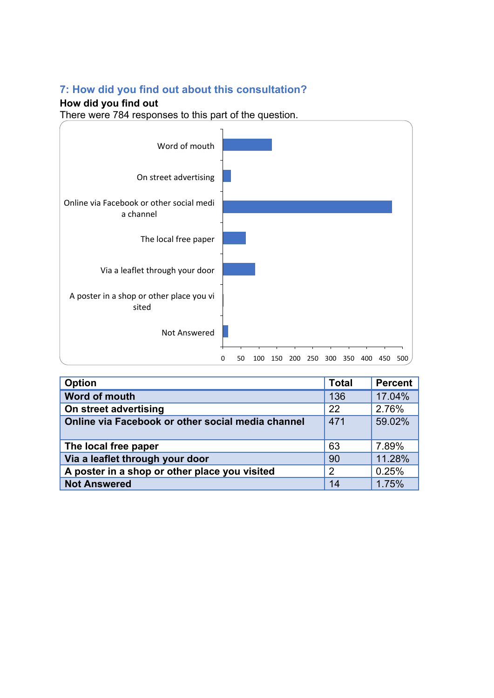# **7: How did you find out about this consultation?**

# **How did you find out**



| <b>Option</b>                                     | <b>Total</b>   | <b>Percent</b> |
|---------------------------------------------------|----------------|----------------|
| Word of mouth                                     | 136            | 17.04%         |
| On street advertising                             | 22             | 2.76%          |
| Online via Facebook or other social media channel | 471            | 59.02%         |
| The local free paper                              | 63             | 7.89%          |
| Via a leaflet through your door                   | 90             | 11.28%         |
| A poster in a shop or other place you visited     | $\overline{2}$ | 0.25%          |
| <b>Not Answered</b>                               | 14             | 1.75%          |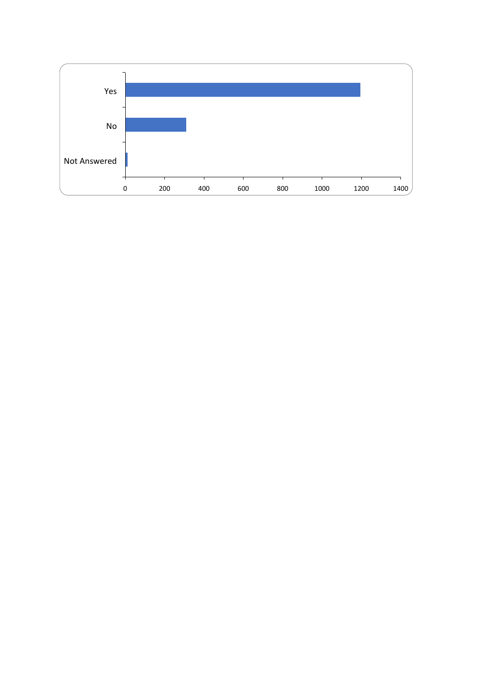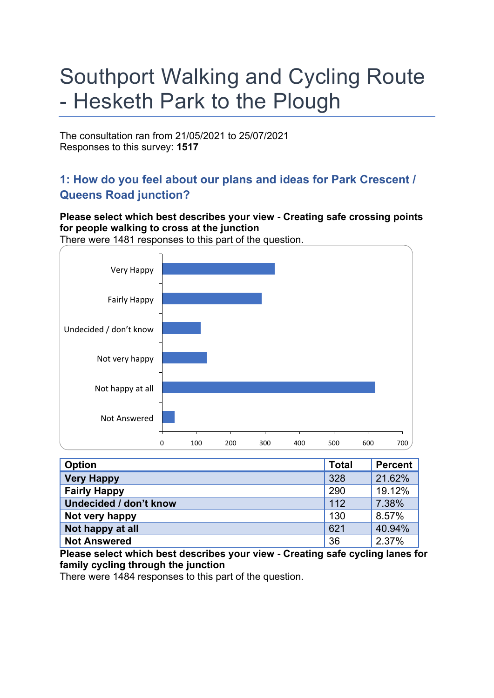# Southport Walking and Cycling Route - Hesketh Park to the Plough

The consultation ran from 21/05/2021 to 25/07/2021 Responses to this survey: **1517**

# **1: How do you feel about our plans and ideas for Park Crescent / Queens Road junction?**

**Please select which best describes your view - Creating safe crossing points for people walking to cross at the junction**



| <b>Option</b>          | <b>Total</b> | <b>Percent</b> |
|------------------------|--------------|----------------|
| <b>Very Happy</b>      | 328          | 21.62%         |
| <b>Fairly Happy</b>    | 290          | 19.12%         |
| Undecided / don't know | 112          | 7.38%          |
| Not very happy         | 130          | 8.57%          |
| Not happy at all       | 621          | 40.94%         |
| <b>Not Answered</b>    | 36           | 2.37%          |

**Please select which best describes your view - Creating safe cycling lanes for family cycling through the junction**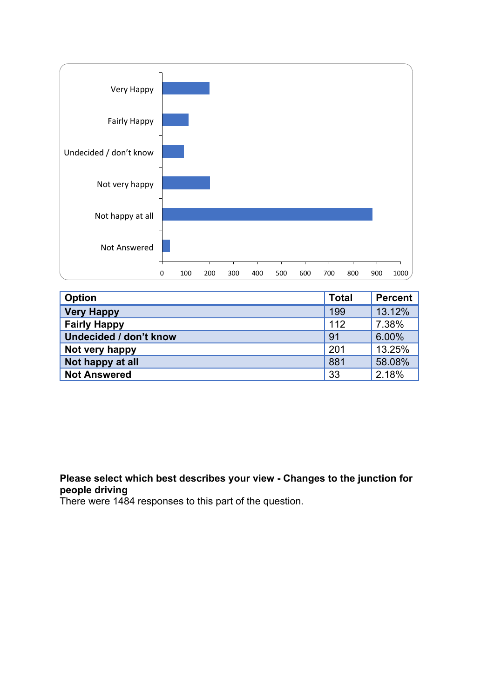

| <b>Option</b>                 | <b>Total</b> | <b>Percent</b> |
|-------------------------------|--------------|----------------|
| <b>Very Happy</b>             | 199          | 13.12%         |
| <b>Fairly Happy</b>           | 112          | 7.38%          |
| <b>Undecided / don't know</b> | 91           | 6.00%          |
| Not very happy                | 201          | 13.25%         |
| Not happy at all              | 881          | 58.08%         |
| <b>Not Answered</b>           | 33           | 2.18%          |

# **Please select which best describes your view - Changes to the junction for people driving**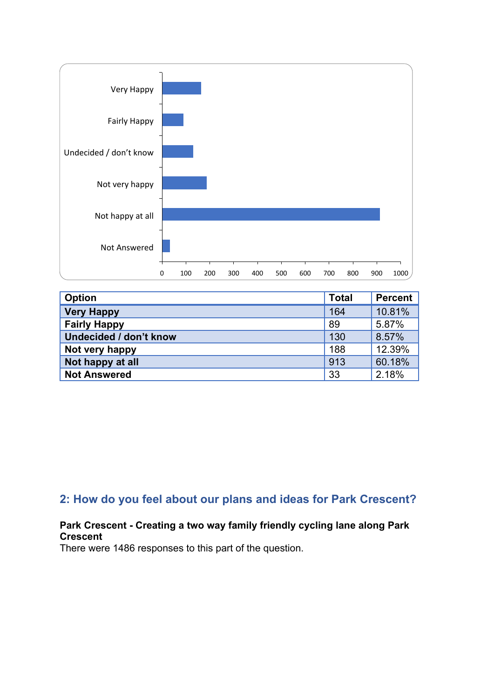

| <b>Option</b>          | <b>Total</b> | <b>Percent</b> |
|------------------------|--------------|----------------|
| <b>Very Happy</b>      | 164          | 10.81%         |
| <b>Fairly Happy</b>    | 89           | 5.87%          |
| Undecided / don't know | 130          | 8.57%          |
| Not very happy         | 188          | 12.39%         |
| Not happy at all       | 913          | 60.18%         |
| <b>Not Answered</b>    | 33           | 2.18%          |

# **2: How do you feel about our plans and ideas for Park Crescent?**

### **Park Crescent - Creating a two way family friendly cycling lane along Park Crescent**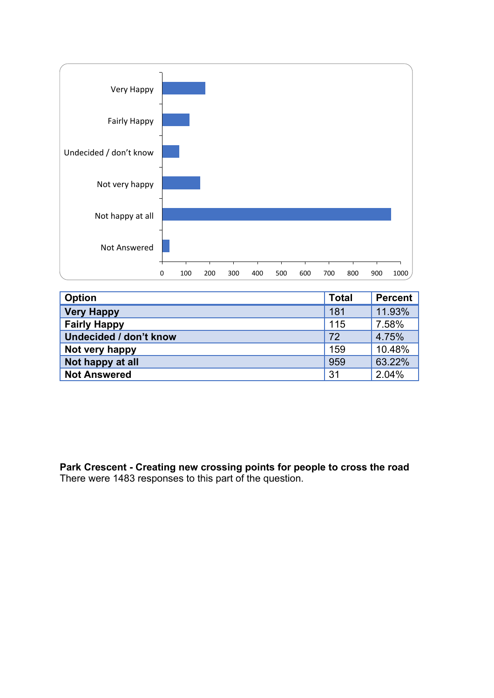

| <b>Option</b>                 | <b>Total</b> | <b>Percent</b> |
|-------------------------------|--------------|----------------|
| <b>Very Happy</b>             | 181          | 11.93%         |
| <b>Fairly Happy</b>           | 115          | 7.58%          |
| <b>Undecided / don't know</b> | 72           | 4.75%          |
| Not very happy                | 159          | 10.48%         |
| Not happy at all              | 959          | 63.22%         |
| <b>Not Answered</b>           | 31           | 2.04%          |

**Park Crescent - Creating new crossing points for people to cross the road** There were 1483 responses to this part of the question.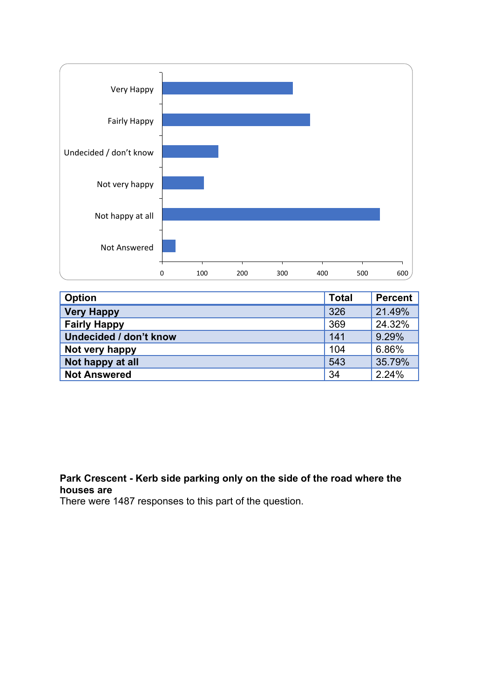

| <b>Option</b>                 | <b>Total</b> | <b>Percent</b> |
|-------------------------------|--------------|----------------|
| <b>Very Happy</b>             | 326          | 21.49%         |
| <b>Fairly Happy</b>           | 369          | 24.32%         |
| <b>Undecided / don't know</b> | 141          | 9.29%          |
| Not very happy                | 104          | 6.86%          |
| Not happy at all              | 543          | 35.79%         |
| <b>Not Answered</b>           | 34           | 2.24%          |

# **Park Crescent - Kerb side parking only on the side of the road where the houses are**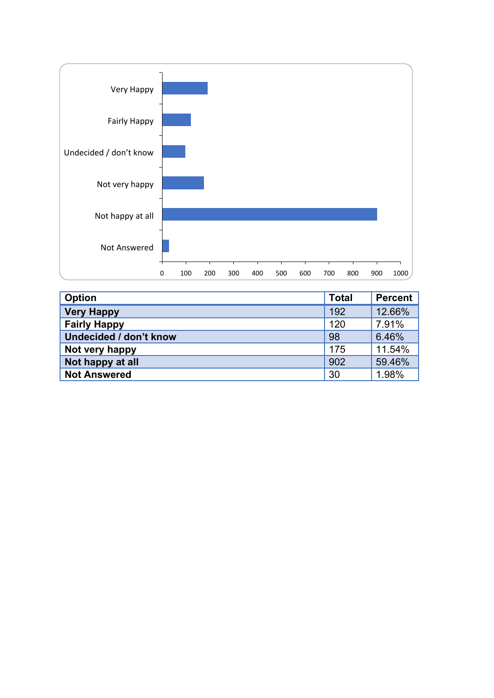

| <b>Option</b>                 | <b>Total</b> | <b>Percent</b> |
|-------------------------------|--------------|----------------|
| <b>Very Happy</b>             | 192          | 12.66%         |
| <b>Fairly Happy</b>           | 120          | 7.91%          |
| <b>Undecided / don't know</b> | 98           | 6.46%          |
| Not very happy                | 175          | 11.54%         |
| Not happy at all              | 902          | 59.46%         |
| <b>Not Answered</b>           | 30           | 1.98%          |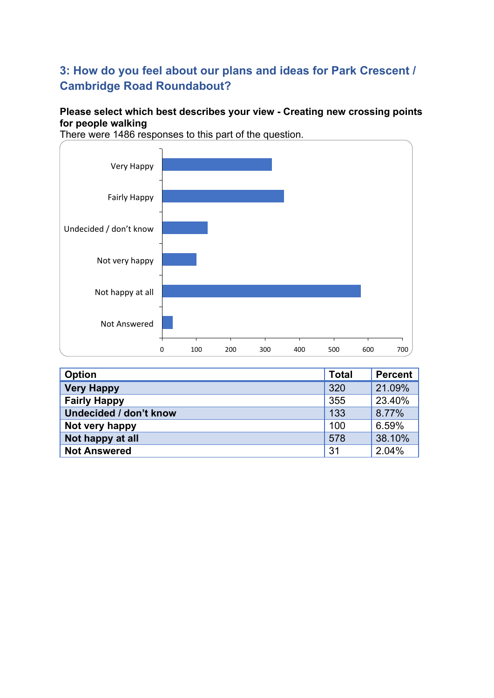# **3: How do you feel about our plans and ideas for Park Crescent / Cambridge Road Roundabout?**

## **Please select which best describes your view - Creating new crossing points for people walking**



| <b>Option</b>          | <b>Total</b> | Percent |
|------------------------|--------------|---------|
| <b>Very Happy</b>      | 320          | 21.09%  |
| <b>Fairly Happy</b>    | 355          | 23.40%  |
| Undecided / don't know | 133          | 8.77%   |
| Not very happy         | 100          | 6.59%   |
| Not happy at all       | 578          | 38.10%  |
| <b>Not Answered</b>    | -31          | 2.04%   |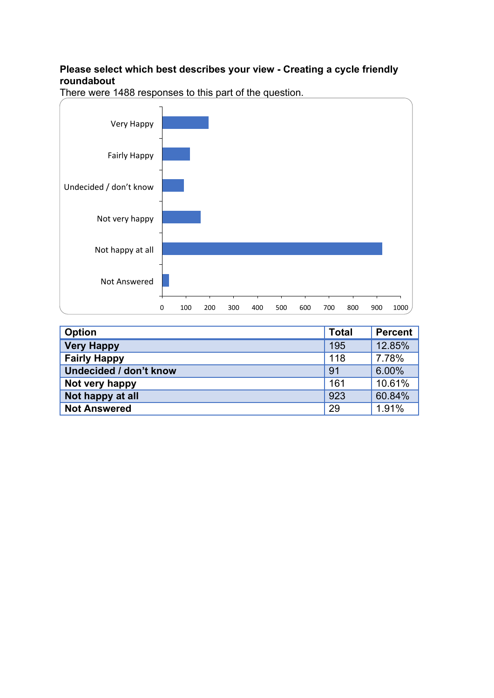### **Please select which best describes your view - Creating a cycle friendly roundabout**



| <b>Option</b>          | <b>Total</b> | <b>Percent</b> |
|------------------------|--------------|----------------|
| <b>Very Happy</b>      | 195          | 12.85%         |
| <b>Fairly Happy</b>    | 118          | 7.78%          |
| Undecided / don't know | 91           | 6.00%          |
| Not very happy         | 161          | 10.61%         |
| Not happy at all       | 923          | 60.84%         |
| <b>Not Answered</b>    | 29           | 1.91%          |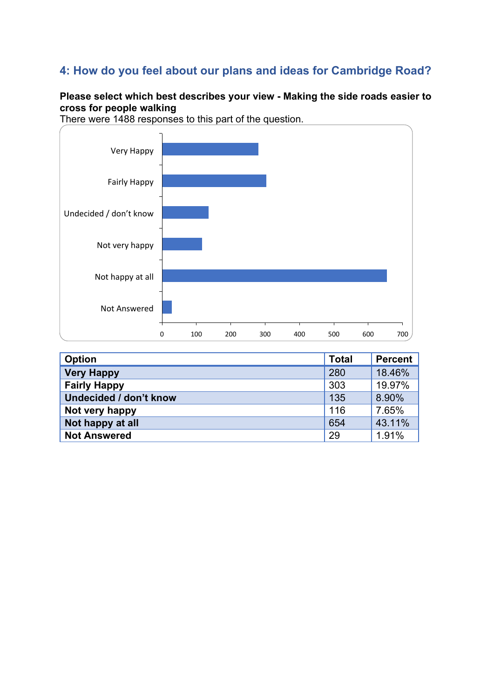# **4: How do you feel about our plans and ideas for Cambridge Road?**

# **Please select which best describes your view - Making the side roads easier to cross for people walking**



| <b>Option</b>          | <b>Total</b> | Percent |
|------------------------|--------------|---------|
| <b>Very Happy</b>      | 280          | 18.46%  |
| <b>Fairly Happy</b>    | 303          | 19.97%  |
| Undecided / don't know | 135          | 8.90%   |
| Not very happy         | 116          | 7.65%   |
| Not happy at all       | 654          | 43.11%  |
| <b>Not Answered</b>    | 29           | 1.91%   |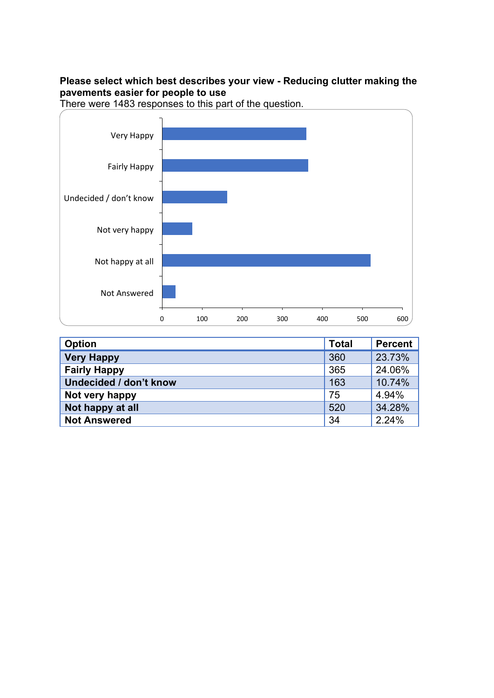### **Please select which best describes your view - Reducing clutter making the pavements easier for people to use**



| Option                 | <b>Total</b> | Percent |
|------------------------|--------------|---------|
| <b>Very Happy</b>      | 360          | 23.73%  |
| <b>Fairly Happy</b>    | 365          | 24.06%  |
| Undecided / don't know | 163          | 10.74%  |
| Not very happy         | 75           | 4.94%   |
| Not happy at all       | 520          | 34.28%  |
| <b>Not Answered</b>    | 34           | 2.24%   |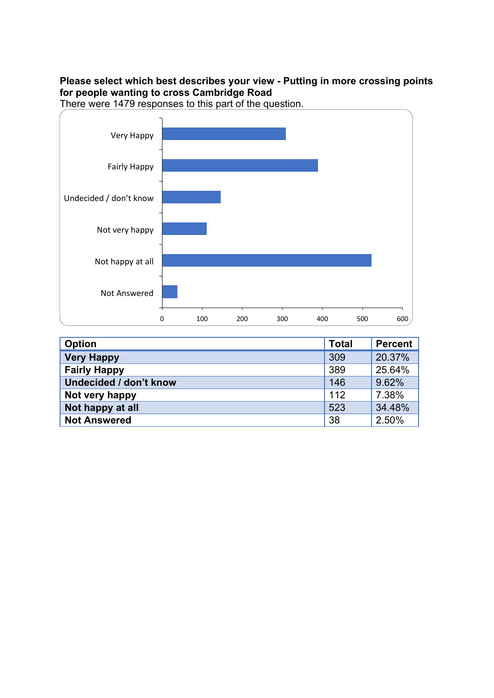### **Please select which best describes your view - Putting in more crossing points for people wanting to cross Cambridge Road**



| <b>Option</b>          | <b>Total</b> | <b>Percent</b> |
|------------------------|--------------|----------------|
| <b>Very Happy</b>      | 309          | 20.37%         |
| <b>Fairly Happy</b>    | 389          | 25.64%         |
| Undecided / don't know | 146          | 9.62%          |
| Not very happy         | 112          | 7.38%          |
| Not happy at all       | 523          | 34.48%         |
| <b>Not Answered</b>    | 38           | 2.50%          |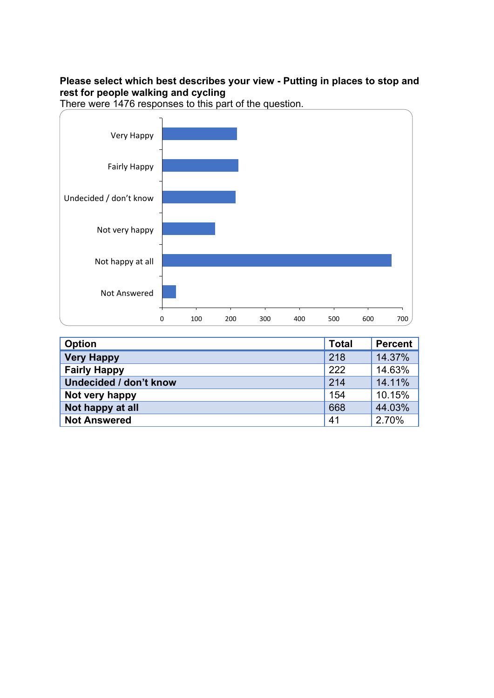### **Please select which best describes your view - Putting in places to stop and rest for people walking and cycling**



| <b>Option</b>          | <b>Total</b> | <b>Percent</b> |
|------------------------|--------------|----------------|
| <b>Very Happy</b>      | 218          | 14.37%         |
| <b>Fairly Happy</b>    | 222          | 14.63%         |
| Undecided / don't know | 214          | 14.11%         |
| Not very happy         | 154          | 10.15%         |
| Not happy at all       | 668          | 44.03%         |
| <b>Not Answered</b>    | 41           | 2.70%          |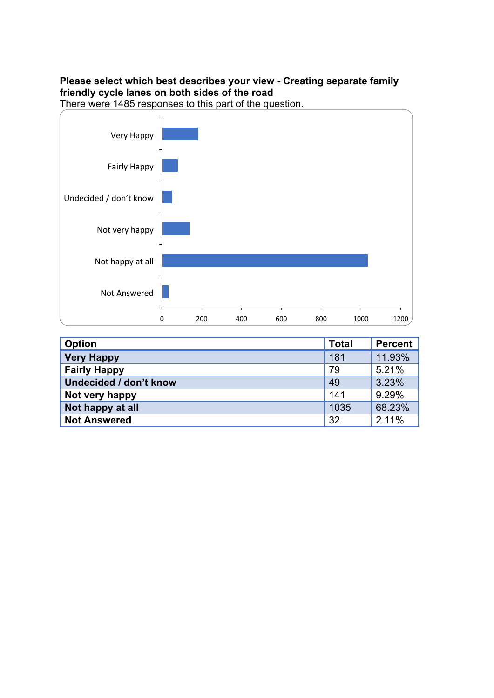### **Please select which best describes your view - Creating separate family friendly cycle lanes on both sides of the road**



| <b>Option</b>          | <b>Total</b> | <b>Percent</b> |
|------------------------|--------------|----------------|
| <b>Very Happy</b>      | 181          | 11.93%         |
| <b>Fairly Happy</b>    | 79           | 5.21%          |
| Undecided / don't know | 49           | 3.23%          |
| Not very happy         | 141          | 9.29%          |
| Not happy at all       | 1035         | 68.23%         |
| <b>Not Answered</b>    | 32           | 2.11%          |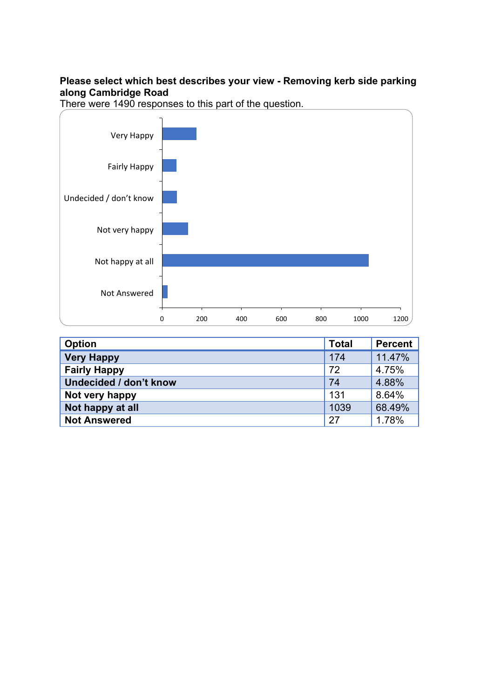### **Please select which best describes your view - Removing kerb side parking along Cambridge Road**



| <b>Option</b>          | <b>Total</b> | <b>Percent</b> |
|------------------------|--------------|----------------|
| <b>Very Happy</b>      | 174          | 11.47%         |
| <b>Fairly Happy</b>    | 72           | 4.75%          |
| Undecided / don't know | 74           | 4.88%          |
| Not very happy         | 131          | 8.64%          |
| Not happy at all       | 1039         | 68.49%         |
| <b>Not Answered</b>    | 27           | 1.78%          |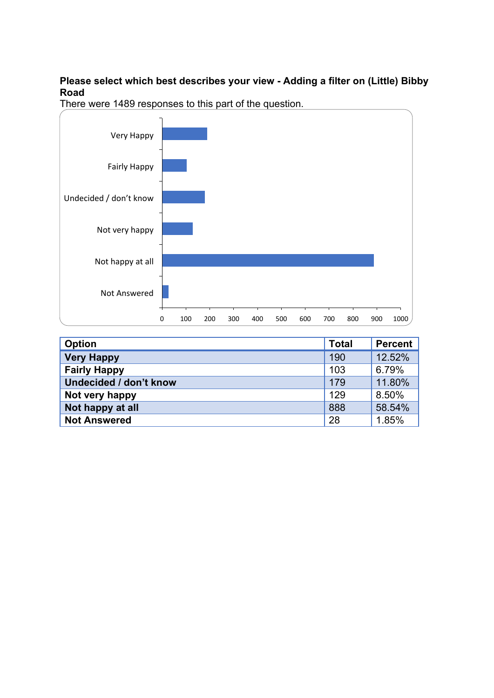#### **Please select which best describes your view - Adding a filter on (Little) Bibby Road**



| <b>Option</b>          | <b>Total</b> | Percent |
|------------------------|--------------|---------|
| <b>Very Happy</b>      | 190          | 12.52%  |
| <b>Fairly Happy</b>    | 103          | 6.79%   |
| Undecided / don't know | 179          | 11.80%  |
| Not very happy         | 129          | 8.50%   |
| Not happy at all       | 888          | 58.54%  |
| <b>Not Answered</b>    | 28           | 1.85%   |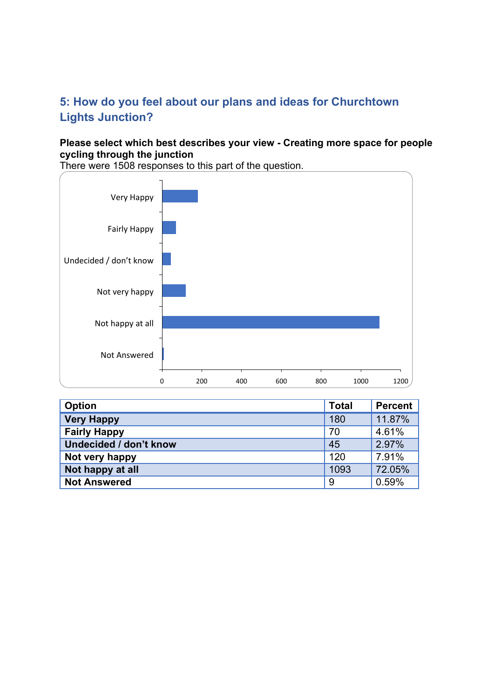# **5: How do you feel about our plans and ideas for Churchtown Lights Junction?**

#### **Please select which best describes your view - Creating more space for people cycling through the junction**



| <b>Option</b>                 | <b>Total</b> | <b>Percent</b> |
|-------------------------------|--------------|----------------|
| <b>Very Happy</b>             | 180          | 11.87%         |
| <b>Fairly Happy</b>           | 70           | 4.61%          |
| <b>Undecided / don't know</b> | 45           | 2.97%          |
| Not very happy                | 120          | 7.91%          |
| Not happy at all              | 1093         | 72.05%         |
| <b>Not Answered</b>           | -9           | 0.59%          |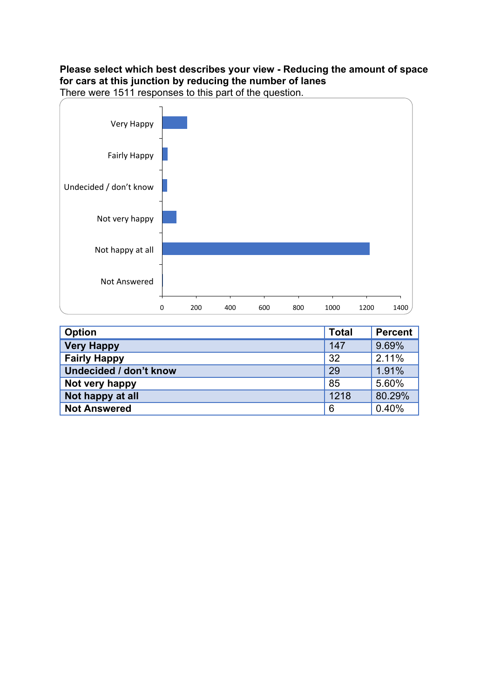# **Please select which best describes your view - Reducing the amount of space for cars at this junction by reducing the number of lanes**



| <b>Option</b>                 | <b>Total</b> | <b>Percent</b> |
|-------------------------------|--------------|----------------|
| <b>Very Happy</b>             | 147          | 9.69%          |
| <b>Fairly Happy</b>           | 32           | 2.11%          |
| <b>Undecided / don't know</b> | 29           | 1.91%          |
| Not very happy                | 85           | 5.60%          |
| Not happy at all              | 1218         | 80.29%         |
| <b>Not Answered</b>           | 6            | 0.40%          |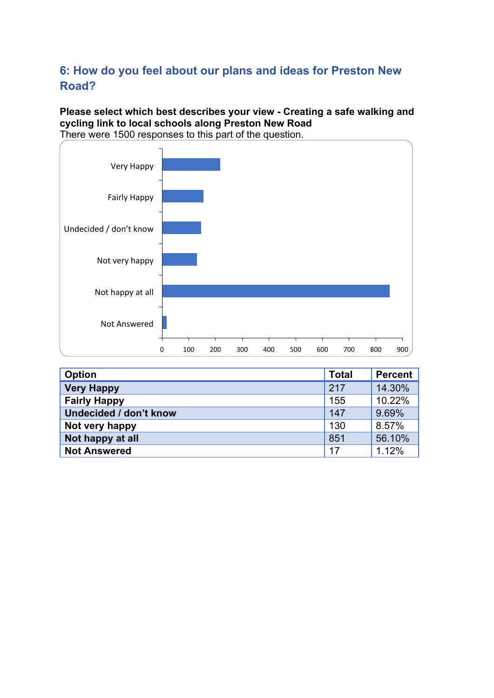# **6: How do you feel about our plans and ideas for Preston New Road?**

**Please select which best describes your view - Creating a safe walking and cycling link to local schools along Preston New Road** There were 1500 responses to this part of the question.



| <b>Option</b>                 | <b>Total</b> | <b>Percent</b> |
|-------------------------------|--------------|----------------|
| <b>Very Happy</b>             | 217          | 14.30%         |
| <b>Fairly Happy</b>           | 155          | 10.22%         |
| <b>Undecided / don't know</b> | 147          | 9.69%          |
| Not very happy                | 130          | 8.57%          |
| Not happy at all              | 851          | 56.10%         |
| <b>Not Answered</b>           | 17           | 1.12%          |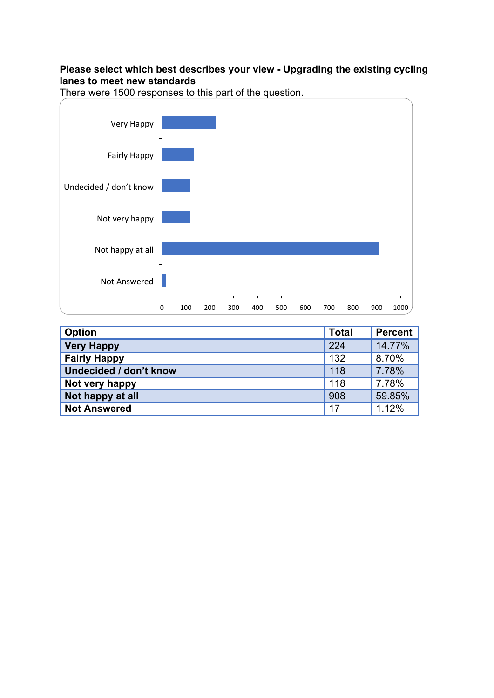#### **Please select which best describes your view - Upgrading the existing cycling lanes to meet new standards**



| Option                 | <b>Total</b> | <b>Percent</b> |
|------------------------|--------------|----------------|
| <b>Very Happy</b>      | 224          | 14.77%         |
| <b>Fairly Happy</b>    | 132          | 8.70%          |
| Undecided / don't know | 118          | 7.78%          |
| Not very happy         | 118          | 7.78%          |
| Not happy at all       | 908          | 59.85%         |
| <b>Not Answered</b>    | 17           | 1.12%          |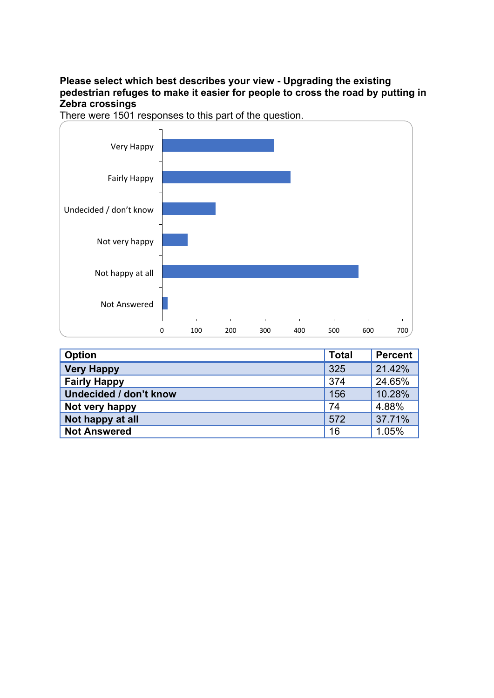**Please select which best describes your view - Upgrading the existing pedestrian refuges to make it easier for people to cross the road by putting in Zebra crossings**



| <b>Option</b>                 | <b>Total</b> | <b>Percent</b> |
|-------------------------------|--------------|----------------|
| <b>Very Happy</b>             | 325          | 21.42%         |
| <b>Fairly Happy</b>           | 374          | 24.65%         |
| <b>Undecided / don't know</b> | 156          | 10.28%         |
| Not very happy                | 74           | 4.88%          |
| Not happy at all              | 572          | 37.71%         |
| <b>Not Answered</b>           | 16           | 1.05%          |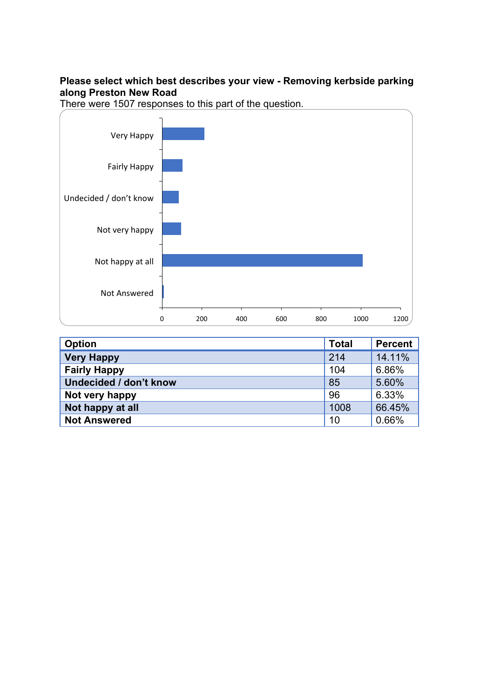### **Please select which best describes your view - Removing kerbside parking along Preston New Road**





| <b>Option</b>          | <b>Total</b> | <b>Percent</b> |
|------------------------|--------------|----------------|
| <b>Very Happy</b>      | 214          | 14.11%         |
| <b>Fairly Happy</b>    | 104          | 6.86%          |
| Undecided / don't know | 85           | 5.60%          |
| Not very happy         | 96           | 6.33%          |
| Not happy at all       | 1008         | 66.45%         |
| <b>Not Answered</b>    | 10           | 0.66%          |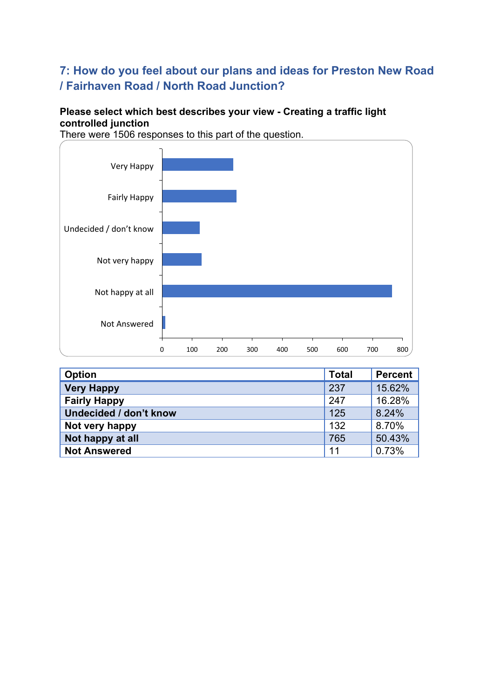# **7: How do you feel about our plans and ideas for Preston New Road / Fairhaven Road / North Road Junction?**

## **Please select which best describes your view - Creating a traffic light controlled junction**



| <b>Option</b>          | <b>Total</b> | Percent |
|------------------------|--------------|---------|
| <b>Very Happy</b>      | 237          | 15.62%  |
| <b>Fairly Happy</b>    | 247          | 16.28%  |
| Undecided / don't know | 125          | 8.24%   |
| Not very happy         | 132          | 8.70%   |
| Not happy at all       | 765          | 50.43%  |
| <b>Not Answered</b>    | 11           | 0.73%   |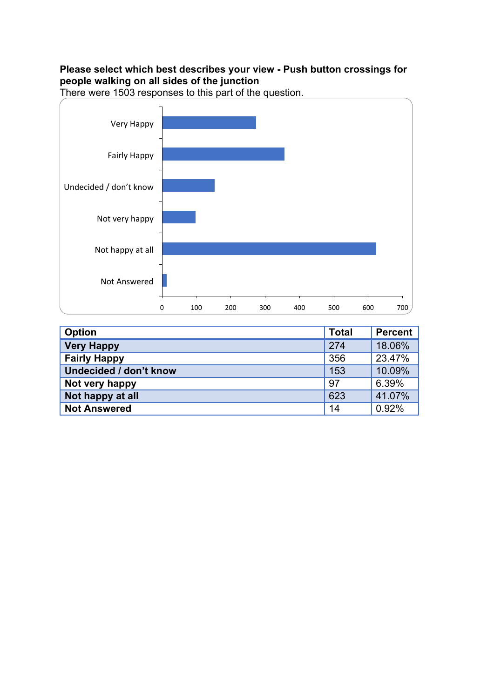## **Please select which best describes your view - Push button crossings for people walking on all sides of the junction**



| <b>Option</b>          | <b>Total</b> | Percent |
|------------------------|--------------|---------|
| <b>Very Happy</b>      | 274          | 18.06%  |
| <b>Fairly Happy</b>    | 356          | 23.47%  |
| Undecided / don't know | 153          | 10.09%  |
| Not very happy         | 97           | 6.39%   |
| Not happy at all       | 623          | 41.07%  |
| <b>Not Answered</b>    | 14           | 0.92%   |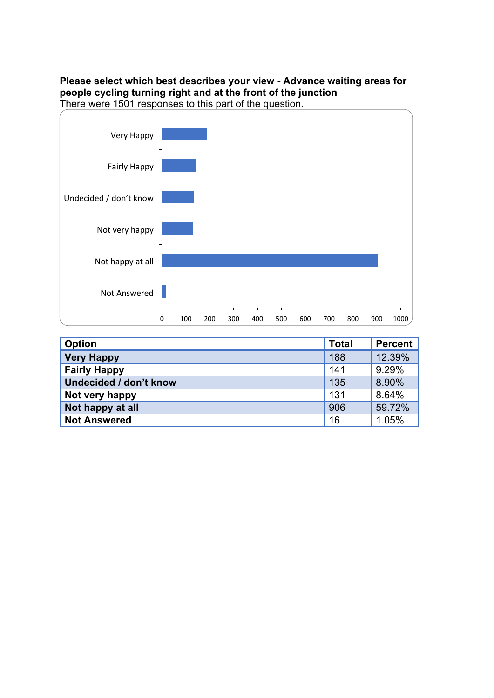#### **Please select which best describes your view - Advance waiting areas for people cycling turning right and at the front of the junction** There were 1501 responses to this part of the question.



**Option Total Percent Very Happy** 188 12.39% **Fairly Happy 141** 9.29% **Undecided / don't know** 135 8.90% **Not very happy** 131 8.64% **Not happy at all** 906 59.72% **Not Answered** 1.05%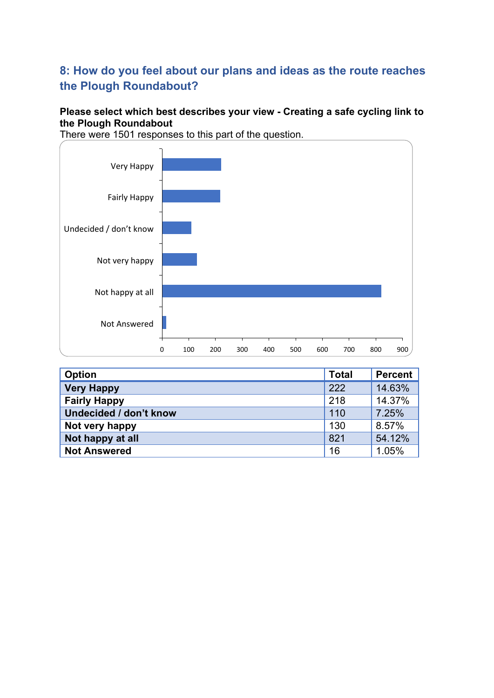# **8: How do you feel about our plans and ideas as the route reaches the Plough Roundabout?**

## **Please select which best describes your view - Creating a safe cycling link to the Plough Roundabout**

0 100 200 300 400 500 600 700 800 900 Not Answered Not happy at all Not very happy Undecided / don't know Fairly Happy Very Happy

| <b>Option</b>                 | <b>Total</b> | Percent |
|-------------------------------|--------------|---------|
| <b>Very Happy</b>             | 222          | 14.63%  |
| <b>Fairly Happy</b>           | 218          | 14.37%  |
| <b>Undecided / don't know</b> | 110          | 7.25%   |
| Not very happy                | 130          | 8.57%   |
| Not happy at all              | 821          | 54.12%  |
| <b>Not Answered</b>           | 16           | 1.05%   |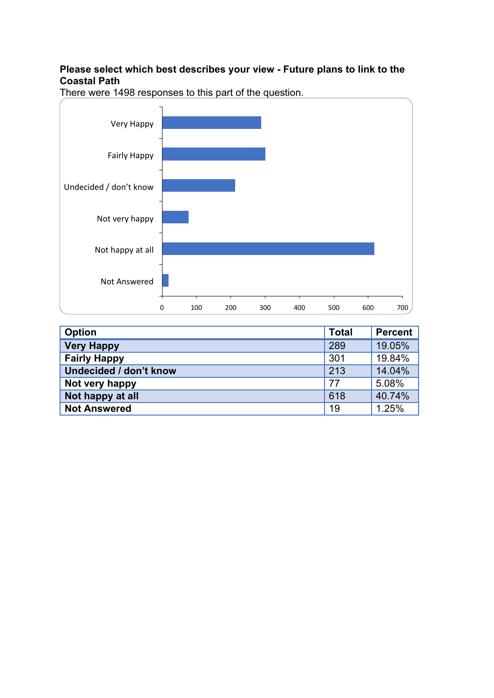## **Please select which best describes your view - Future plans to link to the Coastal Path**



| <b>Option</b>          | <b>Total</b> | <b>Percent</b> |
|------------------------|--------------|----------------|
| <b>Very Happy</b>      | 289          | 19.05%         |
| <b>Fairly Happy</b>    | 301          | 19.84%         |
| Undecided / don't know | 213          | 14.04%         |
| Not very happy         | 77           | 5.08%          |
| Not happy at all       | 618          | 40.74%         |
| <b>Not Answered</b>    | 19           | 1.25%          |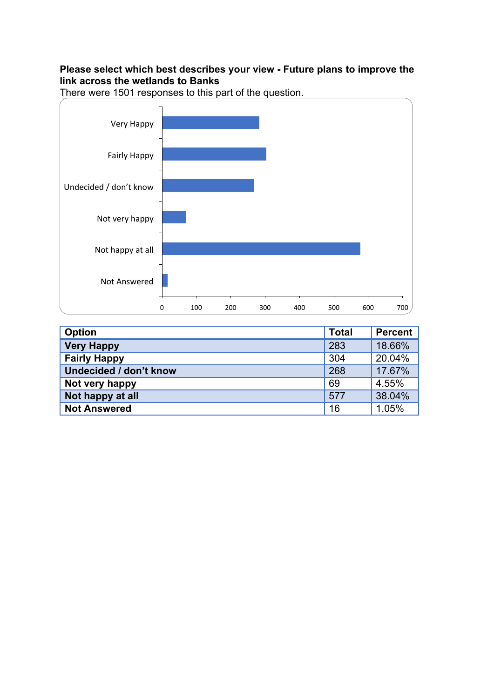## **Please select which best describes your view - Future plans to improve the link across the wetlands to Banks**

0 100 200 300 400 500 600 700 Not Answered Not happy at all Not very happy Undecided / don't know Fairly Happy Very Happy

| <b>Option</b>          | <b>Total</b> | <b>Percent</b> |
|------------------------|--------------|----------------|
| <b>Very Happy</b>      | 283          | 18.66%         |
| <b>Fairly Happy</b>    | 304          | 20.04%         |
| Undecided / don't know | 268          | 17.67%         |
| Not very happy         | 69           | 4.55%          |
| Not happy at all       | 577          | 38.04%         |
| <b>Not Answered</b>    | 16           | 1.05%          |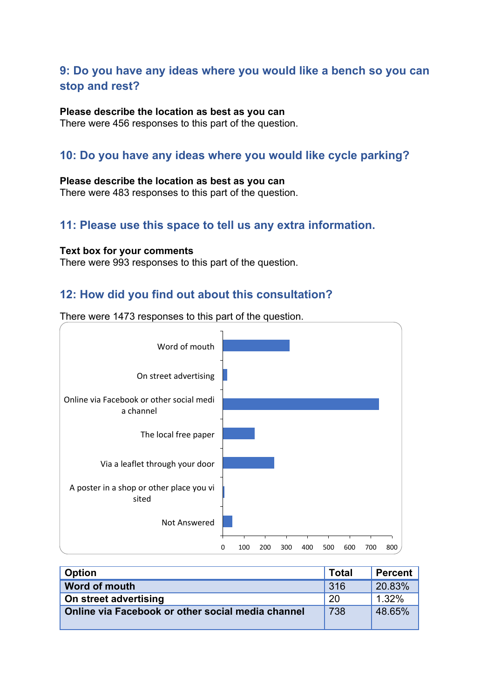## **9: Do you have any ideas where you would like a bench so you can stop and rest?**

#### **Please describe the location as best as you can**

There were 456 responses to this part of the question.

## **10: Do you have any ideas where you would like cycle parking?**

#### **Please describe the location as best as you can**

There were 483 responses to this part of the question.

## **11: Please use this space to tell us any extra information.**

#### **Text box for your comments**

There were 993 responses to this part of the question.

## **12: How did you find out about this consultation?**



| <b>Option</b>                                     | <b>Total</b> | <b>Percent</b> |
|---------------------------------------------------|--------------|----------------|
| Word of mouth                                     | -316         | 20.83%         |
| On street advertising                             | -20          | 1.32%          |
| Online via Facebook or other social media channel | 738          | 48.65%         |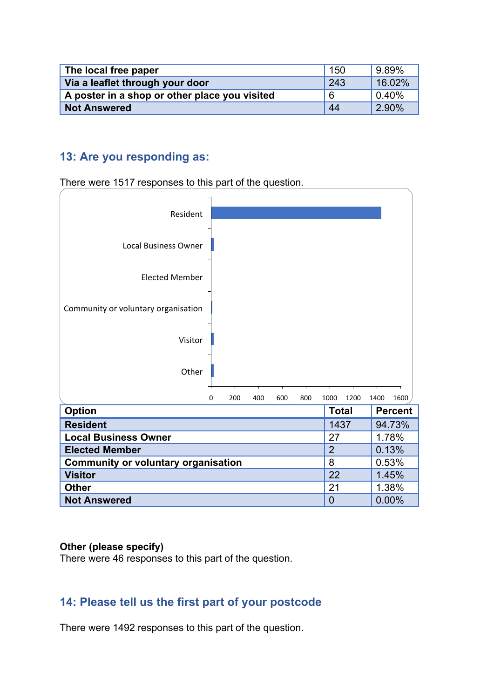| The local free paper                          | 150 | 9.89%     |
|-----------------------------------------------|-----|-----------|
| Via a leaflet through your door               | 243 | 16.02%    |
| A poster in a shop or other place you visited | 6   | $ 0.40\%$ |
| <b>Not Answered</b>                           | 44  | 2.90%     |

## **13: Are you responding as:**

There were 1517 responses to this part of the question.



#### **Other (please specify)**

There were 46 responses to this part of the question.

## **14: Please tell us the first part of your postcode**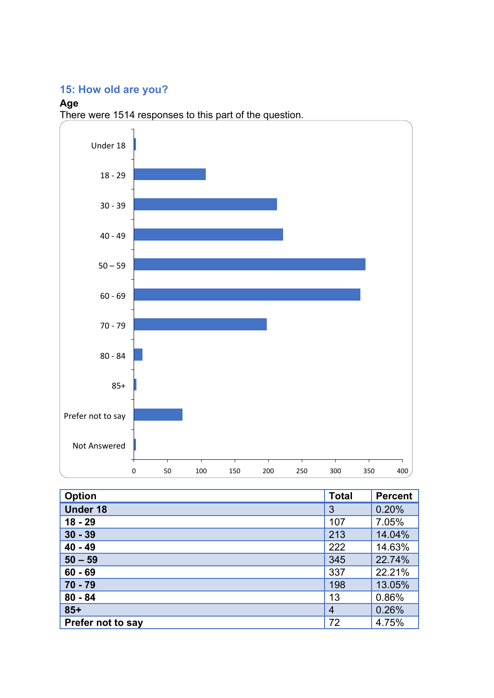# **15: How old are you?**

## **Age**



| <b>Option</b>     | <b>Total</b>   | <b>Percent</b> |
|-------------------|----------------|----------------|
| <b>Under 18</b>   | 3              | 0.20%          |
| $18 - 29$         | 107            | 7.05%          |
| $30 - 39$         | 213            | 14.04%         |
| $40 - 49$         | 222            | 14.63%         |
| $50 - 59$         | 345            | 22.74%         |
| $60 - 69$         | 337            | 22.21%         |
| $70 - 79$         | 198            | 13.05%         |
| $80 - 84$         | 13             | 0.86%          |
| $85+$             | $\overline{4}$ | 0.26%          |
| Prefer not to say | 72             | 4.75%          |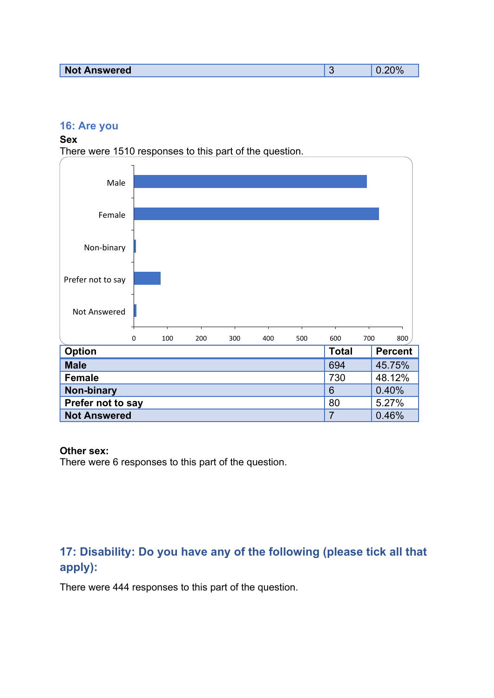| <b>Not Answered</b><br><b>SARIASAN</b> |  |
|----------------------------------------|--|
|                                        |  |

## **16: Are you**

#### **Sex**

There were 1510 responses to this part of the question.



#### **Other sex:**

There were 6 responses to this part of the question.

# **17: Disability: Do you have any of the following (please tick all that apply):**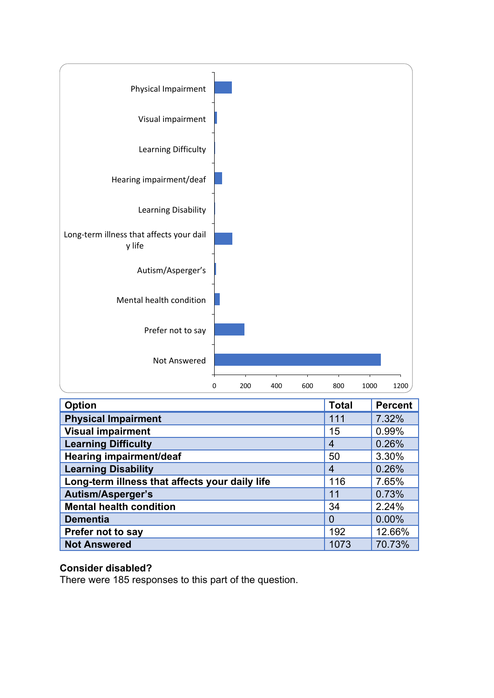

| <b>Option</b>                                  | <b>Total</b>   | <b>Percent</b> |
|------------------------------------------------|----------------|----------------|
| <b>Physical Impairment</b>                     | 111            | 7.32%          |
| <b>Visual impairment</b>                       | 15             | 0.99%          |
| <b>Learning Difficulty</b>                     | $\overline{4}$ | 0.26%          |
| Hearing impairment/deaf                        | 50             | 3.30%          |
| <b>Learning Disability</b>                     | $\overline{4}$ | 0.26%          |
| Long-term illness that affects your daily life | 116            | 7.65%          |
| <b>Autism/Asperger's</b>                       | 11             | 0.73%          |
| <b>Mental health condition</b>                 | 34             | 2.24%          |
| <b>Dementia</b>                                | 0              | 0.00%          |
| Prefer not to say                              | 192            | 12.66%         |
| <b>Not Answered</b>                            | 1073           | 70.73%         |

## **Consider disabled?**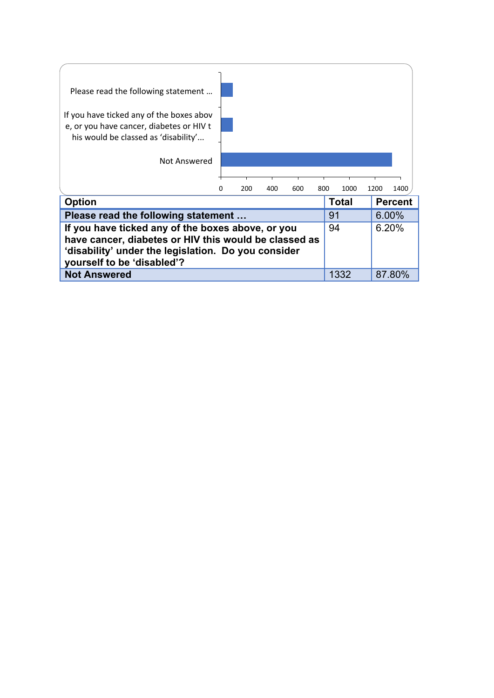| Please read the following statement<br>If you have ticked any of the boxes abov<br>e, or you have cancer, diabetes or HIV t<br>his would be classed as 'disability'<br>Not Answered             |   |     |     |     |     |              |       |                |
|-------------------------------------------------------------------------------------------------------------------------------------------------------------------------------------------------|---|-----|-----|-----|-----|--------------|-------|----------------|
|                                                                                                                                                                                                 | 0 | 200 | 400 | 600 | 800 | 1000         | 1200  | 1400           |
| <b>Option</b>                                                                                                                                                                                   |   |     |     |     |     | <b>Total</b> |       | <b>Percent</b> |
| Please read the following statement                                                                                                                                                             |   |     |     |     |     | 91           | 6.00% |                |
| If you have ticked any of the boxes above, or you<br>have cancer, diabetes or HIV this would be classed as<br>'disability' under the legislation. Do you consider<br>yourself to be 'disabled'? |   |     |     |     |     | 94           | 6.20% |                |
| <b>Not Answered</b>                                                                                                                                                                             |   |     |     |     |     | 1332         |       | 87.80%         |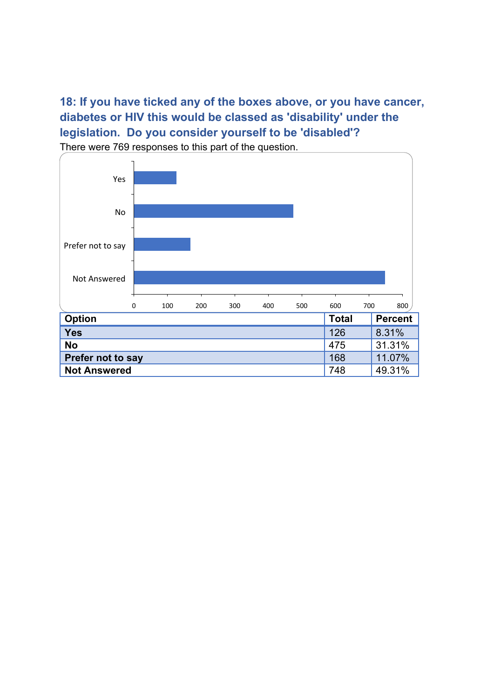**18: If you have ticked any of the boxes above, or you have cancer, diabetes or HIV this would be classed as 'disability' under the legislation. Do you consider yourself to be 'disabled'?** There were 769 responses to this part of the question.

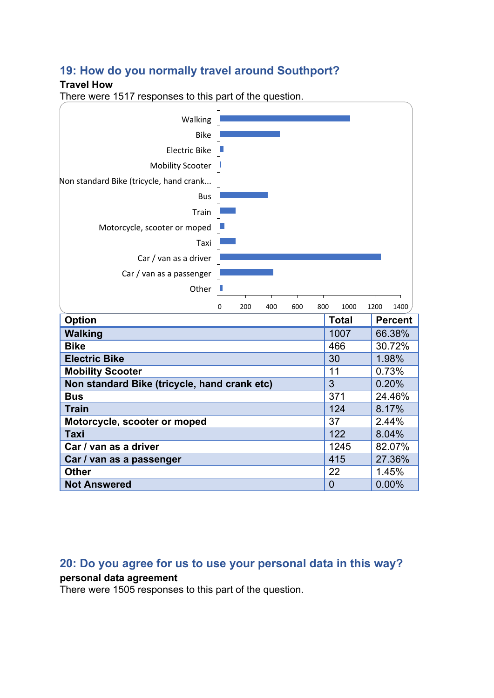## **19: How do you normally travel around Southport?**

#### **Travel How**

There were 1517 responses to this part of the question.



## **20: Do you agree for us to use your personal data in this way?**

#### **personal data agreement**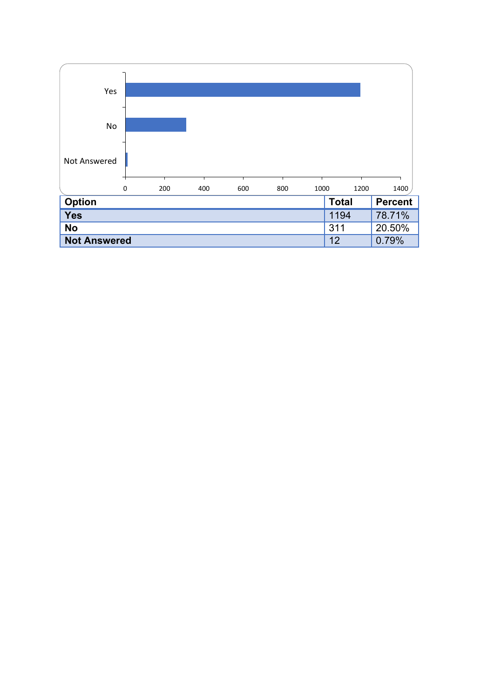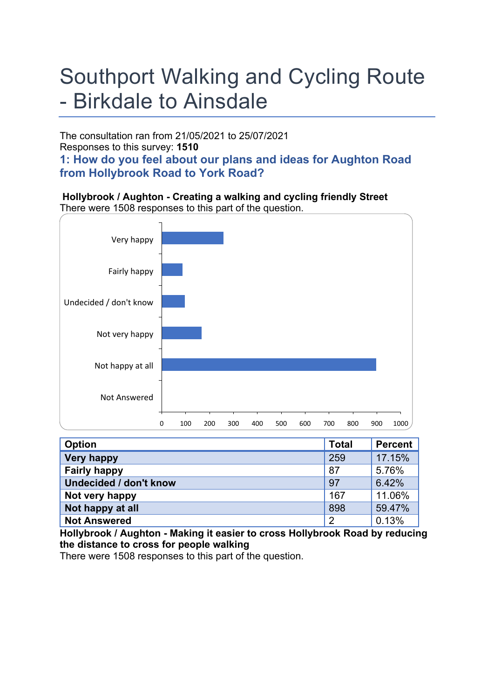# Southport Walking and Cycling Route - Birkdale to Ainsdale

The consultation ran from 21/05/2021 to 25/07/2021 Responses to this survey: **1510 1: How do you feel about our plans and ideas for Aughton Road from Hollybrook Road to York Road?**

**Hollybrook / Aughton - Creating a walking and cycling friendly Street** There were 1508 responses to this part of the question.



| <b>Option</b>                 | <b>Total</b>   | <b>Percent</b> |
|-------------------------------|----------------|----------------|
| <b>Very happy</b>             | 259            | 17.15%         |
| <b>Fairly happy</b>           | 87             | 5.76%          |
| <b>Undecided / don't know</b> | 97             | 6.42%          |
| Not very happy                | 167            | 11.06%         |
| Not happy at all              | 898            | 59.47%         |
| <b>Not Answered</b>           | $\overline{2}$ | 0.13%          |

**Hollybrook / Aughton - Making it easier to cross Hollybrook Road by reducing the distance to cross for people walking**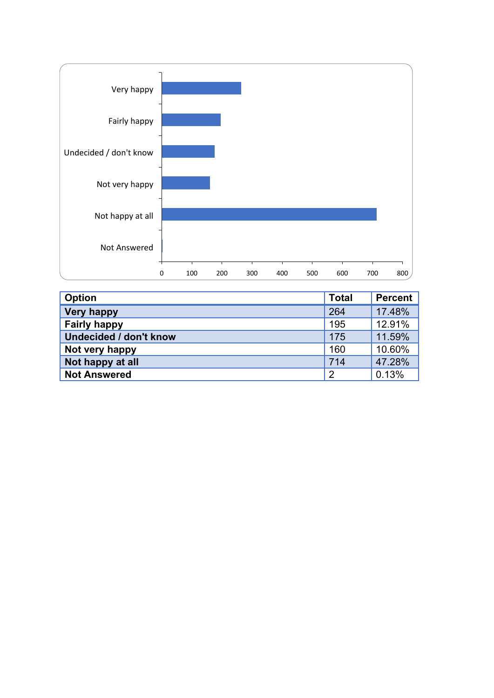

| <b>Option</b>                 | <b>Total</b>   | <b>Percent</b> |
|-------------------------------|----------------|----------------|
| <b>Very happy</b>             | 264            | 17.48%         |
| <b>Fairly happy</b>           | 195            | 12.91%         |
| <b>Undecided / don't know</b> | 175            | 11.59%         |
| Not very happy                | 160            | 10.60%         |
| Not happy at all              | 714            | 47.28%         |
| <b>Not Answered</b>           | $\overline{2}$ | 0.13%          |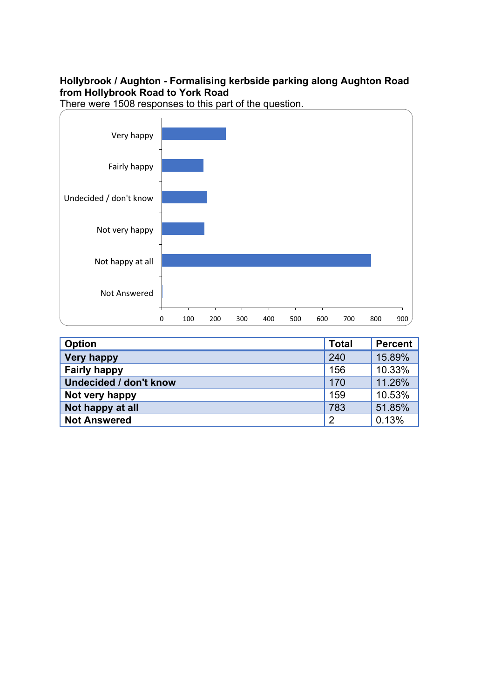## **Hollybrook / Aughton - Formalising kerbside parking along Aughton Road from Hollybrook Road to York Road**



| <b>Option</b>                 | <b>Total</b>   | <b>Percent</b> |
|-------------------------------|----------------|----------------|
| <b>Very happy</b>             | 240            | 15.89%         |
| <b>Fairly happy</b>           | 156            | 10.33%         |
| <b>Undecided / don't know</b> | 170            | 11.26%         |
| Not very happy                | 159            | 10.53%         |
| Not happy at all              | 783            | 51.85%         |
| <b>Not Answered</b>           | $\overline{2}$ | 0.13%          |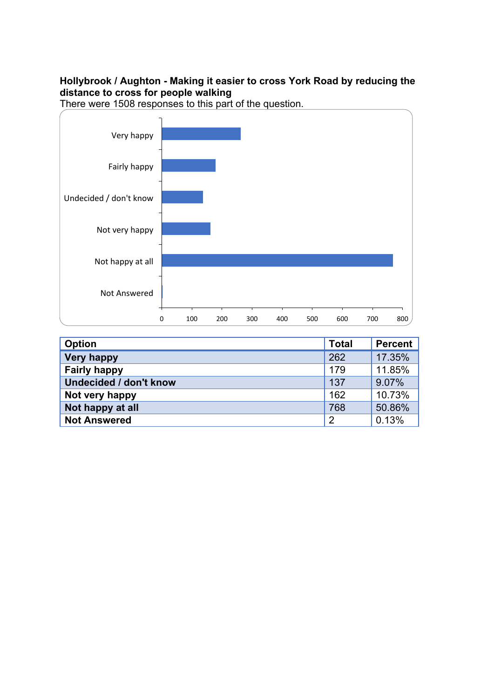## **Hollybrook / Aughton - Making it easier to cross York Road by reducing the distance to cross for people walking**





| <b>Option</b>                 | <b>Total</b>   | <b>Percent</b> |
|-------------------------------|----------------|----------------|
| <b>Very happy</b>             | 262            | 17.35%         |
| <b>Fairly happy</b>           | 179            | 11.85%         |
| <b>Undecided / don't know</b> | 137            | 9.07%          |
| Not very happy                | 162            | 10.73%         |
| Not happy at all              | 768            | 50.86%         |
| <b>Not Answered</b>           | $\overline{2}$ | 0.13%          |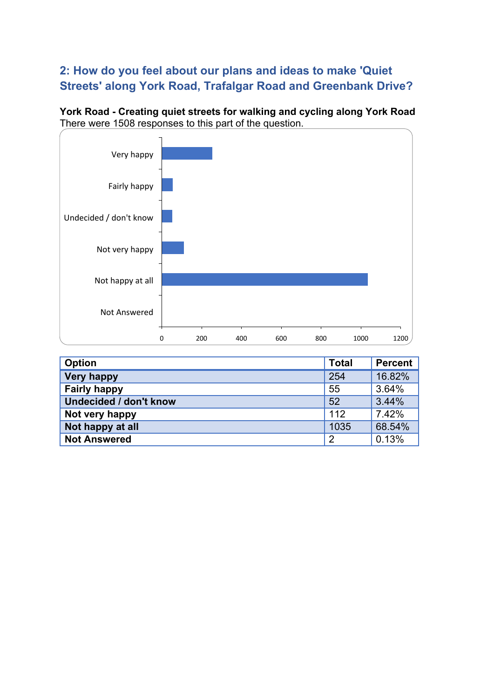# **2: How do you feel about our plans and ideas to make 'Quiet Streets' along York Road, Trafalgar Road and Greenbank Drive?**

**York Road - Creating quiet streets for walking and cycling along York Road** There were 1508 responses to this part of the question.



| <b>Option</b>                 | <b>Total</b>   | Percent |
|-------------------------------|----------------|---------|
| <b>Very happy</b>             | 254            | 16.82%  |
| <b>Fairly happy</b>           | 55             | 3.64%   |
| <b>Undecided / don't know</b> | 52             | 3.44%   |
| Not very happy                | 112            | 7.42%   |
| Not happy at all              | 1035           | 68.54%  |
| <b>Not Answered</b>           | $\overline{2}$ | 0.13%   |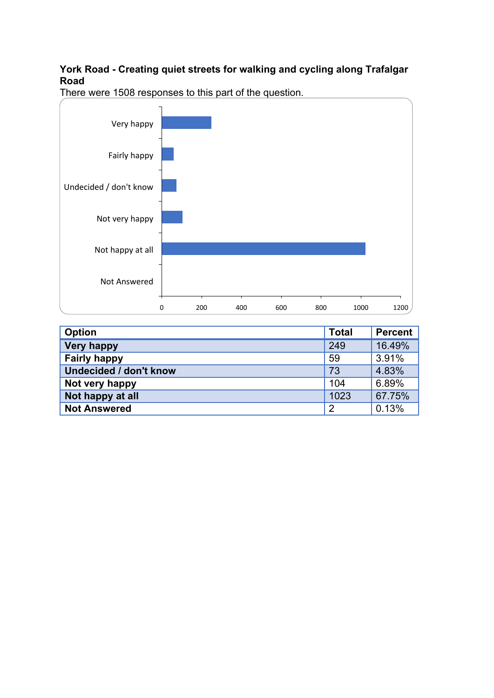## **York Road - Creating quiet streets for walking and cycling along Trafalgar Road**



| <b>Option</b>                 | <b>Total</b>   | <b>Percent</b> |
|-------------------------------|----------------|----------------|
| <b>Very happy</b>             | 249            | 16.49%         |
| <b>Fairly happy</b>           | 59             | 3.91%          |
| <b>Undecided / don't know</b> | 73             | 4.83%          |
| Not very happy                | 104            | 6.89%          |
| Not happy at all              | 1023           | 67.75%         |
| <b>Not Answered</b>           | $\overline{2}$ | 0.13%          |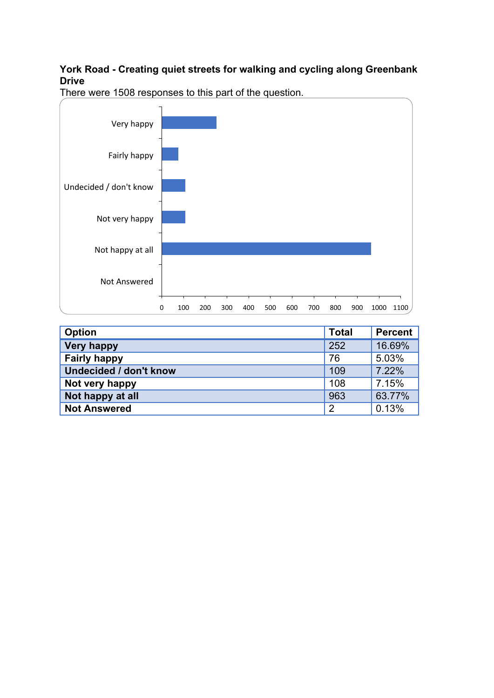## **York Road - Creating quiet streets for walking and cycling along Greenbank Drive**



| <b>Option</b>                 | <b>Total</b>   | Percent |
|-------------------------------|----------------|---------|
| <b>Very happy</b>             | 252            | 16.69%  |
| <b>Fairly happy</b>           | 76             | 5.03%   |
| <b>Undecided / don't know</b> | 109            | 7.22%   |
| Not very happy                | 108            | 7.15%   |
| Not happy at all              | 963            | 63.77%  |
| <b>Not Answered</b>           | $\overline{2}$ | 0.13%   |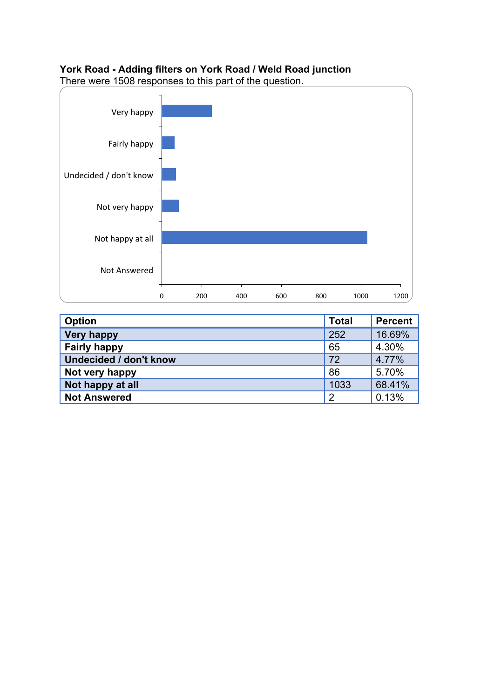## **York Road - Adding filters on York Road / Weld Road junction**



| <b>Option</b>          | <b>Total</b>   | Percent |
|------------------------|----------------|---------|
| <b>Very happy</b>      | 252            | 16.69%  |
| <b>Fairly happy</b>    | 65             | 4.30%   |
| Undecided / don't know | 72             | 4.77%   |
| Not very happy         | 86             | 5.70%   |
| Not happy at all       | 1033           | 68.41%  |
| <b>Not Answered</b>    | $\overline{2}$ | 0.13%   |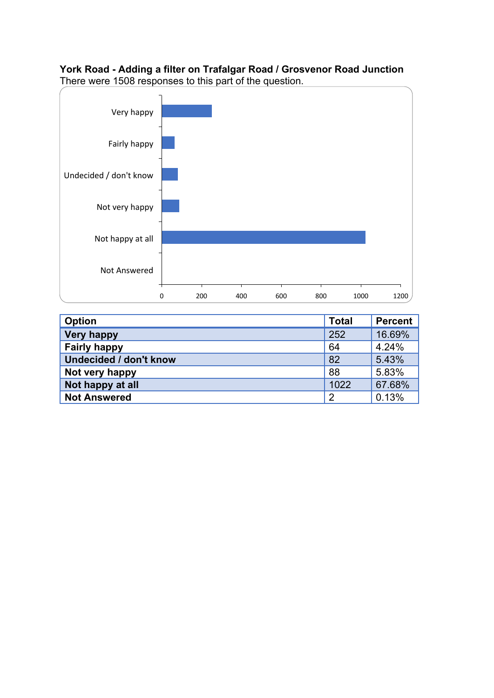## **York Road - Adding a filter on Trafalgar Road / Grosvenor Road Junction** There were 1508 responses to this part of the question.



| <b>Option</b>                 | <b>Total</b>   | <b>Percent</b> |
|-------------------------------|----------------|----------------|
| <b>Very happy</b>             | 252            | 16.69%         |
| <b>Fairly happy</b>           | 64             | 4.24%          |
| <b>Undecided / don't know</b> | 82             | 5.43%          |
| Not very happy                | 88             | 5.83%          |
| Not happy at all              | 1022           | 67.68%         |
| <b>Not Answered</b>           | $\overline{2}$ | 0.13%          |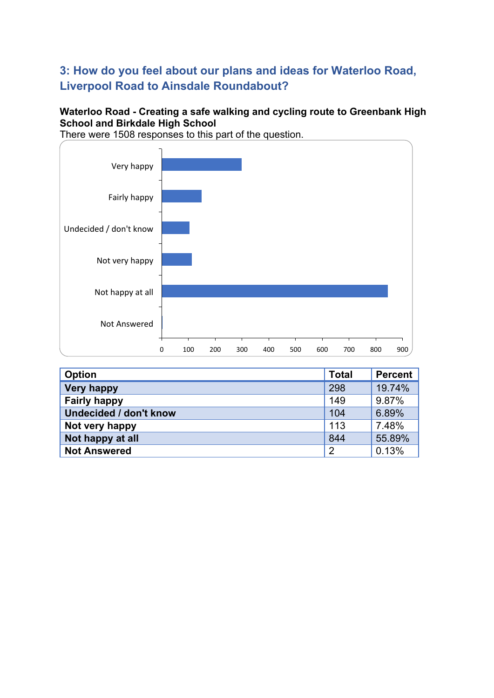# **3: How do you feel about our plans and ideas for Waterloo Road, Liverpool Road to Ainsdale Roundabout?**

## **Waterloo Road - Creating a safe walking and cycling route to Greenbank High School and Birkdale High School**





| <b>Option</b>                 | <b>Total</b>   | <b>Percent</b> |
|-------------------------------|----------------|----------------|
| <b>Very happy</b>             | 298            | 19.74%         |
| <b>Fairly happy</b>           | 149            | 9.87%          |
| <b>Undecided / don't know</b> | 104            | 6.89%          |
| Not very happy                | 113            | 7.48%          |
| Not happy at all              | 844            | 55.89%         |
| <b>Not Answered</b>           | $\overline{2}$ | 0.13%          |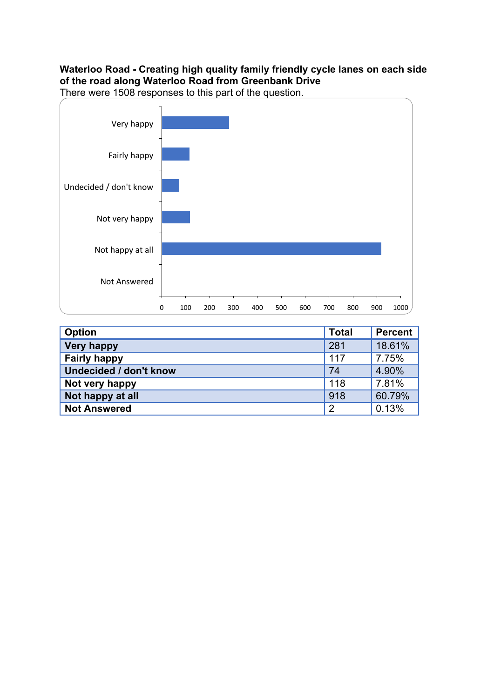## **Waterloo Road - Creating high quality family friendly cycle lanes on each side of the road along Waterloo Road from Greenbank Drive**



| <b>Option</b>                 | <b>Total</b>   | Percent |
|-------------------------------|----------------|---------|
| <b>Very happy</b>             | 281            | 18.61%  |
| <b>Fairly happy</b>           | 117            | 7.75%   |
| <b>Undecided / don't know</b> | 74             | 4.90%   |
| Not very happy                | 118            | 7.81%   |
| Not happy at all              | 918            | 60.79%  |
| <b>Not Answered</b>           | $\overline{2}$ | 0.13%   |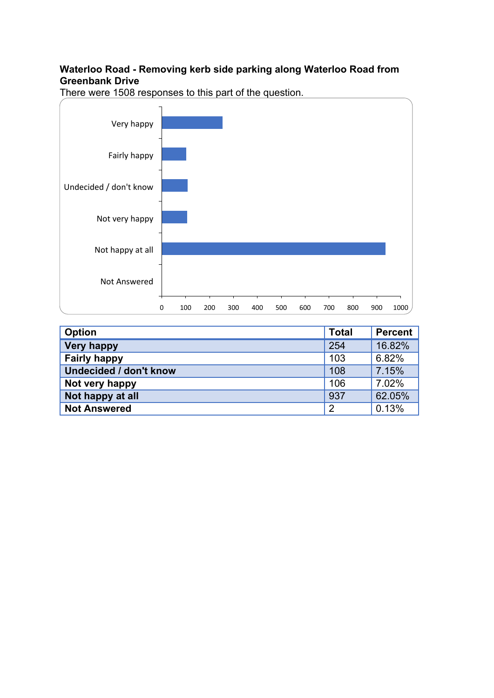## **Waterloo Road - Removing kerb side parking along Waterloo Road from Greenbank Drive**



| <b>Option</b>                 | <b>Total</b>   | Percent |
|-------------------------------|----------------|---------|
| <b>Very happy</b>             | 254            | 16.82%  |
| <b>Fairly happy</b>           | 103            | 6.82%   |
| <b>Undecided / don't know</b> | 108            | 7.15%   |
| Not very happy                | 106            | 7.02%   |
| Not happy at all              | 937            | 62.05%  |
| <b>Not Answered</b>           | $\overline{2}$ | 0.13%   |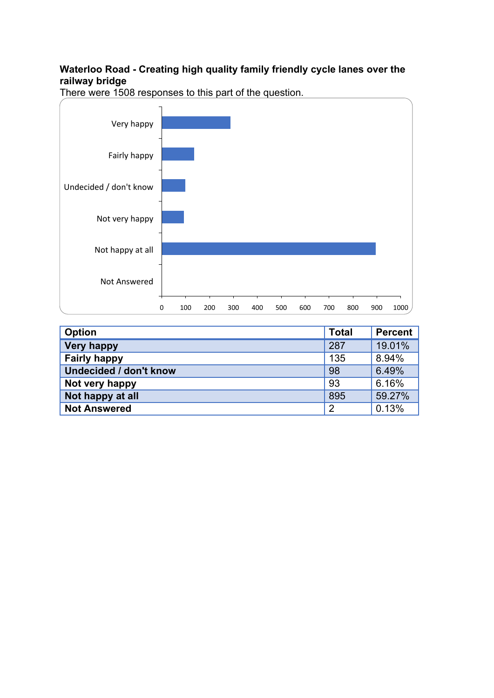## **Waterloo Road - Creating high quality family friendly cycle lanes over the railway bridge**



| <b>Option</b>                 | <b>Total</b>   | <b>Percent</b> |
|-------------------------------|----------------|----------------|
| <b>Very happy</b>             | 287            | 19.01%         |
| <b>Fairly happy</b>           | 135            | 8.94%          |
| <b>Undecided / don't know</b> | 98             | 6.49%          |
| Not very happy                | 93             | 6.16%          |
| Not happy at all              | 895            | 59.27%         |
| <b>Not Answered</b>           | $\overline{2}$ | 0.13%          |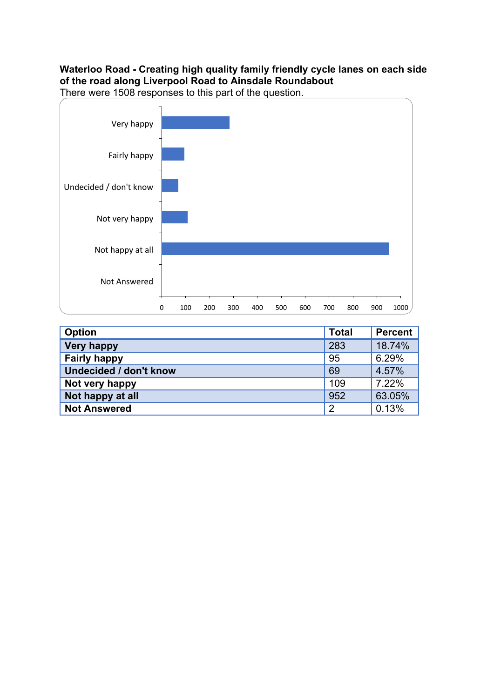## **Waterloo Road - Creating high quality family friendly cycle lanes on each side of the road along Liverpool Road to Ainsdale Roundabout**



| <b>Option</b>                 | <b>Total</b>   | Percent |
|-------------------------------|----------------|---------|
| <b>Very happy</b>             | 283            | 18.74%  |
| <b>Fairly happy</b>           | 95             | 6.29%   |
| <b>Undecided / don't know</b> | 69             | 4.57%   |
| Not very happy                | 109            | 7.22%   |
| Not happy at all              | 952            | 63.05%  |
| <b>Not Answered</b>           | $\overline{2}$ | 0.13%   |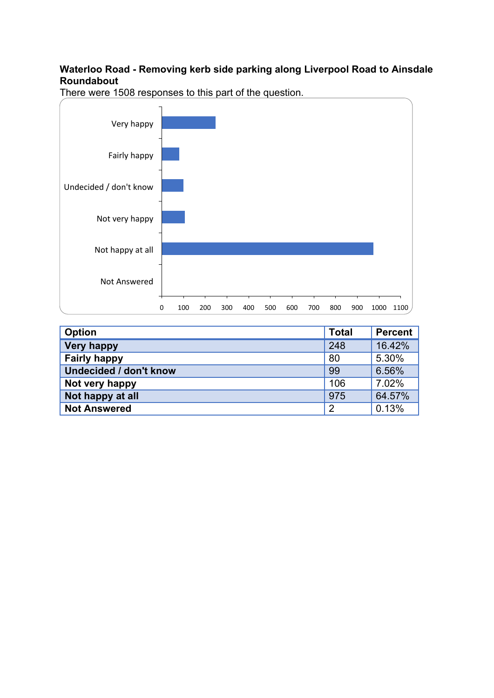## **Waterloo Road - Removing kerb side parking along Liverpool Road to Ainsdale Roundabout**



| <b>Option</b>                 | <b>Total</b>   | <b>Percent</b> |
|-------------------------------|----------------|----------------|
| <b>Very happy</b>             | 248            | 16.42%         |
| <b>Fairly happy</b>           | 80             | 5.30%          |
| <b>Undecided / don't know</b> | 99             | 6.56%          |
| Not very happy                | 106            | 7.02%          |
| Not happy at all              | 975            | 64.57%         |
| <b>Not Answered</b>           | $\overline{2}$ | 0.13%          |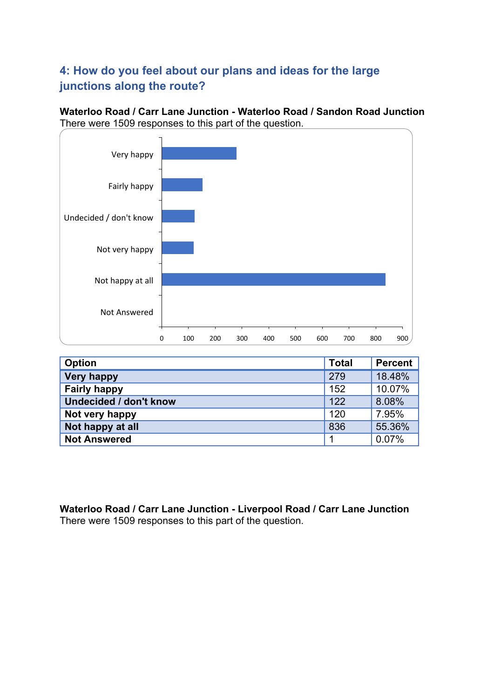# **4: How do you feel about our plans and ideas for the large junctions along the route?**

**Waterloo Road / Carr Lane Junction - Waterloo Road / Sandon Road Junction** There were 1509 responses to this part of the question.



| <b>Option</b>                 | <b>Total</b> | <b>Percent</b> |
|-------------------------------|--------------|----------------|
| <b>Very happy</b>             | 279          | 18.48%         |
| <b>Fairly happy</b>           | 152          | 10.07%         |
| <b>Undecided / don't know</b> | 122          | 8.08%          |
| Not very happy                | 120          | 7.95%          |
| Not happy at all              | 836          | 55.36%         |
| <b>Not Answered</b>           |              | 0.07%          |

**Waterloo Road / Carr Lane Junction - Liverpool Road / Carr Lane Junction** There were 1509 responses to this part of the question.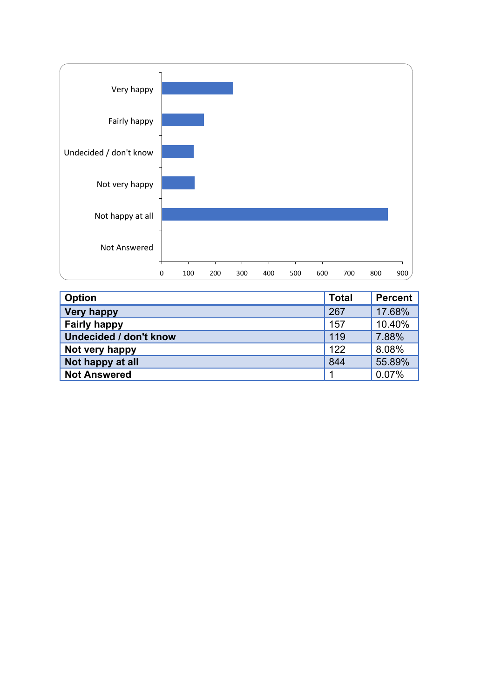

| <b>Option</b>                 | <b>Total</b> | <b>Percent</b> |
|-------------------------------|--------------|----------------|
| <b>Very happy</b>             | 267          | 17.68%         |
| <b>Fairly happy</b>           | 157          | 10.40%         |
| <b>Undecided / don't know</b> | 119          | 7.88%          |
| Not very happy                | 122          | 8.08%          |
| Not happy at all              | 844          | 55.89%         |
| <b>Not Answered</b>           | 1            | 0.07%          |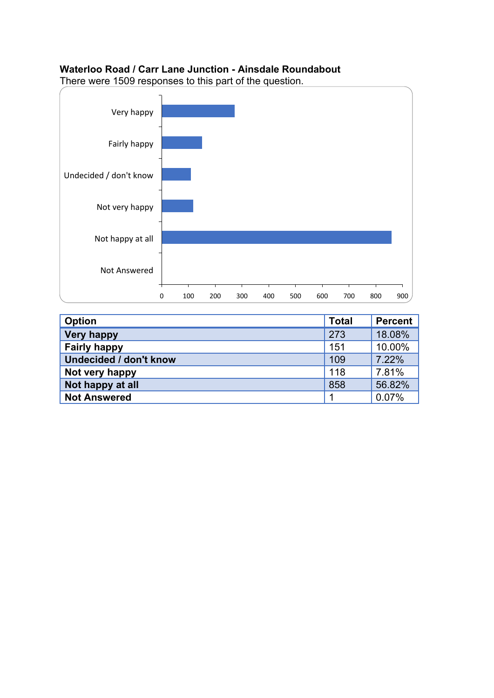## **Waterloo Road / Carr Lane Junction - Ainsdale Roundabout**



| <b>Option</b>                 | <b>Total</b> | Percent |
|-------------------------------|--------------|---------|
| <b>Very happy</b>             | 273          | 18.08%  |
| <b>Fairly happy</b>           | 151          | 10.00%  |
| <b>Undecided / don't know</b> | 109          | 7.22%   |
| Not very happy                | 118          | 7.81%   |
| Not happy at all              | 858          | 56.82%  |
| <b>Not Answered</b>           | ◢            | 0.07%   |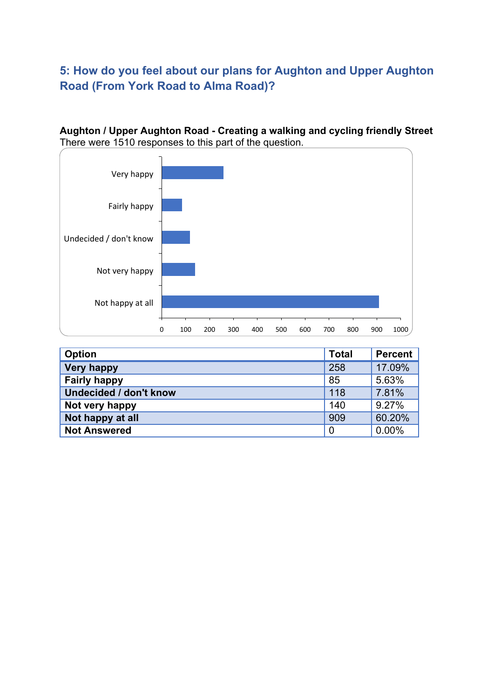# **5: How do you feel about our plans for Aughton and Upper Aughton Road (From York Road to Alma Road)?**

## **Aughton / Upper Aughton Road - Creating a walking and cycling friendly Street** There were 1510 responses to this part of the question.



| <b>Option</b>          | <b>Total</b>   | <b>Percent</b> |
|------------------------|----------------|----------------|
| <b>Very happy</b>      | 258            | 17.09%         |
| <b>Fairly happy</b>    | 85             | 5.63%          |
| Undecided / don't know | 118            | 7.81%          |
| Not very happy         | 140            | 9.27%          |
| Not happy at all       | 909            | 60.20%         |
| <b>Not Answered</b>    | $\overline{0}$ | 0.00%          |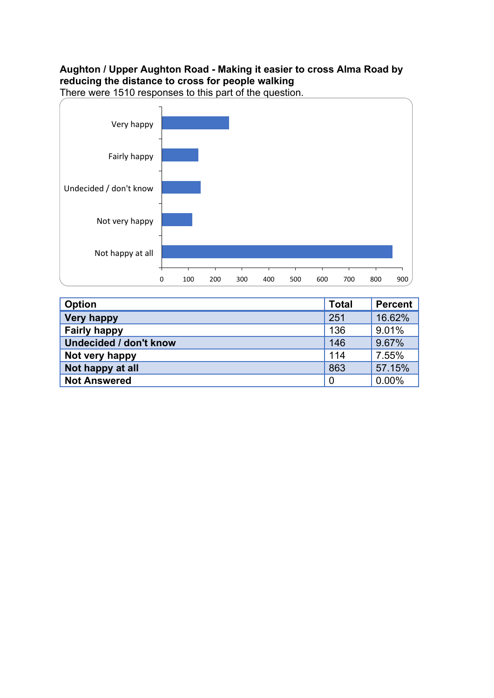## **Aughton / Upper Aughton Road - Making it easier to cross Alma Road by reducing the distance to cross for people walking**



| Option                        | <b>Total</b>   | <b>Percent</b> |
|-------------------------------|----------------|----------------|
| <b>Very happy</b>             | 251            | 16.62%         |
| <b>Fairly happy</b>           | 136            | 9.01%          |
| <b>Undecided / don't know</b> | 146            | 9.67%          |
| Not very happy                | 114            | 7.55%          |
| Not happy at all              | 863            | 57.15%         |
| <b>Not Answered</b>           | $\overline{0}$ | $0.00\%$       |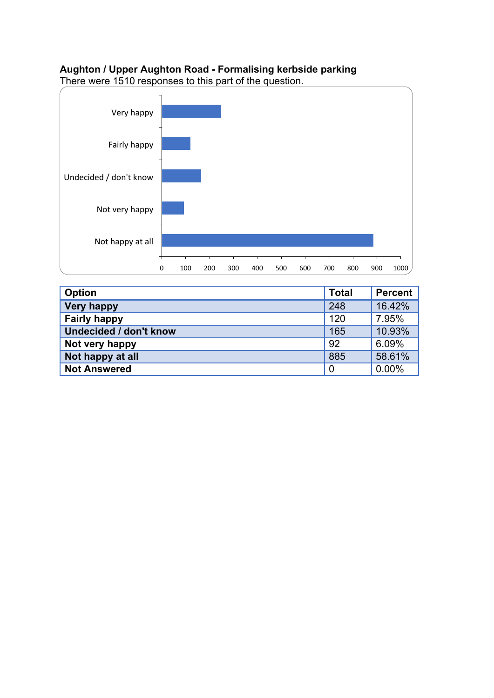## **Aughton / Upper Aughton Road - Formalising kerbside parking**





| <b>Option</b>                 | <b>Total</b>   | <b>Percent</b> |
|-------------------------------|----------------|----------------|
| <b>Very happy</b>             | 248            | 16.42%         |
| <b>Fairly happy</b>           | 120            | 7.95%          |
| <b>Undecided / don't know</b> | 165            | 10.93%         |
| Not very happy                | 92             | 6.09%          |
| Not happy at all              | 885            | 58.61%         |
| <b>Not Answered</b>           | $\overline{0}$ | 0.00%          |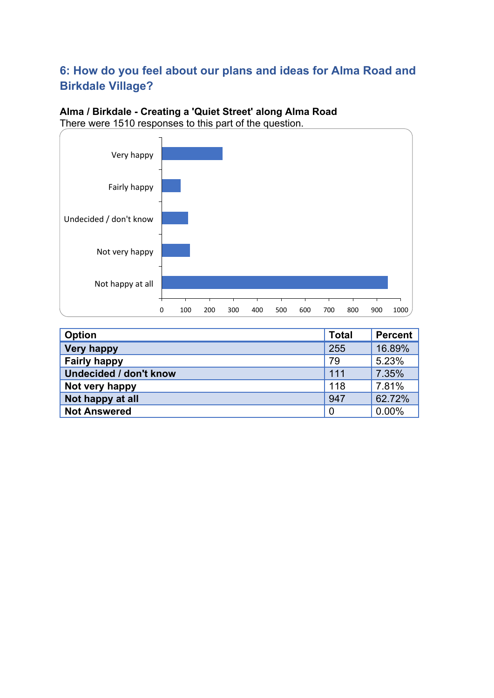# **6: How do you feel about our plans and ideas for Alma Road and Birkdale Village?**

## **Alma / Birkdale - Creating a 'Quiet Street' along Alma Road** There were 1510 responses to this part of the question.



| <b>Option</b>                 | <b>Total</b> | <b>Percent</b> |
|-------------------------------|--------------|----------------|
| <b>Very happy</b>             | 255          | 16.89%         |
| <b>Fairly happy</b>           | 79           | 5.23%          |
| <b>Undecided / don't know</b> | 111          | 7.35%          |
| Not very happy                | 118          | 7.81%          |
| Not happy at all              | 947          | 62.72%         |
| <b>Not Answered</b>           | 0            | 0.00%          |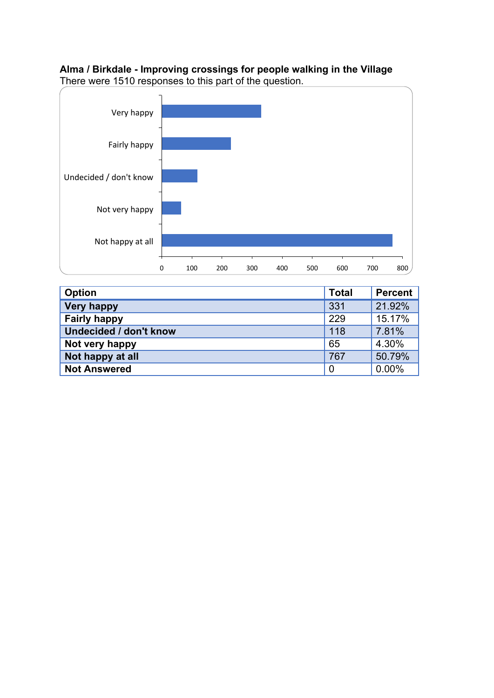# **Alma / Birkdale - Improving crossings for people walking in the Village**



**Option Total Percent Very happy 331** 21.92% **Fairly happy** 229 15.17% **Undecided / don't know** 118 7.81% **Not very happy**<br> **Not happy at all**<br> **Not happy at all**<br> **Not happy at all**<br> **Not happy at all Not happy at all** 767 50.79% **Not Answered** 0.00%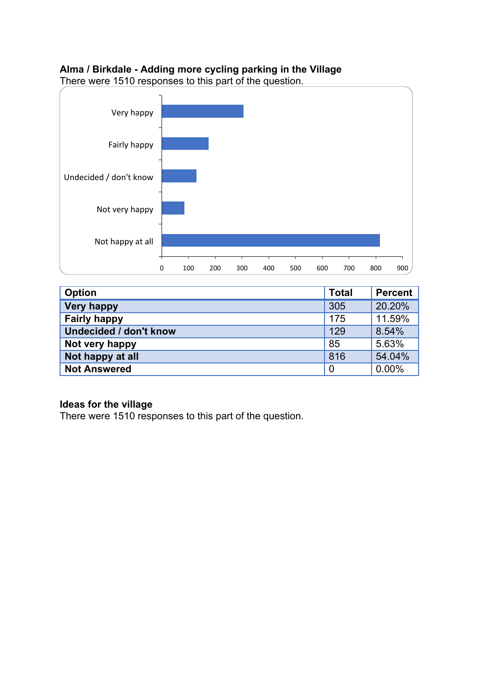## **Alma / Birkdale - Adding more cycling parking in the Village**

There were 1510 responses to this part of the question.



| <b>Option</b>                 | <b>Total</b>   | <b>Percent</b> |
|-------------------------------|----------------|----------------|
| <b>Very happy</b>             | 305            | 20.20%         |
| <b>Fairly happy</b>           | 175            | 11.59%         |
| <b>Undecided / don't know</b> | 129            | 8.54%          |
| Not very happy                | 85             | 5.63%          |
| Not happy at all              | 816            | 54.04%         |
| <b>Not Answered</b>           | $\overline{0}$ | 0.00%          |

#### **Ideas for the village**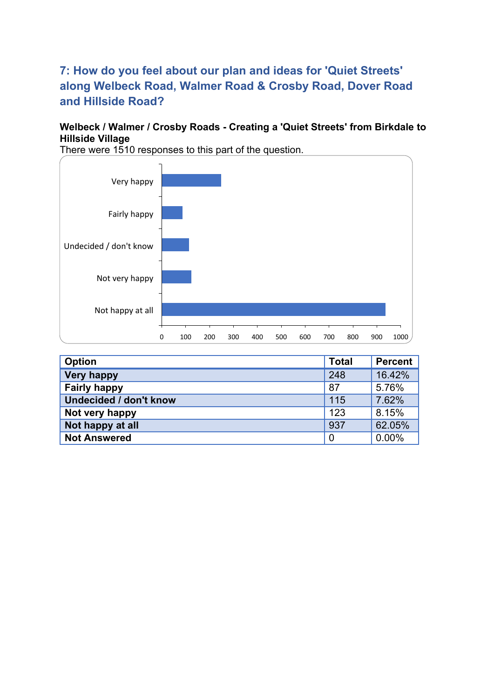# **7: How do you feel about our plan and ideas for 'Quiet Streets' along Welbeck Road, Walmer Road & Crosby Road, Dover Road and Hillside Road?**

## **Welbeck / Walmer / Crosby Roads - Creating a 'Quiet Streets' from Birkdale to Hillside Village**



| <b>Option</b>                 | <b>Total</b>   | <b>Percent</b> |
|-------------------------------|----------------|----------------|
| <b>Very happy</b>             | 248            | 16.42%         |
| <b>Fairly happy</b>           | 87             | 5.76%          |
| <b>Undecided / don't know</b> | 115            | 7.62%          |
| Not very happy                | 123            | 8.15%          |
| Not happy at all              | 937            | 62.05%         |
| <b>Not Answered</b>           | $\overline{0}$ | 0.00%          |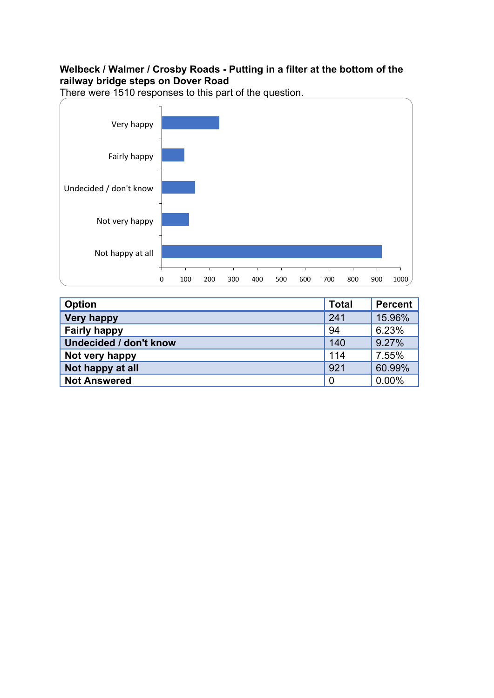## **Welbeck / Walmer / Crosby Roads - Putting in a filter at the bottom of the railway bridge steps on Dover Road**



| <b>Option</b>                 | <b>Total</b>   | <b>Percent</b> |
|-------------------------------|----------------|----------------|
| <b>Very happy</b>             | 241            | 15.96%         |
| <b>Fairly happy</b>           | 94             | 6.23%          |
| <b>Undecided / don't know</b> | 140            | 9.27%          |
| Not very happy                | 114            | 7.55%          |
| Not happy at all              | 921            | 60.99%         |
| <b>Not Answered</b>           | $\overline{0}$ | 0.00%          |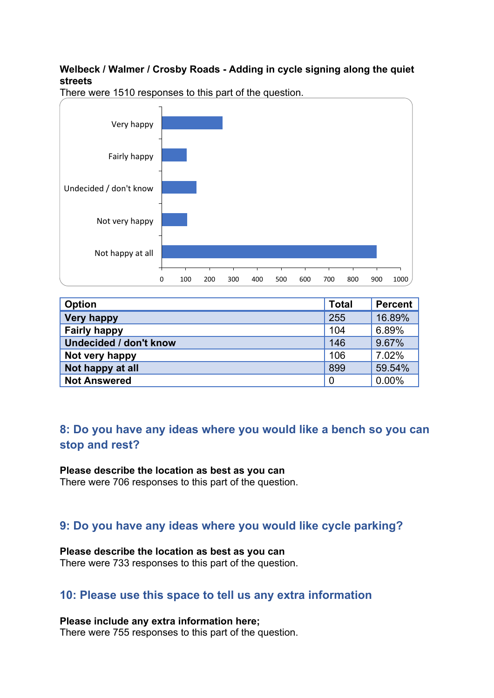## **Welbeck / Walmer / Crosby Roads - Adding in cycle signing along the quiet streets**



There were 1510 responses to this part of the question.

| <b>Option</b>                 | <b>Total</b>   | <b>Percent</b> |
|-------------------------------|----------------|----------------|
| <b>Very happy</b>             | 255            | 16.89%         |
| <b>Fairly happy</b>           | 104            | 6.89%          |
| <b>Undecided / don't know</b> | 146            | 9.67%          |
| Not very happy                | 106            | 7.02%          |
| Not happy at all              | 899            | 59.54%         |
| <b>Not Answered</b>           | $\overline{0}$ | 0.00%          |

# **8: Do you have any ideas where you would like a bench so you can stop and rest?**

#### **Please describe the location as best as you can**

There were 706 responses to this part of the question.

# **9: Do you have any ideas where you would like cycle parking?**

#### **Please describe the location as best as you can**

There were 733 responses to this part of the question.

# **10: Please use this space to tell us any extra information**

**Please include any extra information here;**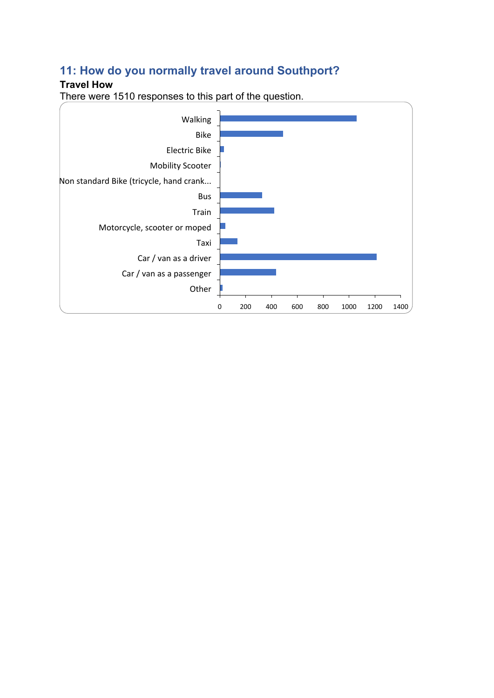# **11: How do you normally travel around Southport?**

## **Travel How**

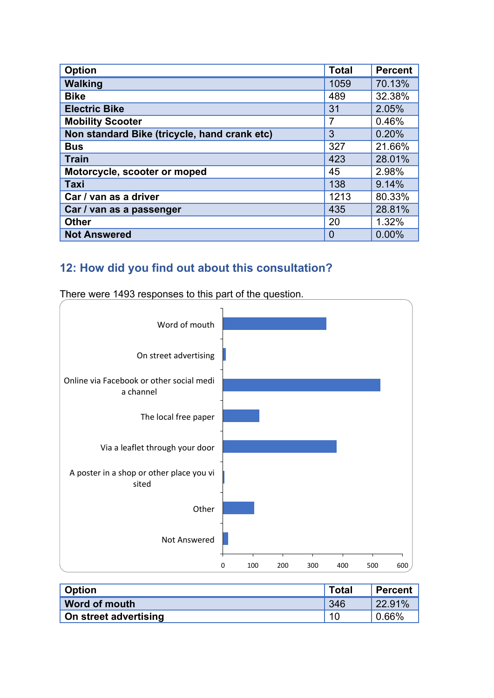| <b>Option</b>                                | <b>Total</b>   | <b>Percent</b> |  |
|----------------------------------------------|----------------|----------------|--|
| <b>Walking</b>                               | 1059           | 70.13%         |  |
| <b>Bike</b>                                  | 489            | 32.38%         |  |
| <b>Electric Bike</b>                         | 31             | 2.05%          |  |
| <b>Mobility Scooter</b>                      | $\overline{7}$ | 0.46%          |  |
| Non standard Bike (tricycle, hand crank etc) | 3              | 0.20%          |  |
| <b>Bus</b>                                   | 327            | 21.66%         |  |
| <b>Train</b>                                 | 423            | 28.01%         |  |
| Motorcycle, scooter or moped                 | 45             | 2.98%          |  |
| <b>Taxi</b>                                  | 138            | 9.14%          |  |
| Car / van as a driver                        | 1213           | 80.33%         |  |
| Car / van as a passenger                     | 435            | 28.81%         |  |
| <b>Other</b>                                 | 20             | 1.32%          |  |
| <b>Not Answered</b>                          | 0              | 0.00%          |  |

# **12: How did you find out about this consultation?**



| <b>Option</b>         | <b>Total</b> | Percent           |  |
|-----------------------|--------------|-------------------|--|
| Word of mouth         | 346          | 22.91%            |  |
| On street advertising | 10           | $^{\prime}$ 0.66% |  |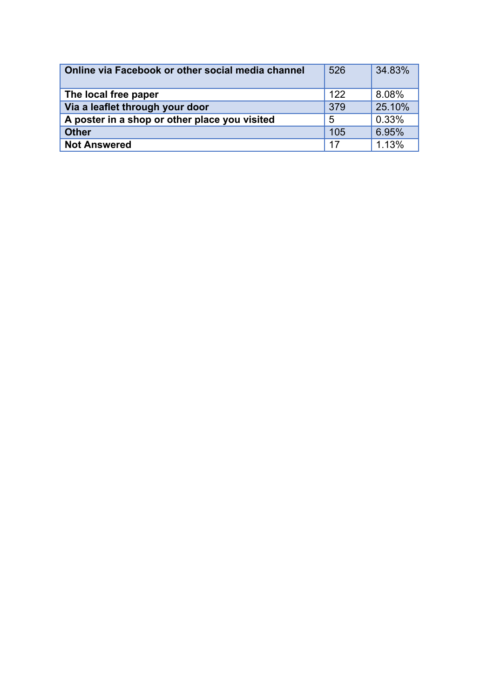| Online via Facebook or other social media channel | 526 | 34.83% |  |  |
|---------------------------------------------------|-----|--------|--|--|
| The local free paper                              | 122 | 8.08%  |  |  |
| Via a leaflet through your door                   | 379 | 25.10% |  |  |
| A poster in a shop or other place you visited     | 5   | 0.33%  |  |  |
| <b>Other</b>                                      | 105 | 6.95%  |  |  |
| <b>Not Answered</b>                               | 17  | 1.13%  |  |  |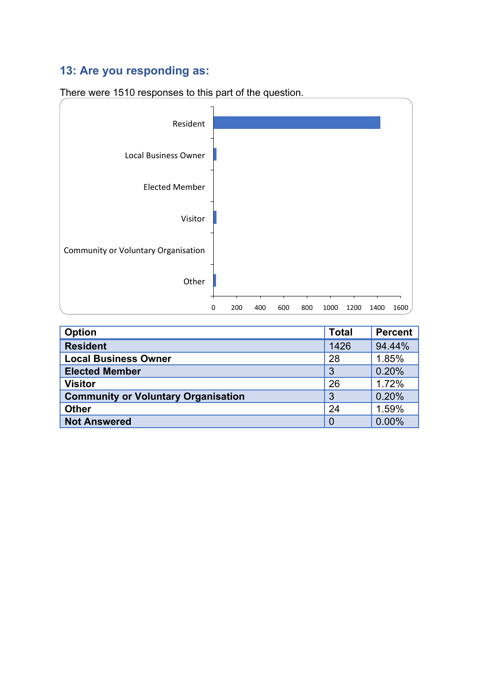# **13: Are you responding as:**



| <b>Option</b>                              | <b>Total</b> | <b>Percent</b> |
|--------------------------------------------|--------------|----------------|
| <b>Resident</b>                            | 1426         | 94.44%         |
| <b>Local Business Owner</b>                | 28           | 1.85%          |
| <b>Elected Member</b>                      | 3            | 0.20%          |
| <b>Visitor</b>                             | 26           | 1.72%          |
| <b>Community or Voluntary Organisation</b> | 3            | 0.20%          |
| <b>Other</b>                               | 24           | 1.59%          |
| <b>Not Answered</b>                        | 0            | 0.00%          |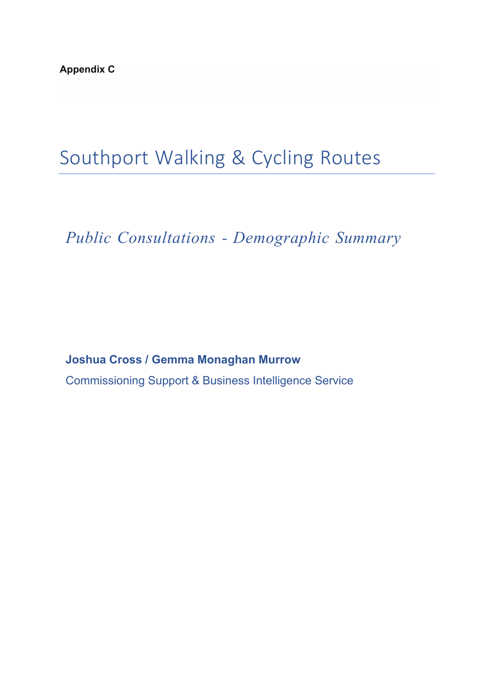# Southport Walking & Cycling Routes

*Public Consultations - Demographic Summary*

**Joshua Cross / Gemma Monaghan Murrow** Commissioning Support & Business Intelligence Service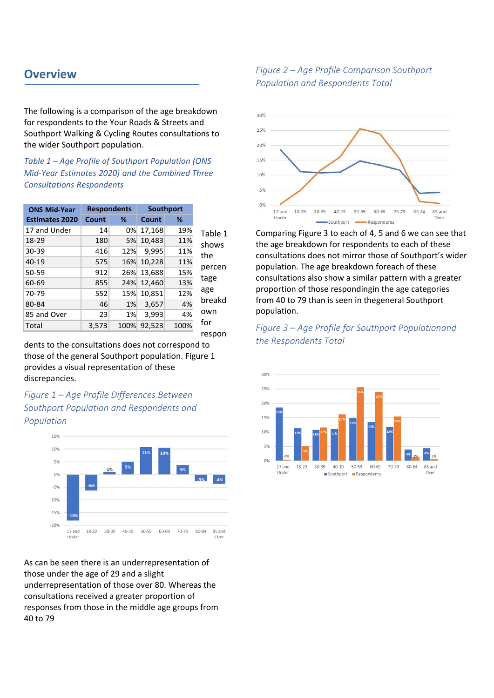# **Overview**

The following is a comparison of the age breakdown for respondents to the Your Roads & Streets and Southport Walking & Cycling Routes consultations to the wider Southport population.

*Table 1 – Age Profile of Southport Population (ONS Mid-Year Estimates 2020) and the Combined Three Consultations Respondents*

| <b>ONS Mid-Year</b>   | <b>Respondents</b> |      |        |      |         |
|-----------------------|--------------------|------|--------|------|---------|
| <b>Estimates 2020</b> | Count              | %    | Count  | %    |         |
| 17 and Under          | 14                 | 0%   | 17,168 | 19%  | Table 1 |
| 18-29                 | 180                | 5%   | 10,483 | 11%  | shows   |
| 30-39                 | 416                | 12%  | 9,995  | 11%  | the     |
| 40-19                 | 575                | 16%  | 10,228 | 11%  |         |
| 50-59                 | 912                | 26%  | 13,688 | 15%  | percen  |
| 60-69                 | 855                | 24%  | 12,460 | 13%  | tage    |
| 70-79                 | 552                | 15%  | 10,851 | 12%  | age     |
| 80-84                 | 46                 | 1%   | 3,657  | 4%   | breakd  |
| 85 and Over           | 23                 | 1%   | 3,993  | 4%   | own     |
| Total                 | 3,573              | 100% | 92,523 | 100% | for     |

respon

dents to the consultations does not correspond to those of the general Southport population. Figure 1 provides a visual representation of these discrepancies.

*Figure 1 – Age Profile Differences Between Southport Population and Respondents and Population*



As can be seen there is an underrepresentation of those under the age of 29 and a slight underrepresentation of those over 80. Whereas the consultations received a greater proportion of responses from those in the middle age groups from 40 to 79

#### *Figure 2 – Age Profile Comparison Southport Population and Respondents Total*



Comparing Figure 3 to each of 4, 5 and 6 we can see that the age breakdown for respondents to each of these consultations does not mirror those of Southport's wider population. The age breakdown foreach of these consultations also show a similar pattern with a greater proportion of those respondingin the age categories from 40 to 79 than is seen in thegeneral Southport population.

*Figure 3 – Age Profile for Southport Populationand the Respondents Total*

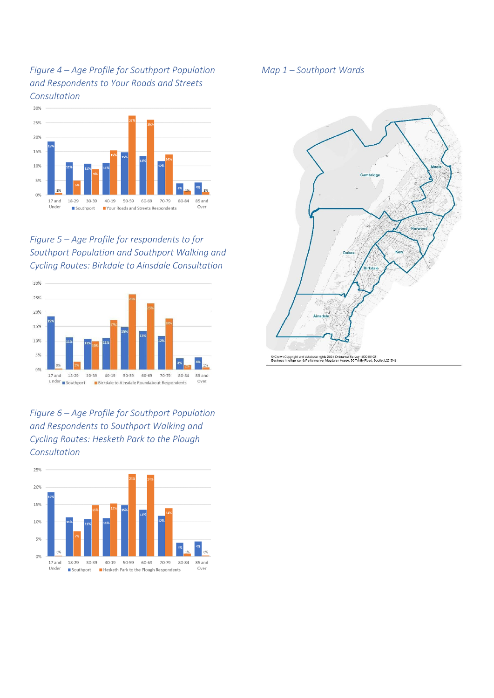*Figure 4 – Age Profile for Southport Population and Respondents to Your Roads and Streets Consultation*



*Figure 5 – Age Profile for respondents to for Southport Population and Southport Walking and Cycling Routes: Birkdale to Ainsdale Consultation*



*Figure 6 – Age Profile for Southport Population and Respondents to Southport Walking and Cycling Routes: Hesketh Park to the Plough Consultation*



*Map 1 – Southport Wards*

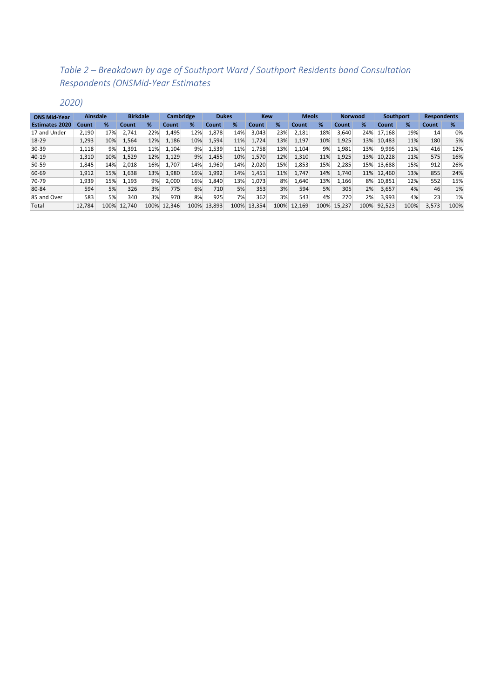# *Table 2 – Breakdown by age of Southport Ward / Southport Residents band Consultation Respondents (ONSMid-Year Estimates*

*2020)*

| <b>ONS Mid-Year</b>   | <b>Ainsdale</b> |      | <b>Birkdale</b> |      | <b>Cambridge</b> |      | <b>Dukes</b> |      |        |      |        |      | <b>Kew</b> |      | <b>Meols</b> |      |       |      | <b>Norwood</b> |  | Southport |  | <b>Respondents</b> |  |
|-----------------------|-----------------|------|-----------------|------|------------------|------|--------------|------|--------|------|--------|------|------------|------|--------------|------|-------|------|----------------|--|-----------|--|--------------------|--|
| <b>Estimates 2020</b> | Count           | %    | Count           | %    | Count            | %    | Count        | %    | Count  | %    | Count  | ℅    | Count      | %    | Count        | ℅    | Count | %    |                |  |           |  |                    |  |
| 17 and Under          | 2.190           | 17%  | 2.741           | 22%  | 1,495            | 12%  | 1,878        | 14%  | 3.043  | 23%  | 2,181  | 18%  | 3.640      | 24%  | 17.168       | 19%  | 14    | 0%   |                |  |           |  |                    |  |
| $18-29$               | 1,293           | 10%  | .564            | 12%  | 1,186            | 10%  | 1,594        | 11%  | 1,724  | 13%  | 1,197  | 10%  | 1,925      | 13%  | 10.483       | 11%  | 180   | 5%   |                |  |           |  |                    |  |
| $30-39$               | 1,118           | 9%   | 1,391           | 11%  | 1,104            | 9%   | 1,539        | 11%  | .758   | 13%  | 1,104  | 9%   | 1,981      | 13%  | 9,995        | 11%  | 416   | 12%  |                |  |           |  |                    |  |
| $40-19$               | 1.310           | 10%  | 1,529           | 12%  | 1,129            | 9%   | 1,455        | 10%  | 1,570  | 12%  | 1,310  | 11%  | 1,925      | 13%  | 10.228       | 11%  | 575   | 16%  |                |  |           |  |                    |  |
| 50-59                 | 1.845           | 14%  | 2.018           | 16%  | 1.707            | 14%  | 1.960        | 14%  | 2,020  | 15%  | 1.853  | 15%  | 2.285      | 15%  | 13.688       | 15%  | 912   | 26%  |                |  |           |  |                    |  |
| 60-69                 | 1.912           | 15%  | 1.638           | 13%  | 1,980            | 16%  | 1,992        | 14%  | 1.451  | 11%  | 1.747  | 14%  | 1.740      | 11%  | 12.460       | 13%  | 855   | 24%  |                |  |           |  |                    |  |
| 70-79                 | 1.939           | 15%  | 1.193           | 9%   | 2.000            | 16%  | 1.840        | 13%  | .073   | 8%   | 1,640  | 13%  | 1.166      | 8%   | 10.851       | 12%  | 552   | 15%  |                |  |           |  |                    |  |
| 80-84                 | 594             | 5%   | 326             | 3%   | 775              | 6%   | 710          | 5%   | 353    | 3%   | 594    | 5%   | 305        | 2%   | 3,657        | 4%   | 46    | 1%   |                |  |           |  |                    |  |
| 85 and Over           | 583             | 5%   | 340             | 3%   | 970              | 8%   | 925          | 7%   | 362    | 3%   | 543    | 4%   | 270        | 2%   | 3,993        | 4%   | 23    | 1%   |                |  |           |  |                    |  |
| Total                 | 12.784          | 100% | 12.740          | 100% | 12.346           | 100% | 13.893       | 100% | 13.354 | 100% | 12.169 | 100% | 15.237     | 100% | 92.523       | 100% | 3.573 | 100% |                |  |           |  |                    |  |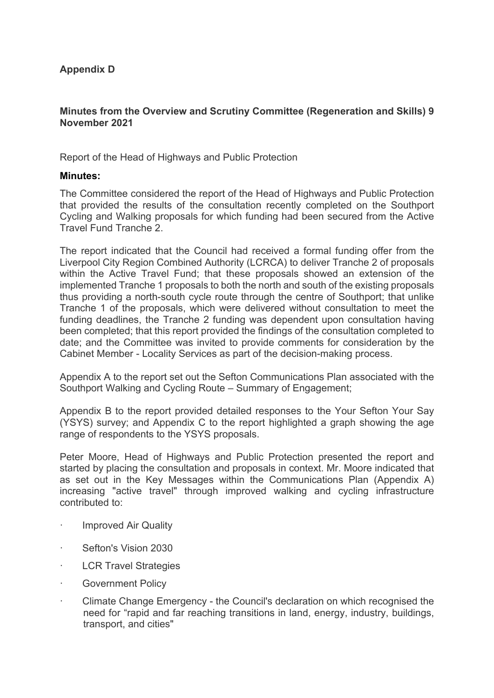## **Appendix D**

#### **Minutes from the Overview and Scrutiny Committee (Regeneration and Skills) 9 November 2021**

Report of the Head of Highways and Public Protection

#### **Minutes:**

The Committee considered the report of the Head of Highways and Public Protection that provided the results of the consultation recently completed on the Southport Cycling and Walking proposals for which funding had been secured from the Active Travel Fund Tranche 2.

The report indicated that the Council had received a formal funding offer from the Liverpool City Region Combined Authority (LCRCA) to deliver Tranche 2 of proposals within the Active Travel Fund; that these proposals showed an extension of the implemented Tranche 1 proposals to both the north and south of the existing proposals thus providing a north-south cycle route through the centre of Southport; that unlike Tranche 1 of the proposals, which were delivered without consultation to meet the funding deadlines, the Tranche 2 funding was dependent upon consultation having been completed; that this report provided the findings of the consultation completed to date; and the Committee was invited to provide comments for consideration by the Cabinet Member - Locality Services as part of the decision-making process.

Appendix A to the report set out the Sefton Communications Plan associated with the Southport Walking and Cycling Route – Summary of Engagement;

Appendix B to the report provided detailed responses to the Your Sefton Your Say (YSYS) survey; and Appendix C to the report highlighted a graph showing the age range of respondents to the YSYS proposals.

Peter Moore, Head of Highways and Public Protection presented the report and started by placing the consultation and proposals in context. Mr. Moore indicated that as set out in the Key Messages within the Communications Plan (Appendix A) increasing "active travel" through improved walking and cycling infrastructure contributed to:

- · Improved Air Quality
- Sefton's Vision 2030
- **LCR Travel Strategies**
- · Government Policy
- · Climate Change Emergency the Council's declaration on which recognised the need for "rapid and far reaching transitions in land, energy, industry, buildings, transport, and cities"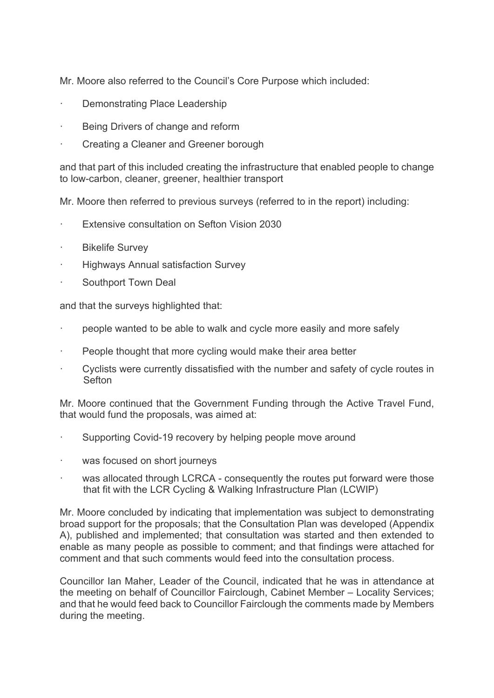Mr. Moore also referred to the Council's Core Purpose which included:

- · Demonstrating Place Leadership
- Being Drivers of change and reform
- · Creating a Cleaner and Greener borough

and that part of this included creating the infrastructure that enabled people to change to low-carbon, cleaner, greener, healthier transport

Mr. Moore then referred to previous surveys (referred to in the report) including:

- Extensive consultation on Sefton Vision 2030
- **Bikelife Survey**
- · Highways Annual satisfaction Survey
- Southport Town Deal

and that the surveys highlighted that:

- people wanted to be able to walk and cycle more easily and more safely
- People thought that more cycling would make their area better
- Cyclists were currently dissatisfied with the number and safety of cycle routes in **Sefton**

Mr. Moore continued that the Government Funding through the Active Travel Fund, that would fund the proposals, was aimed at:

- Supporting Covid-19 recovery by helping people move around
- was focused on short journeys
- was allocated through LCRCA consequently the routes put forward were those that fit with the LCR Cycling & Walking Infrastructure Plan (LCWIP)

Mr. Moore concluded by indicating that implementation was subject to demonstrating broad support for the proposals; that the Consultation Plan was developed (Appendix A), published and implemented; that consultation was started and then extended to enable as many people as possible to comment; and that findings were attached for comment and that such comments would feed into the consultation process.

Councillor Ian Maher, Leader of the Council, indicated that he was in attendance at the meeting on behalf of Councillor Fairclough, Cabinet Member – Locality Services; and that he would feed back to Councillor Fairclough the comments made by Members during the meeting.